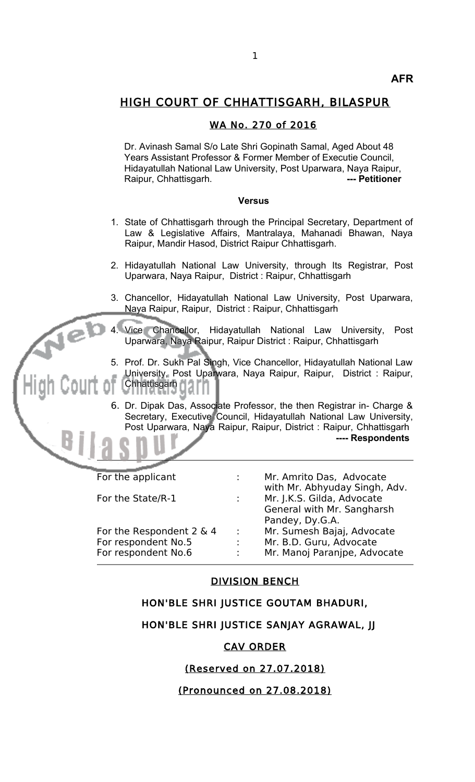# HIGH COURT OF CHHATTISGARH, BILASPUR

### WA No. 270 of 2016

Dr. Avinash Samal S/o Late Shri Gopinath Samal, Aged About 48 Years Assistant Professor & Former Member of Executie Council, Hidayatullah National Law University, Post Uparwara, Naya Raipur, Raipur, Chhattisgarh. **2008** --- Petitioner

#### **Versus**

- 1. State of Chhattisgarh through the Principal Secretary, Department of Law & Legislative Affairs, Mantralaya, Mahanadi Bhawan, Naya Raipur, Mandir Hasod, District Raipur Chhattisgarh.
- 2. Hidayatullah National Law University, through Its Registrar, Post Uparwara, Naya Raipur, District : Raipur, Chhattisgarh
- 3. Chancellor, Hidayatullah National Law University, Post Uparwara, Naya Raipur, Raipur, District : Raipur, Chhattisgarh
- 4. Vice Chancellor, Hidayatullah National Law University, Post Uparwara, Naya Raipur, Raipur District : Raipur, Chhattisgarh
- 5. Prof. Dr. Sukh Pal Singh, Vice Chancellor, Hidayatullah National Law University, Post Uparwara, Naya Raipur, Raipur, District : Raipur, Chhattisgarh
- 6. Dr. Dipak Das, Associate Professor, the then Registrar in- Charge & Secretary, Executive Council, Hidayatullah National Law University, Post Uparwara, Naya Raipur, Raipur, District : Raipur, Chhattisgarh **---- Respondents**

| For the applicant        | t.            | Mr. Amrito Das, Advocate                                    |
|--------------------------|---------------|-------------------------------------------------------------|
| For the State/R-1        | $\mathcal{L}$ | with Mr. Abhyuday Singh, Adv.<br>Mr. J.K.S. Gilda, Advocate |
|                          |               | General with Mr. Sangharsh<br>Pandey, Dy.G.A.               |
| For the Respondent 2 & 4 | $\sim$        | Mr. Sumesh Bajaj, Advocate                                  |
| For respondent No.5      | ÷             | Mr. B.D. Guru, Advocate                                     |
| For respondent No.6      | ÷             | Mr. Manoj Paranjpe, Advocate                                |
|                          |               |                                                             |

#### DIVISION BENCH

# HON'BLE SHRI JUSTICE GOUTAM BHADURI,

# HON'BLE SHRI JUSTICE SANJAY AGRAWAL, JJ

#### CAV ORDER

# (Reserved on 27.07.2018)

# (Pronounced on 27.08.2018)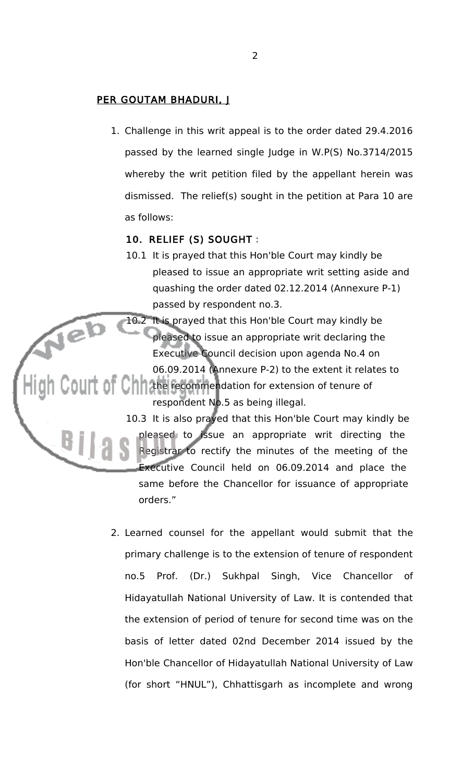# PER GOUTAM BHADURI, J

1. Challenge in this writ appeal is to the order dated 29.4.2016 passed by the learned single Judge in W.P(S) No.3714/2015 whereby the writ petition filed by the appellant herein was dismissed. The relief(s) sought in the petition at Para 10 are as follows:

# 10. RELIEF (S) SOUGHT :

10.1 It is prayed that this Hon'ble Court may kindly be pleased to issue an appropriate writ setting aside and quashing the order dated 02.12.2014 (Annexure P-1) passed by respondent no.3.

10.2 It is prayed that this Hon'ble Court may kindly be pleased to issue an appropriate writ declaring the Executive Council decision upon agenda No.4 on 06.09.2014 (Annexure P-2) to the extent it relates to **OLIT OF CHILITHE recommendation for extension of tenure of** respondent No.5 as being illegal.

> 10.3 It is also prayed that this Hon'ble Court may kindly be pleased to issue an appropriate writ directing the Registrar to rectify the minutes of the meeting of the Executive Council held on 06.09.2014 and place the same before the Chancellor for issuance of appropriate orders."

2. Learned counsel for the appellant would submit that the primary challenge is to the extension of tenure of respondent no.5 Prof. (Dr.) Sukhpal Singh, Vice Chancellor of Hidayatullah National University of Law. It is contended that the extension of period of tenure for second time was on the basis of letter dated 02nd December 2014 issued by the Hon'ble Chancellor of Hidayatullah National University of Law (for short "HNUL"), Chhattisgarh as incomplete and wrong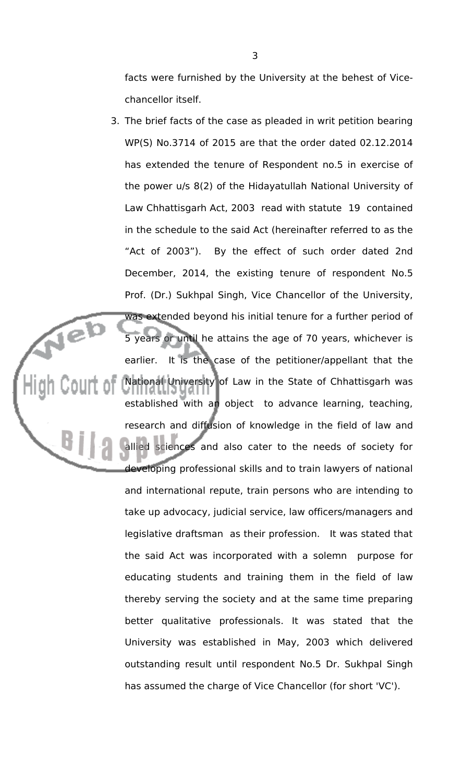facts were furnished by the University at the behest of Vicechancellor itself.

3. The brief facts of the case as pleaded in writ petition bearing WP(S) No.3714 of 2015 are that the order dated 02.12.2014 has extended the tenure of Respondent no.5 in exercise of the power u/s 8(2) of the Hidayatullah National University of Law Chhattisgarh Act, 2003 read with statute 19 contained in the schedule to the said Act (hereinafter referred to as the "Act of 2003"). By the effect of such order dated 2nd December, 2014, the existing tenure of respondent No.5 Prof. (Dr.) Sukhpal Singh, Vice Chancellor of the University, was extended beyond his initial tenure for a further period of 5 years or until he attains the age of 70 years, whichever is earlier. It is the case of the petitioner/appellant that the National University of Law in the State of Chhattisgarh was established with an object to advance learning, teaching, research and diffusion of knowledge in the field of law and allied sciences and also cater to the needs of society for developing professional skills and to train lawyers of national and international repute, train persons who are intending to take up advocacy, judicial service, law officers/managers and legislative draftsman as their profession. It was stated that the said Act was incorporated with a solemn purpose for educating students and training them in the field of law thereby serving the society and at the same time preparing better qualitative professionals. It was stated that the University was established in May, 2003 which delivered outstanding result until respondent No.5 Dr. Sukhpal Singh has assumed the charge of Vice Chancellor (for short 'VC').

jel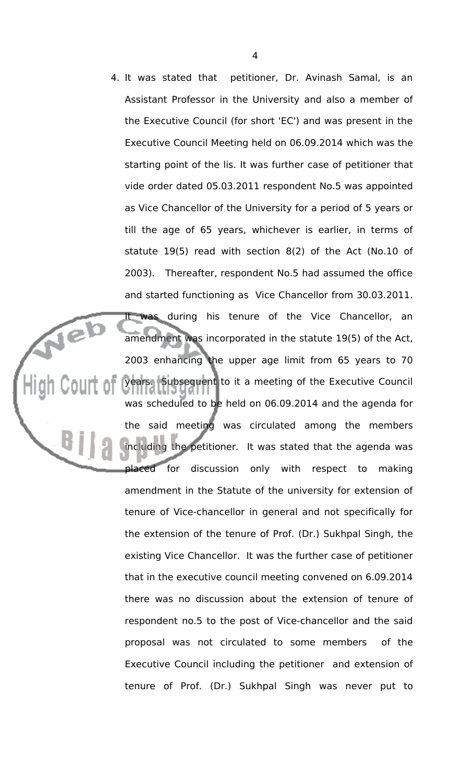4. It was stated that petitioner, Dr. Avinash Samal, is an Assistant Professor in the University and also a member of the Executive Council (for short 'EC') and was present in the Executive Council Meeting held on 06.09.2014 which was the starting point of the lis. It was further case of petitioner that vide order dated 05.03.2011 respondent No.5 was appointed as Vice Chancellor of the University for a period of 5 years or till the age of 65 years, whichever is earlier, in terms of statute 19(5) read with section 8(2) of the Act (No.10 of 2003). Thereafter, respondent No.5 had assumed the office and started functioning as Vice Chancellor from 30.03.2011. It was during his tenure of the Vice Chancellor, an amendment was incorporated in the statute 19(5) of the Act, 2003 enhancing the upper age limit from 65 years to 70 years. Subsequent to it a meeting of the Executive Council was scheduled to be held on 06.09.2014 and the agenda for the said meeting was circulated among the members including the petitioner. It was stated that the agenda was placed for discussion only with respect to making amendment in the Statute of the university for extension of tenure of Vice-chancellor in general and not specifically for the extension of the tenure of Prof. (Dr.) Sukhpal Singh, the existing Vice Chancellor. It was the further case of petitioner that in the executive council meeting convened on 6.09.2014 there was no discussion about the extension of tenure of respondent no.5 to the post of Vice-chancellor and the said proposal was not circulated to some members of the Executive Council including the petitioner and extension of tenure of Prof. (Dr.) Sukhpal Singh was never put to

Veb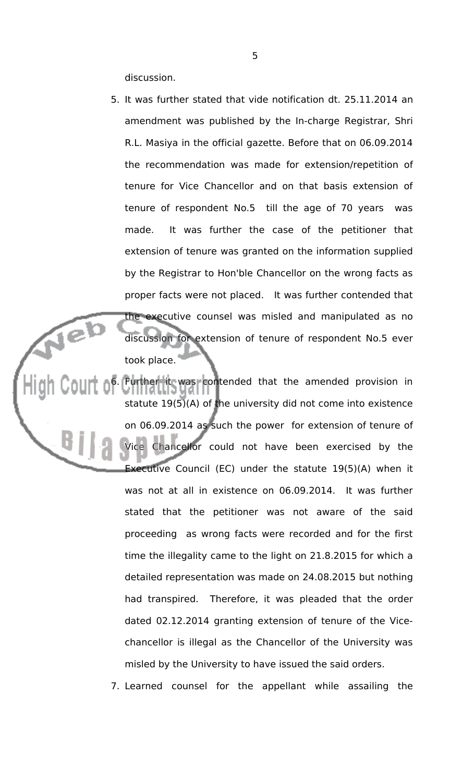discussion.

- 5. It was further stated that vide notification dt. 25.11.2014 an amendment was published by the In-charge Registrar, Shri R.L. Masiya in the official gazette. Before that on 06.09.2014 the recommendation was made for extension/repetition of tenure for Vice Chancellor and on that basis extension of tenure of respondent No.5 till the age of 70 years was made. It was further the case of the petitioner that extension of tenure was granted on the information supplied by the Registrar to Hon'ble Chancellor on the wrong facts as proper facts were not placed. It was further contended that the executive counsel was misled and manipulated as no discussion for extension of tenure of respondent No.5 ever took place.
- 6. Further it was contended that the amended provision in statute 19(5)(A) of the university did not come into existence on 06.09.2014 as such the power for extension of tenure of Chancellor could not have been exercised by the Executive Council (EC) under the statute 19(5)(A) when it was not at all in existence on 06.09.2014. It was further stated that the petitioner was not aware of the said proceeding as wrong facts were recorded and for the first time the illegality came to the light on 21.8.2015 for which a detailed representation was made on 24.08.2015 but nothing had transpired. Therefore, it was pleaded that the order dated 02.12.2014 granting extension of tenure of the Vicechancellor is illegal as the Chancellor of the University was misled by the University to have issued the said orders.

7. Learned counsel for the appellant while assailing the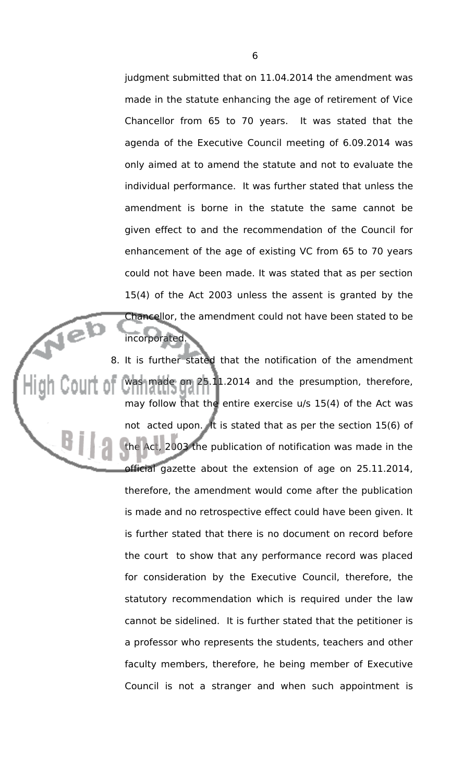judgment submitted that on 11.04.2014 the amendment was made in the statute enhancing the age of retirement of Vice Chancellor from 65 to 70 years. It was stated that the agenda of the Executive Council meeting of 6.09.2014 was only aimed at to amend the statute and not to evaluate the individual performance. It was further stated that unless the amendment is borne in the statute the same cannot be given effect to and the recommendation of the Council for enhancement of the age of existing VC from 65 to 70 years could not have been made. It was stated that as per section 15(4) of the Act 2003 unless the assent is granted by the Chancellor, the amendment could not have been stated to be incorporated.

íe)

8. It is further stated that the notification of the amendment was made on 25.11.2014 and the presumption, therefore, may follow that the entire exercise u/s 15(4) of the Act was not acted upon. It is stated that as per the section 15(6) of 2003 the publication of notification was made in the official gazette about the extension of age on 25.11.2014, therefore, the amendment would come after the publication is made and no retrospective effect could have been given. It is further stated that there is no document on record before the court to show that any performance record was placed for consideration by the Executive Council, therefore, the statutory recommendation which is required under the law cannot be sidelined. It is further stated that the petitioner is a professor who represents the students, teachers and other faculty members, therefore, he being member of Executive Council is not a stranger and when such appointment is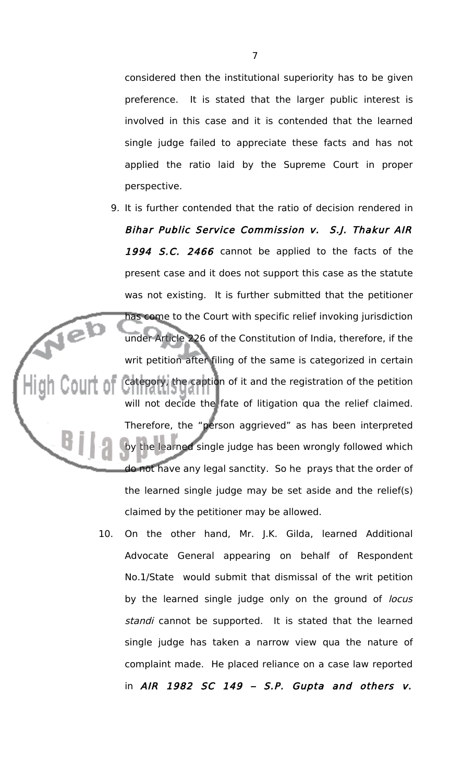considered then the institutional superiority has to be given preference. It is stated that the larger public interest is involved in this case and it is contended that the learned single judge failed to appreciate these facts and has not applied the ratio laid by the Supreme Court in proper perspective.

- 9. It is further contended that the ratio of decision rendered in Bihar Public Service Commission v. S.J. Thakur AIR 1994 S.C. 2466 cannot be applied to the facts of the present case and it does not support this case as the statute was not existing. It is further submitted that the petitioner has come to the Court with specific relief invoking jurisdiction under Article 226 of the Constitution of India, therefore, if the writ petition after filing of the same is categorized in certain category, the caption of it and the registration of the petition will not decide the fate of litigation qua the relief claimed. Therefore, the "person aggrieved" as has been interpreted by the learned single judge has been wrongly followed which do not have any legal sanctity. So he prays that the order of the learned single judge may be set aside and the relief(s) claimed by the petitioner may be allowed.
- 10. On the other hand, Mr. J.K. Gilda, learned Additional Advocate General appearing on behalf of Respondent No.1/State would submit that dismissal of the writ petition by the learned single judge only on the ground of locus standi cannot be supported. It is stated that the learned single judge has taken a narrow view qua the nature of complaint made. He placed reliance on a case law reported in  $AIR$  1982 SC 149 - S.P. Gupta and others  $v$ .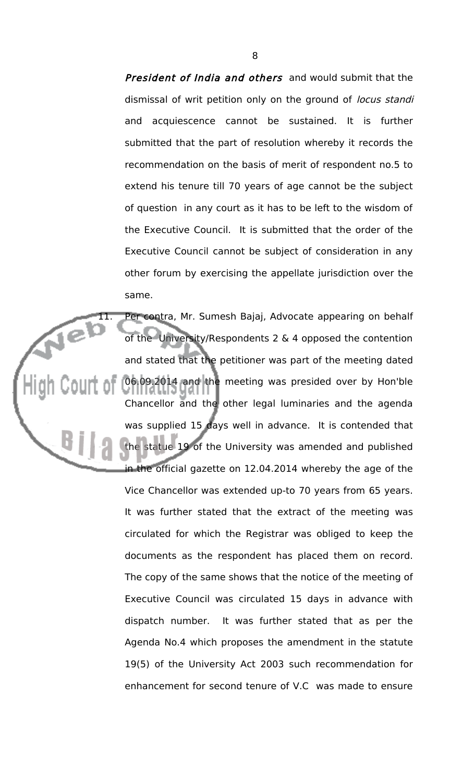President of India and others and would submit that the dismissal of writ petition only on the ground of locus standi and acquiescence cannot be sustained. It is further submitted that the part of resolution whereby it records the recommendation on the basis of merit of respondent no.5 to extend his tenure till 70 years of age cannot be the subject of question in any court as it has to be left to the wisdom of the Executive Council. It is submitted that the order of the Executive Council cannot be subject of consideration in any other forum by exercising the appellate jurisdiction over the same.

11. Per contra, Mr. Sumesh Bajaj, Advocate appearing on behalf<br>of the University/Respondents 2 & 4 onnosed the contraction of the University/Respondents 2 & 4 opposed the contention and stated that the petitioner was part of the meeting dated 06.09.2014 and the meeting was presided over by Hon'ble Chancellor and the other legal luminaries and the agenda was supplied 15 days well in advance. It is contended that statue 19 of the University was amended and published in the official gazette on 12.04.2014 whereby the age of the Vice Chancellor was extended up-to 70 years from 65 years. It was further stated that the extract of the meeting was circulated for which the Registrar was obliged to keep the documents as the respondent has placed them on record. The copy of the same shows that the notice of the meeting of Executive Council was circulated 15 days in advance with dispatch number. It was further stated that as per the Agenda No.4 which proposes the amendment in the statute 19(5) of the University Act 2003 such recommendation for enhancement for second tenure of V.C was made to ensure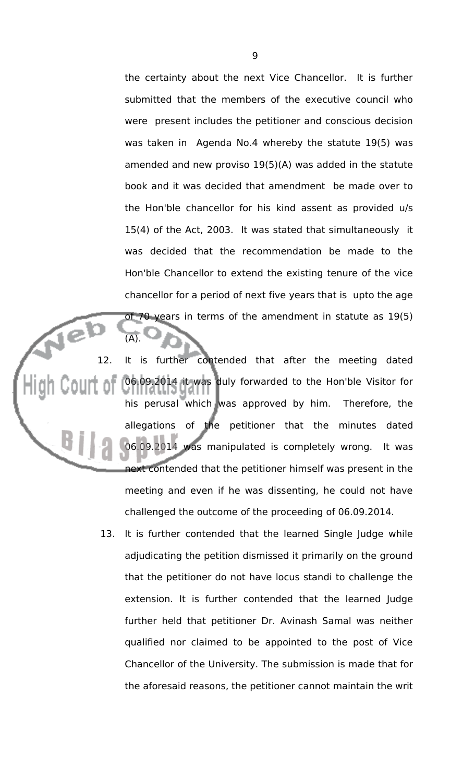the certainty about the next Vice Chancellor. It is further submitted that the members of the executive council who were present includes the petitioner and conscious decision was taken in Agenda No.4 whereby the statute 19(5) was amended and new proviso 19(5)(A) was added in the statute book and it was decided that amendment be made over to the Hon'ble chancellor for his kind assent as provided u/s 15(4) of the Act, 2003. It was stated that simultaneously it was decided that the recommendation be made to the Hon'ble Chancellor to extend the existing tenure of the vice chancellor for a period of next five years that is upto the age of 70 years in terms of the amendment in statute as 19(5)

12. It is further contended that after the meeting dated 06.09.2014 it was duly forwarded to the Hon'ble Visitor for his perusal which was approved by him. Therefore, the allegations of the petitioner that the minutes dated 06.09.2014 was manipulated is completely wrong. It was next contended that the petitioner himself was present in the meeting and even if he was dissenting, he could not have challenged the outcome of the proceeding of 06.09.2014.

 $(\overline{A})$ 

13. It is further contended that the learned Single Judge while adjudicating the petition dismissed it primarily on the ground that the petitioner do not have locus standi to challenge the extension. It is further contended that the learned Judge further held that petitioner Dr. Avinash Samal was neither qualified nor claimed to be appointed to the post of Vice Chancellor of the University. The submission is made that for the aforesaid reasons, the petitioner cannot maintain the writ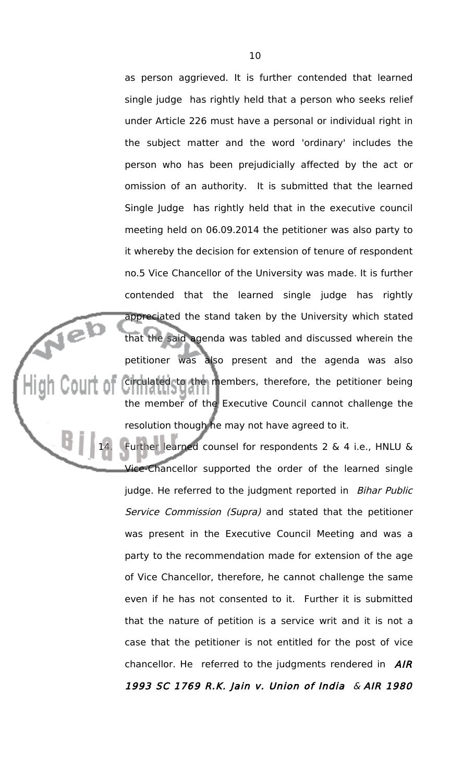as person aggrieved. It is further contended that learned single judge has rightly held that a person who seeks relief under Article 226 must have a personal or individual right in the subject matter and the word 'ordinary' includes the person who has been prejudicially affected by the act or omission of an authority. It is submitted that the learned Single Judge has rightly held that in the executive council meeting held on 06.09.2014 the petitioner was also party to it whereby the decision for extension of tenure of respondent no.5 Vice Chancellor of the University was made. It is further contended that the learned single judge has rightly appreciated the stand taken by the University which stated that the said agenda was tabled and discussed wherein the petitioner was also present and the agenda was also circulated to the members, therefore, the petitioner being the member of the Executive Council cannot challenge the resolution though he may not have agreed to it.

Jeb

Further learned counsel for respondents  $2 \& 4$  i.e., HNLU  $\&$ Vice-Chancellor supported the order of the learned single judge. He referred to the judgment reported in Bihar Public Service Commission (Supra) and stated that the petitioner was present in the Executive Council Meeting and was a party to the recommendation made for extension of the age of Vice Chancellor, therefore, he cannot challenge the same even if he has not consented to it. Further it is submitted that the nature of petition is a service writ and it is not a case that the petitioner is not entitled for the post of vice chancellor. He referred to the judgments rendered in  $A/R$ 1993 SC 1769 R.K. Jain v. Union of India & AIR 1980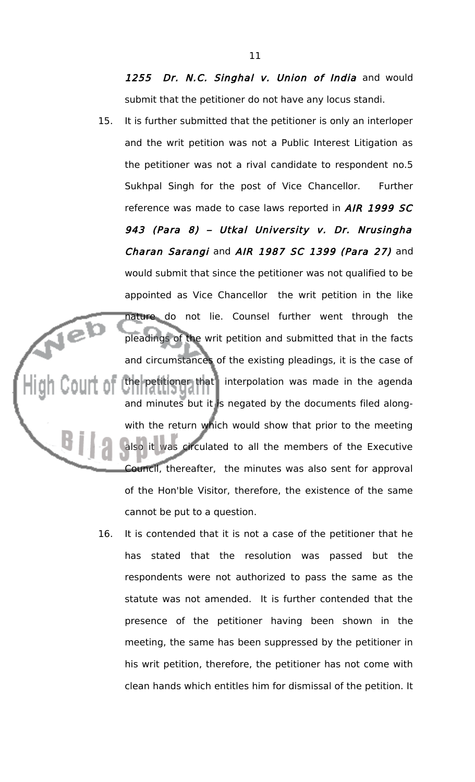1255 Dr. N.C. Singhal v. Union of India and would submit that the petitioner do not have any locus standi.

- 15. It is further submitted that the petitioner is only an interloper and the writ petition was not a Public Interest Litigation as the petitioner was not a rival candidate to respondent no.5 Sukhpal Singh for the post of Vice Chancellor. Further reference was made to case laws reported in AIR 1999 SC 943 (Para 8) – Utkal University v. Dr. Nrusingha Charan Sarangi and AIR 1987 SC 1399 (Para 27) and would submit that since the petitioner was not qualified to be appointed as Vice Chancellor the writ petition in the like nature do not lie. Counsel further went through the pleadings of the writ petition and submitted that in the facts and circumstances of the existing pleadings, it is the case of the petitioner that interpolation was made in the agenda and minutes but it is negated by the documents filed alongwith the return which would show that prior to the meeting also it was circulated to all the members of the Executive Council, thereafter, the minutes was also sent for approval of the Hon'ble Visitor, therefore, the existence of the same cannot be put to a question.
	- 16. It is contended that it is not a case of the petitioner that he has stated that the resolution was passed but the respondents were not authorized to pass the same as the statute was not amended. It is further contended that the presence of the petitioner having been shown in the meeting, the same has been suppressed by the petitioner in his writ petition, therefore, the petitioner has not come with clean hands which entitles him for dismissal of the petition. It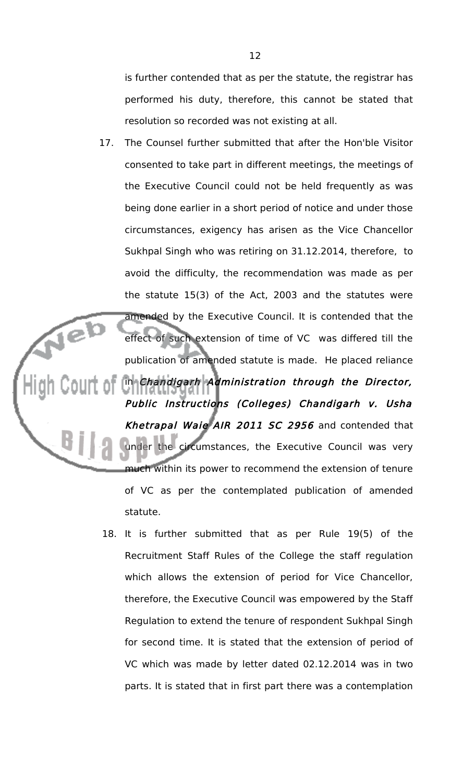is further contended that as per the statute, the registrar has performed his duty, therefore, this cannot be stated that resolution so recorded was not existing at all.

- 17. The Counsel further submitted that after the Hon'ble Visitor consented to take part in different meetings, the meetings of the Executive Council could not be held frequently as was being done earlier in a short period of notice and under those circumstances, exigency has arisen as the Vice Chancellor Sukhpal Singh who was retiring on 31.12.2014, therefore, to avoid the difficulty, the recommendation was made as per the statute 15(3) of the Act, 2003 and the statutes were amended by the Executive Council. It is contended that the jel effect of such extension of time of VC was differed till the publication of amended statute is made. He placed reliance in Chandigarh Administration through the Director, Public Instructions (Colleges) Chandigarh v. Usha Khetrapal Waie AIR 2011 SC 2956 and contended that under the circumstances, the Executive Council was very much within its power to recommend the extension of tenure of VC as per the contemplated publication of amended statute.
	- 18. It is further submitted that as per Rule 19(5) of the Recruitment Staff Rules of the College the staff regulation which allows the extension of period for Vice Chancellor, therefore, the Executive Council was empowered by the Staff Regulation to extend the tenure of respondent Sukhpal Singh for second time. It is stated that the extension of period of VC which was made by letter dated 02.12.2014 was in two parts. It is stated that in first part there was a contemplation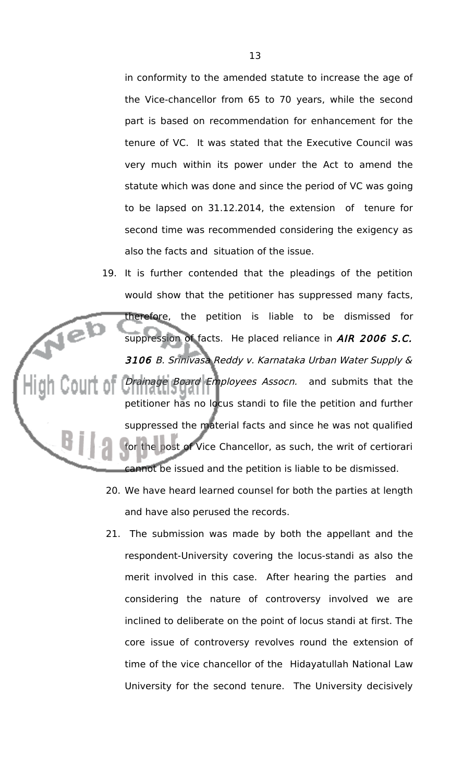in conformity to the amended statute to increase the age of the Vice-chancellor from 65 to 70 years, while the second part is based on recommendation for enhancement for the tenure of VC. It was stated that the Executive Council was very much within its power under the Act to amend the statute which was done and since the period of VC was going to be lapsed on 31.12.2014, the extension of tenure for second time was recommended considering the exigency as also the facts and situation of the issue.

- 19. It is further contended that the pleadings of the petition would show that the petitioner has suppressed many facts, therefore, the petition is liable to be dismissed for Jeb suppression of facts. He placed reliance in AIR 2006 S.C. 3106 B. Srinivasa Reddy v. Karnataka Urban Water Supply & Drainage Board Employees Assocn. and submits that the petitioner has no locus standi to file the petition and further suppressed the material facts and since he was not qualified post of Vice Chancellor, as such, the writ of certiorari cannot be issued and the petition is liable to be dismissed.
	- 20. We have heard learned counsel for both the parties at length and have also perused the records.
	- 21. The submission was made by both the appellant and the respondent-University covering the locus-standi as also the merit involved in this case. After hearing the parties and considering the nature of controversy involved we are inclined to deliberate on the point of locus standi at first. The core issue of controversy revolves round the extension of time of the vice chancellor of the Hidayatullah National Law University for the second tenure. The University decisively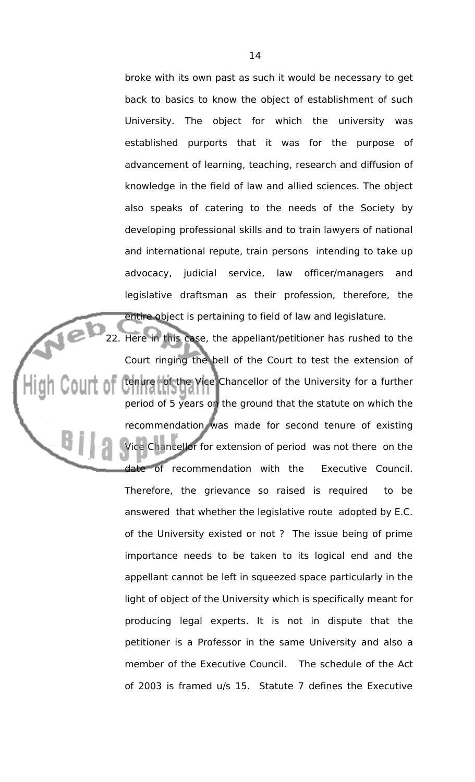broke with its own past as such it would be necessary to get back to basics to know the object of establishment of such University. The object for which the university was established purports that it was for the purpose of advancement of learning, teaching, research and diffusion of knowledge in the field of law and allied sciences. The object also speaks of catering to the needs of the Society by developing professional skills and to train lawyers of national and international repute, train persons intending to take up advocacy, judicial service, law officer/managers and legislative draftsman as their profession, therefore, the entire object is pertaining to field of law and legislature.

22. Here in this case, the appellant/petitioner has rushed to the Court ringing the bell of the Court to test the extension of tenure of the Vice Chancellor of the University for a further period of 5 years on the ground that the statute on which the recommendation was made for second tenure of existing Vice Chancellor for extension of period was not there on the date of recommendation with the Executive Council. Therefore, the grievance so raised is required to be answered that whether the legislative route adopted by E.C. of the University existed or not ? The issue being of prime importance needs to be taken to its logical end and the appellant cannot be left in squeezed space particularly in the light of object of the University which is specifically meant for producing legal experts. It is not in dispute that the petitioner is a Professor in the same University and also a member of the Executive Council. The schedule of the Act of 2003 is framed u/s 15. Statute 7 defines the Executive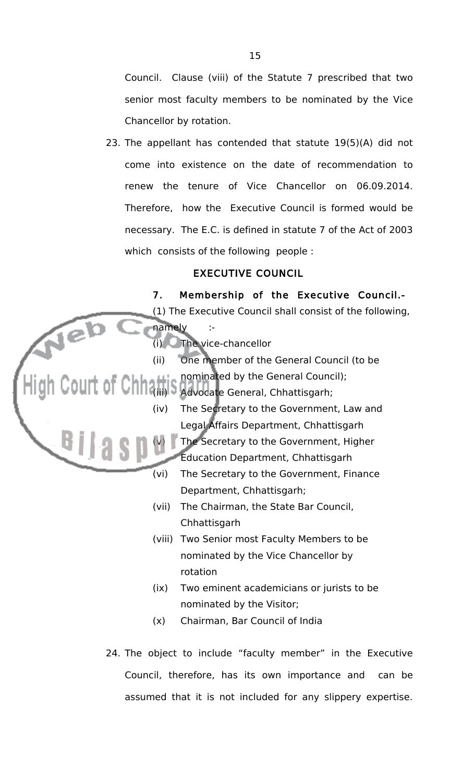Council. Clause (viii) of the Statute 7 prescribed that two senior most faculty members to be nominated by the Vice Chancellor by rotation.

23. The appellant has contended that statute 19(5)(A) did not come into existence on the date of recommendation to renew the tenure of Vice Chancellor on 06.09.2014. Therefore, how the Executive Council is formed would be necessary. The E.C. is defined in statute 7 of the Act of 2003 which consists of the following people :

# EXECUTIVE COUNCIL

7. Membership of the Executive Council.- (1) The Executive Council shall consist of the following, Jeb namely :- (i) The vice-chancellor (ii) One member of the General Council (to be OUIT OF Chinami S nominated by the General Council nominated by the General Council); (iv) The Secretary to the Government, Law and Legal Affairs Department, Chhattisgarh The Secretary to the Government, Higher Education Department, Chhattisgarh (vi) The Secretary to the Government, Finance Department, Chhattisgarh; (vii) The Chairman, the State Bar Council, Chhattisgarh (viii) Two Senior most Faculty Members to be nominated by the Vice Chancellor by rotation (ix) Two eminent academicians or jurists to be nominated by the Visitor; (x) Chairman, Bar Council of India 24. The object to include "faculty member" in the Executive

Council, therefore, has its own importance and can be assumed that it is not included for any slippery expertise.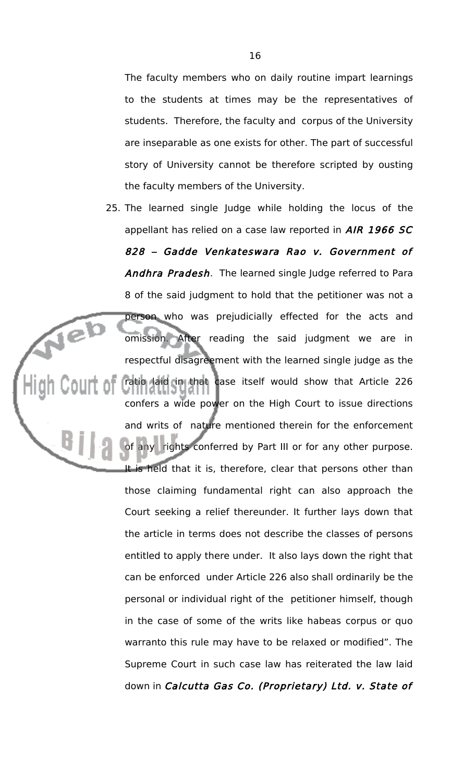The faculty members who on daily routine impart learnings to the students at times may be the representatives of students. Therefore, the faculty and corpus of the University are inseparable as one exists for other. The part of successful story of University cannot be therefore scripted by ousting the faculty members of the University.

25. The learned single Judge while holding the locus of the appellant has relied on a case law reported in AIR 1966 SC 828 – Gadde Venkateswara Rao v. Government of Andhra Pradesh. The learned single Judge referred to Para 8 of the said judgment to hold that the petitioner was not a person who was prejudicially effected for the acts and omission. After reading the said judgment we are in respectful disagreement with the learned single judge as the ratio laid in that case itself would show that Article 226 confers a wide power on the High Court to issue directions and writs of nature mentioned therein for the enforcement rights conferred by Part III or for any other purpose. It is held that it is, therefore, clear that persons other than those claiming fundamental right can also approach the Court seeking a relief thereunder. It further lays down that the article in terms does not describe the classes of persons entitled to apply there under. It also lays down the right that can be enforced under Article 226 also shall ordinarily be the personal or individual right of the petitioner himself, though in the case of some of the writs like habeas corpus or quo warranto this rule may have to be relaxed or modified". The Supreme Court in such case law has reiterated the law laid down in Calcutta Gas Co. (Proprietary) Ltd. v. State of

je)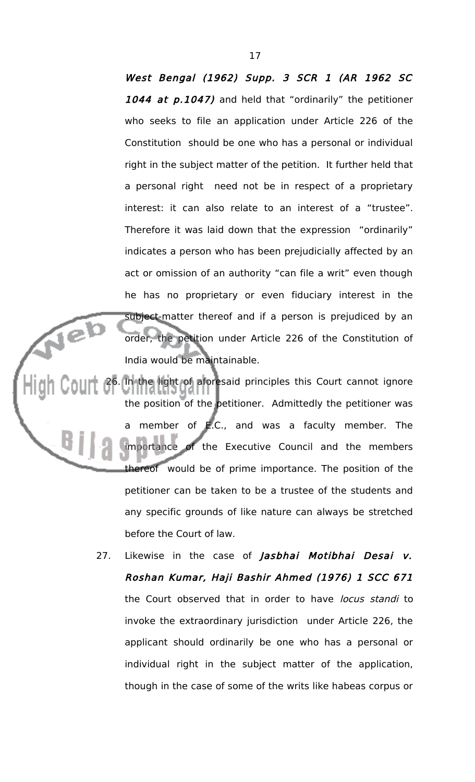West Bengal (1962) Supp. 3 SCR 1 (AR 1962 SC 1044 at p.1047) and held that "ordinarily" the petitioner who seeks to file an application under Article 226 of the Constitution should be one who has a personal or individual right in the subject matter of the petition. It further held that a personal right need not be in respect of a proprietary interest: it can also relate to an interest of a "trustee". Therefore it was laid down that the expression "ordinarily" indicates a person who has been prejudicially affected by an act or omission of an authority "can file a writ" even though he has no proprietary or even fiduciary interest in the subject-matter thereof and if a person is prejudiced by an order, the petition under Article 226 of the Constitution of India would be maintainable.

26. In the light of aforesaid principles this Court cannot ignore the position of the petitioner. Admittedly the petitioner was a member of E.C., and was a faculty member. The importance of the Executive Council and the members thereof would be of prime importance. The position of the petitioner can be taken to be a trustee of the students and any specific grounds of like nature can always be stretched before the Court of law.

> 27. Likewise in the case of Jasbhai Motibhai Desai v. Roshan Kumar, Haji Bashir Ahmed (1976) 1 SCC 671 the Court observed that in order to have locus standi to invoke the extraordinary jurisdiction under Article 226, the applicant should ordinarily be one who has a personal or individual right in the subject matter of the application, though in the case of some of the writs like habeas corpus or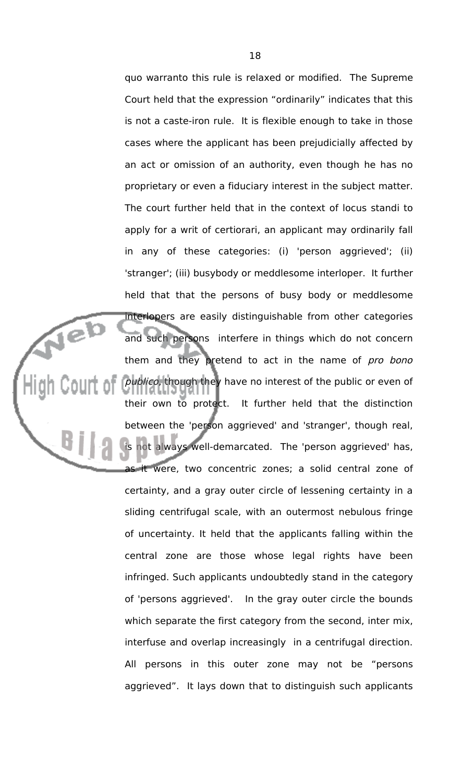quo warranto this rule is relaxed or modified. The Supreme Court held that the expression "ordinarily" indicates that this is not a caste-iron rule. It is flexible enough to take in those cases where the applicant has been prejudicially affected by an act or omission of an authority, even though he has no proprietary or even a fiduciary interest in the subject matter. The court further held that in the context of locus standi to apply for a writ of certiorari, an applicant may ordinarily fall in any of these categories: (i) 'person aggrieved'; (ii) 'stranger'; (iii) busybody or meddlesome interloper. It further held that that the persons of busy body or meddlesome interlopers are easily distinguishable from other categories and such persons interfere in things which do not concern them and they pretend to act in the name of pro bono publico, though they have no interest of the public or even of their own to protect. It further held that the distinction between the 'person aggrieved' and 'stranger', though real, not always well-demarcated. The 'person aggrieved' has, as it were, two concentric zones; a solid central zone of certainty, and a gray outer circle of lessening certainty in a sliding centrifugal scale, with an outermost nebulous fringe of uncertainty. It held that the applicants falling within the central zone are those whose legal rights have been infringed. Such applicants undoubtedly stand in the category of 'persons aggrieved'. In the gray outer circle the bounds which separate the first category from the second, inter mix, interfuse and overlap increasingly in a centrifugal direction. All persons in this outer zone may not be "persons aggrieved". It lays down that to distinguish such applicants

**Tel**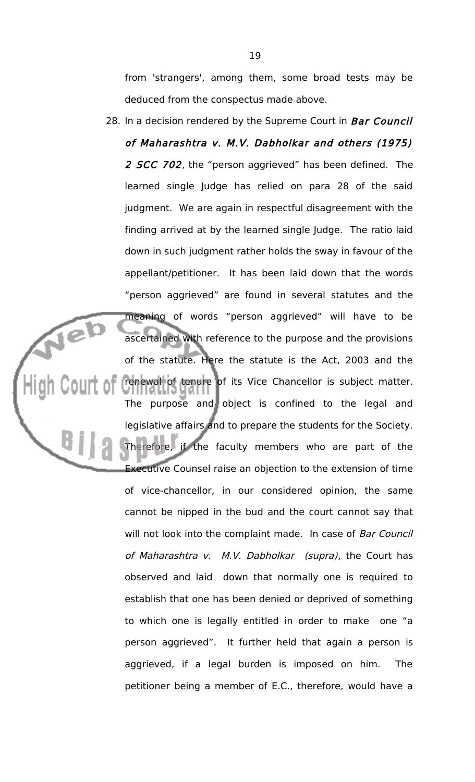from 'strangers', among them, some broad tests may be deduced from the conspectus made above.

28. In a decision rendered by the Supreme Court in Bar Council of Maharashtra v. M.V. Dabholkar and others (1975) 2 SCC 702, the "person aggrieved" has been defined. The learned single Judge has relied on para 28 of the said judgment. We are again in respectful disagreement with the finding arrived at by the learned single Judge. The ratio laid down in such judgment rather holds the sway in favour of the appellant/petitioner. It has been laid down that the words "person aggrieved" are found in several statutes and the meaning of words "person aggrieved" will have to be ascertained with reference to the purpose and the provisions of the statute. Here the statute is the Act, 2003 and the renewal of tenure of its Vice Chancellor is subject matter. The purpose and object is confined to the legal and legislative affairs and to prepare the students for the Society. if the faculty members who are part of the Executive Counsel raise an objection to the extension of time of vice-chancellor, in our considered opinion, the same cannot be nipped in the bud and the court cannot say that will not look into the complaint made. In case of Bar Council of Maharashtra v. M.V. Dabholkar (supra), the Court has observed and laid down that normally one is required to establish that one has been denied or deprived of something to which one is legally entitled in order to make one "a person aggrieved". It further held that again a person is aggrieved, if a legal burden is imposed on him. The petitioner being a member of E.C., therefore, would have a

jeb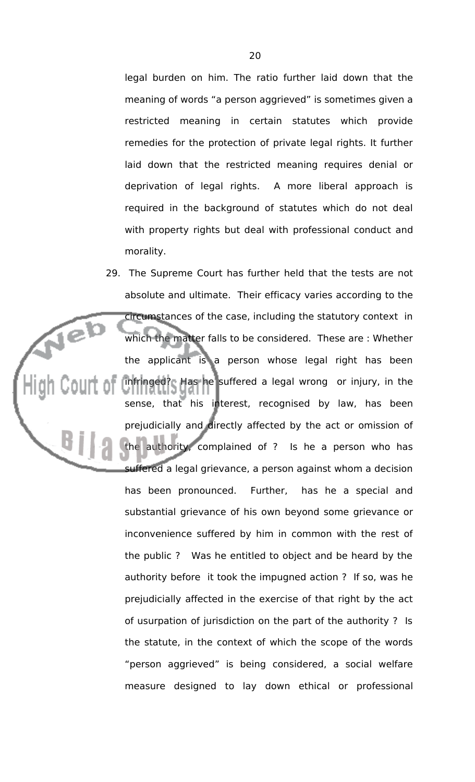legal burden on him. The ratio further laid down that the meaning of words "a person aggrieved" is sometimes given a restricted meaning in certain statutes which provide remedies for the protection of private legal rights. It further laid down that the restricted meaning requires denial or deprivation of legal rights. A more liberal approach is required in the background of statutes which do not deal with property rights but deal with professional conduct and morality.

29. The Supreme Court has further held that the tests are not absolute and ultimate. Their efficacy varies according to the circumstances of the case, including the statutory context in Veb which the matter falls to be considered. These are : Whether the applicant is a person whose legal right has been infringed? Has he suffered a legal wrong or injury, in the sense, that his interest, recognised by law, has been prejudicially and directly affected by the act or omission of authority, complained of ? Is he a person who has suffered a legal grievance, a person against whom a decision has been pronounced. Further, has he a special and substantial grievance of his own beyond some grievance or inconvenience suffered by him in common with the rest of the public ? Was he entitled to object and be heard by the authority before it took the impugned action ? If so, was he prejudicially affected in the exercise of that right by the act of usurpation of jurisdiction on the part of the authority ? Is the statute, in the context of which the scope of the words "person aggrieved" is being considered, a social welfare measure designed to lay down ethical or professional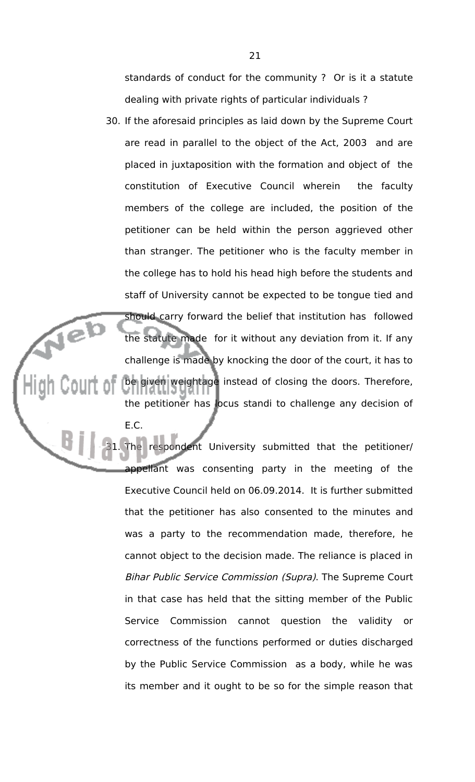standards of conduct for the community ? Or is it a statute dealing with private rights of particular individuals ?

30. If the aforesaid principles as laid down by the Supreme Court are read in parallel to the object of the Act, 2003 and are placed in juxtaposition with the formation and object of the constitution of Executive Council wherein the faculty members of the college are included, the position of the petitioner can be held within the person aggrieved other than stranger. The petitioner who is the faculty member in the college has to hold his head high before the students and staff of University cannot be expected to be tongue tied and should carry forward the belief that institution has followed the statute made for it without any deviation from it. If any challenge is made by knocking the door of the court, it has to be given weightage instead of closing the doors. Therefore, the petitioner has locus standi to challenge any decision of

E.C.

respondent University submitted that the petitioner/ appellant was consenting party in the meeting of the Executive Council held on 06.09.2014. It is further submitted that the petitioner has also consented to the minutes and was a party to the recommendation made, therefore, he cannot object to the decision made. The reliance is placed in Bihar Public Service Commission (Supra). The Supreme Court in that case has held that the sitting member of the Public Service Commission cannot question the validity or correctness of the functions performed or duties discharged by the Public Service Commission as a body, while he was its member and it ought to be so for the simple reason that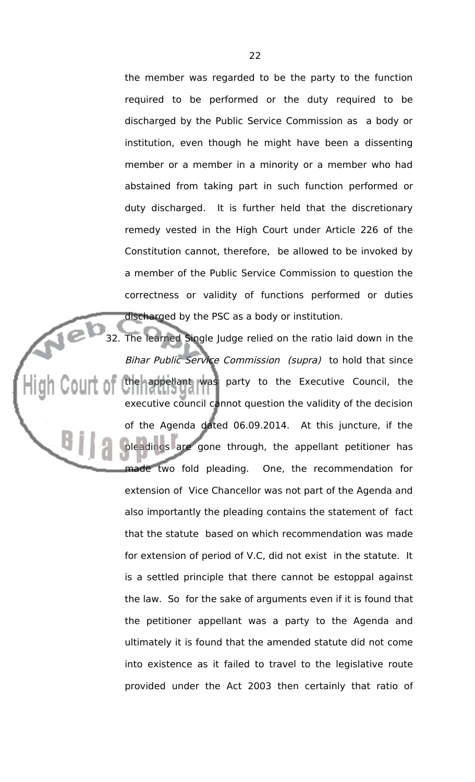the member was regarded to be the party to the function required to be performed or the duty required to be discharged by the Public Service Commission as a body or institution, even though he might have been a dissenting member or a member in a minority or a member who had abstained from taking part in such function performed or duty discharged. It is further held that the discretionary remedy vested in the High Court under Article 226 of the Constitution cannot, therefore, be allowed to be invoked by a member of the Public Service Commission to question the correctness or validity of functions performed or duties discharged by the PSC as a body or institution.

32. The learned Single Judge relied on the ratio laid down in the Bihar Public Service Commission (supra) to hold that since the appellant was party to the Executive Council, the executive council cannot question the validity of the decision of the Agenda dated 06.09.2014. At this juncture, if the pleadings are gone through, the appellant petitioner has made two fold pleading. One, the recommendation for extension of Vice Chancellor was not part of the Agenda and also importantly the pleading contains the statement of fact that the statute based on which recommendation was made for extension of period of V.C, did not exist in the statute. It is a settled principle that there cannot be estoppal against the law. So for the sake of arguments even if it is found that the petitioner appellant was a party to the Agenda and ultimately it is found that the amended statute did not come into existence as it failed to travel to the legislative route provided under the Act 2003 then certainly that ratio of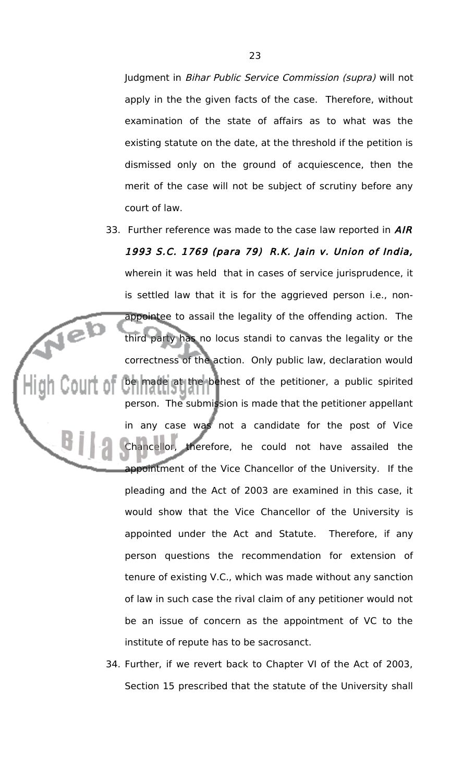Judgment in Bihar Public Service Commission (supra) will not apply in the the given facts of the case. Therefore, without examination of the state of affairs as to what was the existing statute on the date, at the threshold if the petition is dismissed only on the ground of acquiescence, then the merit of the case will not be subject of scrutiny before any court of law.

33. Further reference was made to the case law reported in  $A/R$ 1993 S.C. 1769 (para 79) R.K. Jain v. Union of India, wherein it was held that in cases of service jurisprudence, it is settled law that it is for the aggrieved person i.e., nonappointee to assail the legality of the offending action. The third party has no locus standi to canvas the legality or the correctness of the action. Only public law, declaration would be made at the behest of the petitioner, a public spirited person. The submission is made that the petitioner appellant in any case was not a candidate for the post of Vice Chancellor, therefore, he could not have assailed the appointment of the Vice Chancellor of the University. If the pleading and the Act of 2003 are examined in this case, it would show that the Vice Chancellor of the University is appointed under the Act and Statute. Therefore, if any person questions the recommendation for extension of tenure of existing V.C., which was made without any sanction of law in such case the rival claim of any petitioner would not be an issue of concern as the appointment of VC to the institute of repute has to be sacrosanct.

jeb

34. Further, if we revert back to Chapter VI of the Act of 2003, Section 15 prescribed that the statute of the University shall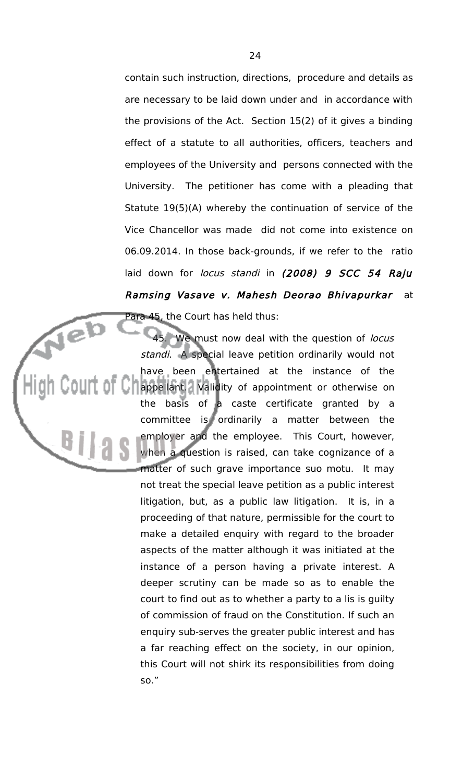contain such instruction, directions, procedure and details as are necessary to be laid down under and in accordance with the provisions of the Act. Section 15(2) of it gives a binding effect of a statute to all authorities, officers, teachers and employees of the University and persons connected with the University. The petitioner has come with a pleading that Statute 19(5)(A) whereby the continuation of service of the Vice Chancellor was made did not come into existence on 06.09.2014. In those back-grounds, if we refer to the ratio laid down for locus standi in (2008) 9 SCC 54 Raju Ramsing Vasave v. Mahesh Deorao Bhivapurkar at Para 45, the Court has held thus:

We must now deal with the question of locus standi. A special leave petition ordinarily would not have been entertained at the instance of the **S** appellant. Validity of appointment or otherwise on the basis of a caste certificate granted by a committee is ordinarily a matter between the employer and the employee. This Court, however, when a question is raised, can take cognizance of a matter of such grave importance suo motu. It may not treat the special leave petition as a public interest litigation, but, as a public law litigation. It is, in a proceeding of that nature, permissible for the court to make a detailed enquiry with regard to the broader aspects of the matter although it was initiated at the instance of a person having a private interest. A deeper scrutiny can be made so as to enable the court to find out as to whether a party to a lis is guilty of commission of fraud on the Constitution. If such an enquiry sub-serves the greater public interest and has a far reaching effect on the society, in our opinion, this Court will not shirk its responsibilities from doing so."

Neb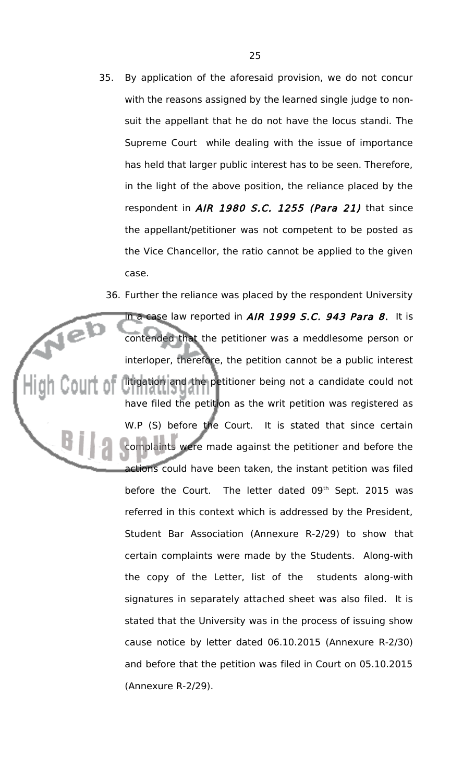35. By application of the aforesaid provision, we do not concur with the reasons assigned by the learned single judge to nonsuit the appellant that he do not have the locus standi. The Supreme Court while dealing with the issue of importance has held that larger public interest has to be seen. Therefore, in the light of the above position, the reliance placed by the respondent in AIR 1980 S.C. 1255 (Para 21) that since the appellant/petitioner was not competent to be posted as the Vice Chancellor, the ratio cannot be applied to the given case.

36. Further the reliance was placed by the respondent University in a case law reported in AIR 1999 S.C. 943 Para 8. It is Jel contended that the petitioner was a meddlesome person or interloper, therefore, the petition cannot be a public interest litigation and the petitioner being not a candidate could not have filed the petition as the writ petition was registered as W.P (S) before the Court. It is stated that since certain complaints were made against the petitioner and before the actions could have been taken, the instant petition was filed before the Court. The letter dated 09<sup>th</sup> Sept. 2015 was referred in this context which is addressed by the President, Student Bar Association (Annexure R-2/29) to show that certain complaints were made by the Students. Along-with the copy of the Letter, list of the students along-with signatures in separately attached sheet was also filed. It is stated that the University was in the process of issuing show cause notice by letter dated 06.10.2015 (Annexure R-2/30) and before that the petition was filed in Court on 05.10.2015 (Annexure R-2/29).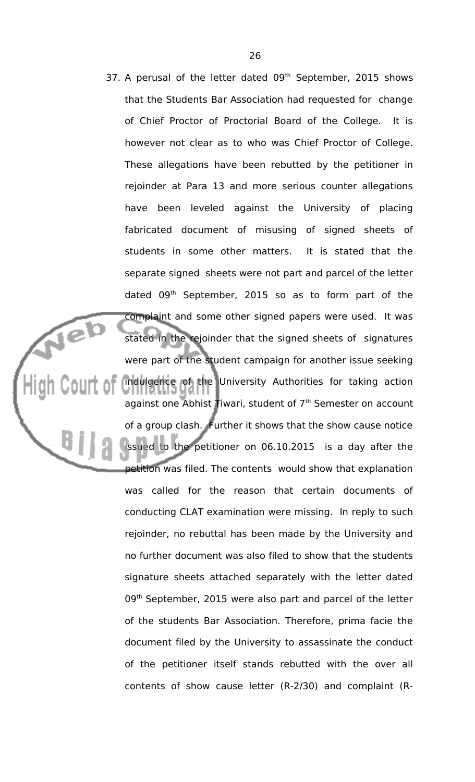37. A perusal of the letter dated  $09<sup>th</sup>$  September, 2015 shows that the Students Bar Association had requested for change of Chief Proctor of Proctorial Board of the College. It is however not clear as to who was Chief Proctor of College. These allegations have been rebutted by the petitioner in rejoinder at Para 13 and more serious counter allegations have been leveled against the University of placing fabricated document of misusing of signed sheets of students in some other matters. It is stated that the separate signed sheets were not part and parcel of the letter dated 09<sup>th</sup> September, 2015 so as to form part of the complaint and some other signed papers were used. It was stated in the rejoinder that the signed sheets of signatures were part of the student campaign for another issue seeking indulgence of the University Authorities for taking action against one Abhist Tiwari, student of  $7<sup>th</sup>$  Semester on account of a group clash. Further it shows that the show cause notice issued to the petitioner on 06.10.2015 is a day after the petition was filed. The contents would show that explanation was called for the reason that certain documents of conducting CLAT examination were missing. In reply to such rejoinder, no rebuttal has been made by the University and no further document was also filed to show that the students signature sheets attached separately with the letter dated 09<sup>th</sup> September, 2015 were also part and parcel of the letter of the students Bar Association. Therefore, prima facie the document filed by the University to assassinate the conduct of the petitioner itself stands rebutted with the over all contents of show cause letter (R-2/30) and complaint (R-

Neb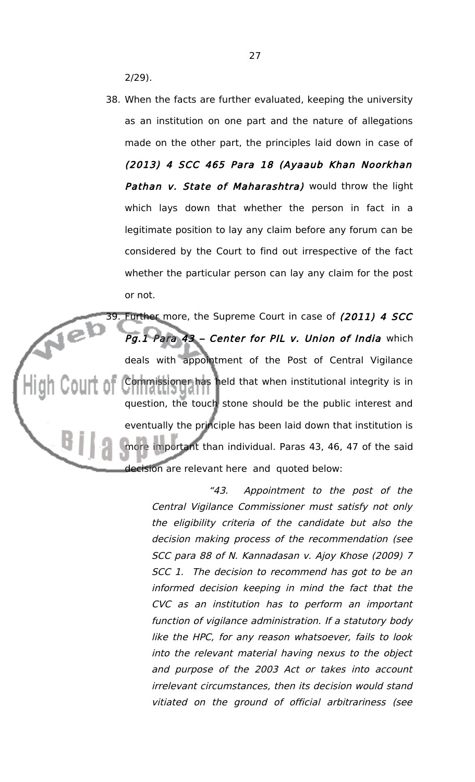2/29).

38. When the facts are further evaluated, keeping the university as an institution on one part and the nature of allegations made on the other part, the principles laid down in case of (2013) 4 SCC 465 Para 18 (Ayaaub Khan Noorkhan Pathan v. State of Maharashtra) would throw the light which lays down that whether the person in fact in a legitimate position to lay any claim before any forum can be considered by the Court to find out irrespective of the fact whether the particular person can lay any claim for the post or not.

39. Further more, the Supreme Court in case of (2011) 4 SCC Jeb Pg.1 Para 43 - Center for PIL v. Union of India which deals with appointment of the Post of Central Vigilance Commissioner has held that when institutional integrity is in question, the touch stone should be the public interest and eventually the principle has been laid down that institution is more important than individual. Paras 43, 46, 47 of the said decision are relevant here and quoted below:

> "43. Appointment to the post of the Central Vigilance Commissioner must satisfy not only the eligibility criteria of the candidate but also the decision making process of the recommendation (see SCC para 88 of N. Kannadasan v. Ajoy Khose (2009) 7 SCC 1. The decision to recommend has got to be an informed decision keeping in mind the fact that the CVC as an institution has to perform an important function of vigilance administration. If a statutory body like the HPC, for any reason whatsoever, fails to look into the relevant material having nexus to the object and purpose of the 2003 Act or takes into account irrelevant circumstances, then its decision would stand vitiated on the ground of official arbitrariness (see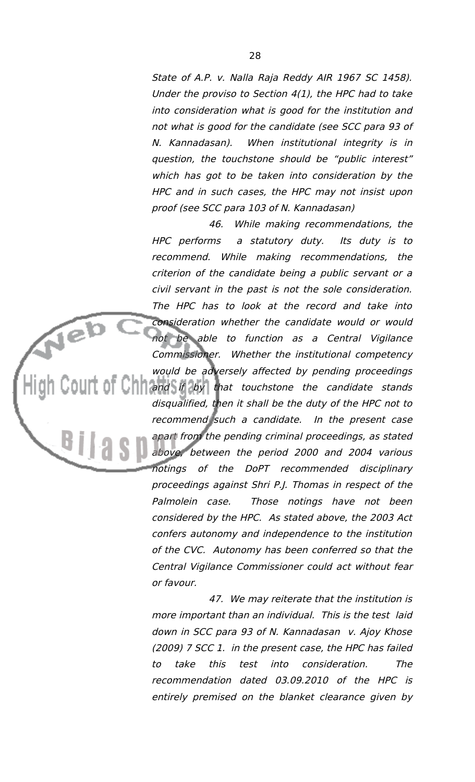State of A.P. v. Nalla Raja Reddy AIR 1967 SC 1458). Under the proviso to Section 4(1), the HPC had to take into consideration what is good for the institution and not what is good for the candidate (see SCC para 93 of N. Kannadasan). When institutional integrity is in question, the touchstone should be "public interest" which has got to be taken into consideration by the HPC and in such cases, the HPC may not insist upon proof (see SCC para 103 of N. Kannadasan)

46. While making recommendations, the HPC performs <sup>a</sup> statutory duty. Its duty is to recommend. While making recommendations, the criterion of the candidate being a public servant or a civil servant in the past is not the sole consideration. The HPC has to look at the record and take into consideration whether the candidate would or would not be able to function as <sup>a</sup> Central Vigilance Commissioner. Whether the institutional competency would be adversely affected by pending proceedings  $\Box$  and if by that touchstone the candidate stands disqualified, then it shall be the duty of the HPC not to recommend such a candidate. In the present case apart from the pending criminal proceedings, as stated above, between the period 2000 and 2004 various notings of the DoPT recommended disciplinary proceedings against Shri P.J. Thomas in respect of the Palmolein case. Those notings have not been considered by the HPC. As stated above, the 2003 Act confers autonomy and independence to the institution of the CVC. Autonomy has been conferred so that the Central Vigilance Commissioner could act without fear or favour.

47. We may reiterate that the institution is more important than an individual. This is the test laid down in SCC para 93 of N. Kannadasan v. Ajoy Khose (2009) 7 SCC 1. in the present case, the HPC has failed to take this test into consideration. The recommendation dated 03.09.2010 of the HPC is entirely premised on the blanket clearance given by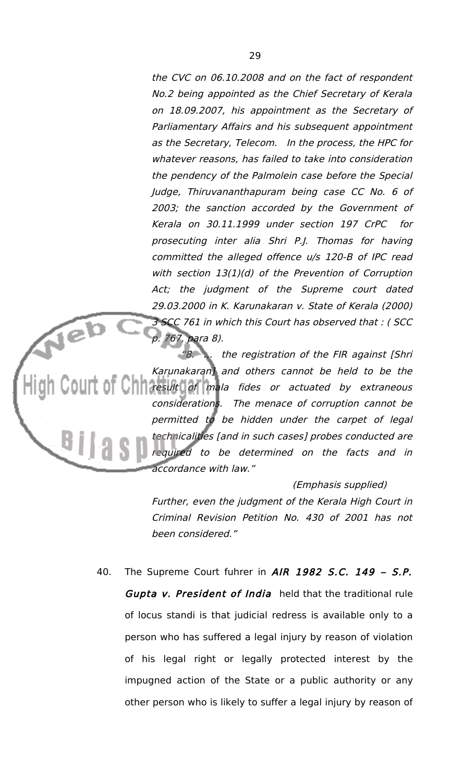the CVC on 06.10.2008 and on the fact of respondent No.2 being appointed as the Chief Secretary of Kerala on 18.09.2007, his appointment as the Secretary of Parliamentary Affairs and his subsequent appointment as the Secretary, Telecom. In the process, the HPC for whatever reasons, has failed to take into consideration the pendency of the Palmolein case before the Special Judge, Thiruvananthapuram being case CC No. 6 of 2003; the sanction accorded by the Government of Kerala on 30.11.1999 under section 197 CrPC for prosecuting inter alia Shri P.J. Thomas for having committed the alleged offence u/s 120-B of IPC read with section 13(1)(d) of the Prevention of Corruption Act; the judgment of the Supreme court dated 29.03.2000 in K. Karunakaran v. State of Kerala (2000) 3 SCC 761 in which this Court has observed that : ( SCC 767, para 8).

"8. … the registration of the FIR against [Shri Karunakaran] and others cannot be held to be the **The result of mala fides or actuated by extraneous** considerations. The menace of corruption cannot be permitted to be hidden under the carpet of legal technicalities [and in such cases] probes conducted are required to be determined on the facts and in accordance with law."

#### (Emphasis supplied)

Further, even the judgment of the Kerala High Court in Criminal Revision Petition No. 430 of 2001 has not been considered."

40. The Supreme Court fuhrer in AIR 1982 S.C. 149 - S.P. Gupta v. President of India held that the traditional rule of locus standi is that judicial redress is available only to a person who has suffered a legal injury by reason of violation of his legal right or legally protected interest by the impugned action of the State or a public authority or any other person who is likely to suffer a legal injury by reason of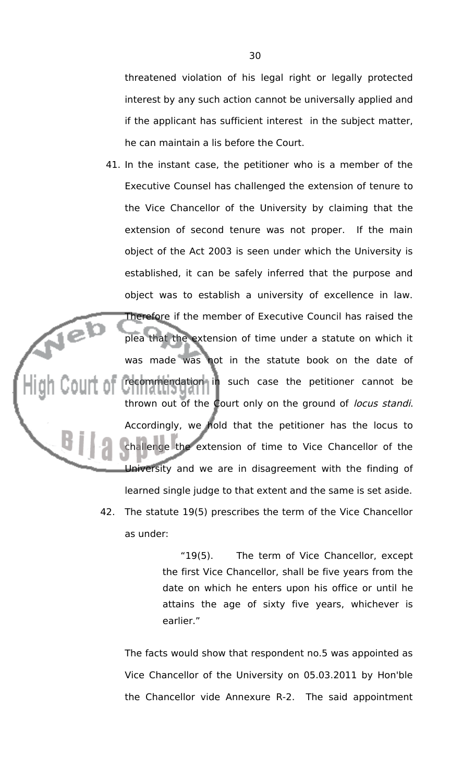threatened violation of his legal right or legally protected interest by any such action cannot be universally applied and if the applicant has sufficient interest in the subject matter, he can maintain a lis before the Court.

- 41. In the instant case, the petitioner who is a member of the Executive Counsel has challenged the extension of tenure to the Vice Chancellor of the University by claiming that the extension of second tenure was not proper. If the main object of the Act 2003 is seen under which the University is established, it can be safely inferred that the purpose and object was to establish a university of excellence in law. Therefore if the member of Executive Council has raised the plea that the extension of time under a statute on which it was made was not in the statute book on the date of recommendation in such case the petitioner cannot be thrown out of the Court only on the ground of locus standi. Accordingly, we hold that the petitioner has the locus to challenge the extension of time to Vice Chancellor of the University and we are in disagreement with the finding of learned single judge to that extent and the same is set aside.
	- 42. The statute 19(5) prescribes the term of the Vice Chancellor as under:

"19(5). The term of Vice Chancellor, except the first Vice Chancellor, shall be five years from the date on which he enters upon his office or until he attains the age of sixty five years, whichever is earlier."

The facts would show that respondent no.5 was appointed as Vice Chancellor of the University on 05.03.2011 by Hon'ble the Chancellor vide Annexure R-2. The said appointment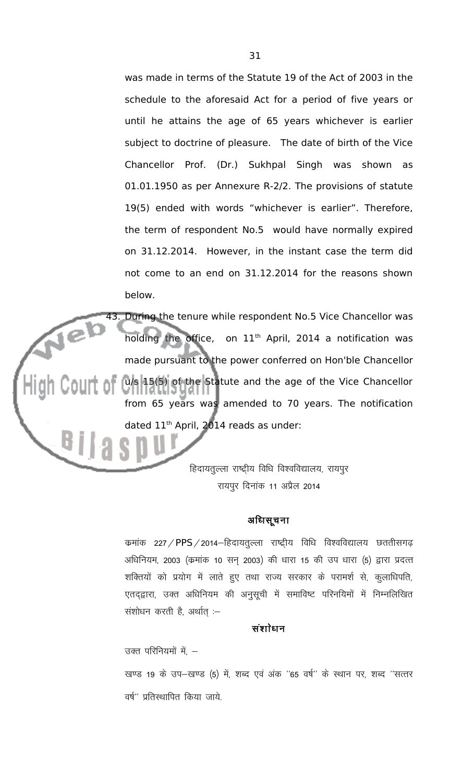was made in terms of the Statute 19 of the Act of 2003 in the schedule to the aforesaid Act for a period of five years or until he attains the age of 65 years whichever is earlier subject to doctrine of pleasure. The date of birth of the Vice Chancellor Prof. (Dr.) Sukhpal Singh was shown as 01.01.1950 as per Annexure R-2/2. The provisions of statute 19(5) ended with words "whichever is earlier". Therefore, the term of respondent No.5 would have normally expired on 31.12.2014. However, in the instant case the term did not come to an end on 31.12.2014 for the reasons shown below.

43. During the tenure while respondent No.5 Vice Chancellor was Jeb holding the office, on  $11<sup>th</sup>$  April, 2014 a notification was made pursuant to the power conferred on Hon'ble Chancellor u/s 15(5) of the Statute and the age of the Vice Chancellor from 65 years was amended to 70 years. The notification dated 11<sup>th</sup> April, 2014 reads as under:

> हिदायतुल्ला राष्ट्रीय विधि विश्वविद्यालय, रायपूर रायपुर दिनांक 11 अप्रैल 2014

# अधिसूचना

कमांक 227 / PPS / 2014–हिदायतुल्ला राष्ट्रीय विधि विश्वविद्यालय छततीसगढ़ अधिनियम, 2003 (कमांक 10 सन् 2003) की धारा 15 की उप धारा (5) द्वारा प्रदत्त शक्तियों को प्रयोग में लाते हुए तथा राज्य सरकार के परामर्श से, कुलाधिपति, एतद्द्वारा, उक्त अधिनियम की अनुसूची में समाविष्ट परिनयिमों में निम्नलिखित संशोधन करती है, अर्थात  $-$ 

### संशोधन

उक्त परिनियमों में,  $-$ 

खण्ड 19 के उप-खण्ड (5) में, शब्द एवं अंक ''65 वर्ष'' के स्थान पर, शब्द ''सत्तर वर्ष" प्रतिस्थापित किया जाये $\,$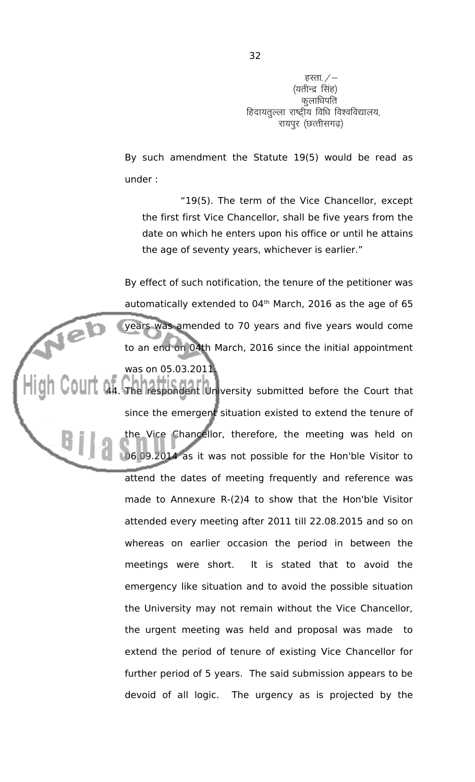हस्ता. $/$ – (यतीन्द्र सिंह) कुलाधिपति हिदायतुल्ला राष्ट्रीय विधि विश्वविद्यालय, रायपुर (छत्तीसगढ़)

By such amendment the Statute 19(5) would be read as under :

"19(5). The term of the Vice Chancellor, except the first first Vice Chancellor, shall be five years from the date on which he enters upon his office or until he attains the age of seventy years, whichever is earlier."

By effect of such notification, the tenure of the petitioner was automatically extended to  $04<sup>th</sup>$  March, 2016 as the age of 65 years was amended to 70 years and five years would come to an end on 04th March, 2016 since the initial appointment was on 05.03.2011.

44. The respondent University submitted before the Court that since the emergent situation existed to extend the tenure of the Vice Chancellor, therefore, the meeting was held on 06.09.2014 as it was not possible for the Hon'ble Visitor to attend the dates of meeting frequently and reference was made to Annexure R-(2)4 to show that the Hon'ble Visitor attended every meeting after 2011 till 22.08.2015 and so on whereas on earlier occasion the period in between the meetings were short. It is stated that to avoid the emergency like situation and to avoid the possible situation the University may not remain without the Vice Chancellor, the urgent meeting was held and proposal was made to extend the period of tenure of existing Vice Chancellor for further period of 5 years. The said submission appears to be devoid of all logic. The urgency as is projected by the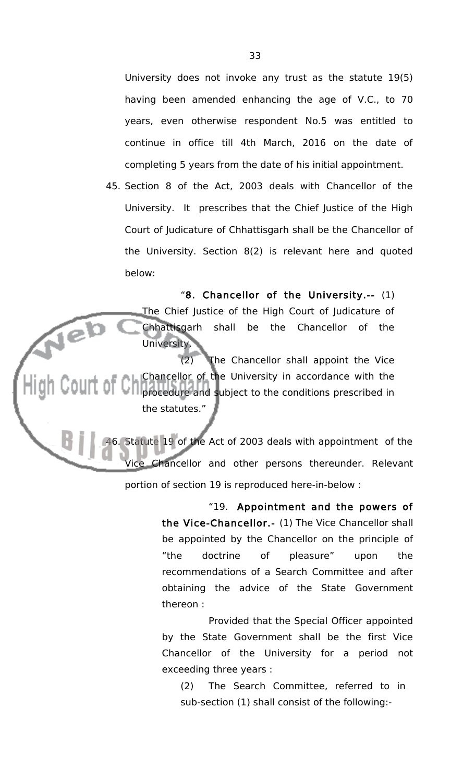University does not invoke any trust as the statute 19(5) having been amended enhancing the age of V.C., to 70 years, even otherwise respondent No.5 was entitled to continue in office till 4th March, 2016 on the date of completing 5 years from the date of his initial appointment.

45. Section 8 of the Act, 2003 deals with Chancellor of the University. It prescribes that the Chief Justice of the High Court of Judicature of Chhattisgarh shall be the Chancellor of the University. Section 8(2) is relevant here and quoted below:

"8. Chancellor of the University.-- (1) The Chief Justice of the High Court of Judicature of Neb<br>Metal Chhattisgarh shall be the Chancellor of the University.

(2) The Chancellor shall appoint the Vice Chancellor of the University in accordance with the **COUIT OF CH** Chancellor of the Sunset of the conditions prescribed in the statutes."

> 46. Statute 19 of the Act of 2003 deals with appointment of the Vice Chancellor and other persons thereunder. Relevant portion of section 19 is reproduced here-in-below :

> > "19. Appointment and the powers of the Vice-Chancellor.- (1) The Vice Chancellor shall be appointed by the Chancellor on the principle of "the doctrine of pleasure" upon the recommendations of a Search Committee and after obtaining the advice of the State Government thereon :

> > Provided that the Special Officer appointed by the State Government shall be the first Vice Chancellor of the University for a period not exceeding three years :

(2) The Search Committee, referred to in sub-section (1) shall consist of the following:-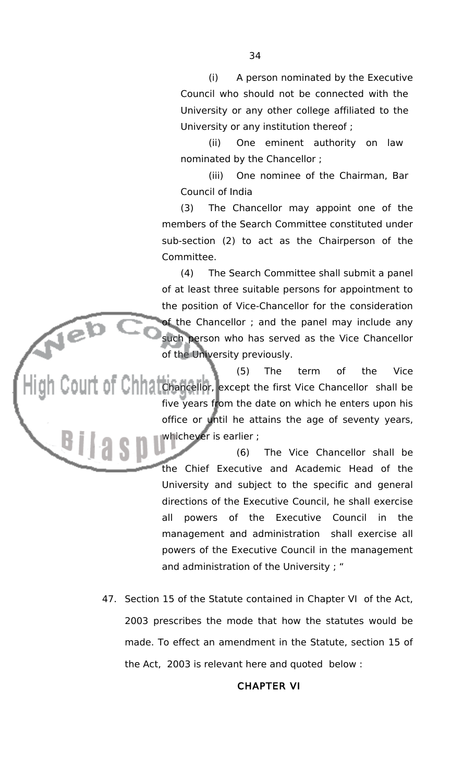(i) A person nominated by the Executive Council who should not be connected with the University or any other college affiliated to the University or any institution thereof ;

(ii) One eminent authority on law nominated by the Chancellor ;

(iii) One nominee of the Chairman, Bar Council of India

(3) The Chancellor may appoint one of the members of the Search Committee constituted under sub-section (2) to act as the Chairperson of the Committee.

(4) The Search Committee shall submit a panel of at least three suitable persons for appointment to the position of Vice-Chancellor for the consideration of the Chancellor ; and the panel may include any such person who has served as the Vice Chancellor of the University previously.

Neb (5) The term of the Vice OUIT OF CHANCHANCELLOR, except the first Vice Chancellor shall be five years from the date on which he enters upon his office or until he attains the age of seventy years, whichever is earlier ;

> (6) The Vice Chancellor shall be the Chief Executive and Academic Head of the University and subject to the specific and general directions of the Executive Council, he shall exercise all powers of the Executive Council in the management and administration shall exercise all powers of the Executive Council in the management and administration of the University ; "

47. Section 15 of the Statute contained in Chapter VI of the Act, 2003 prescribes the mode that how the statutes would be made. To effect an amendment in the Statute, section 15 of the Act, 2003 is relevant here and quoted below :

# CHAPTER VI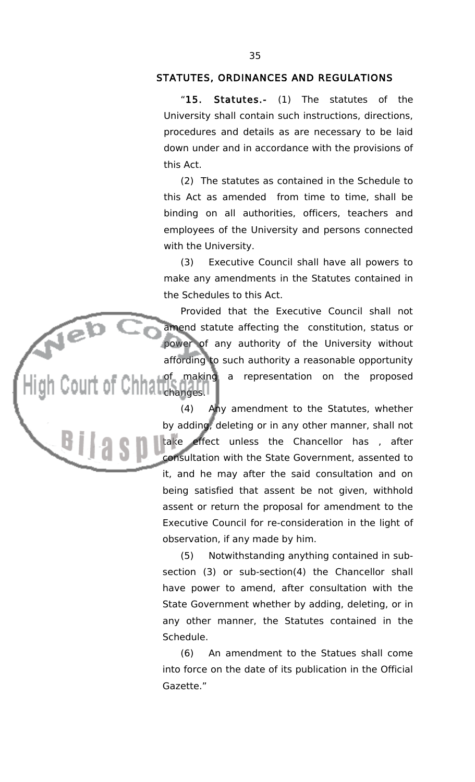# STATUTES, ORDINANCES AND REGULATIONS

"15. Statutes.- (1) The statutes of the University shall contain such instructions, directions, procedures and details as are necessary to be laid down under and in accordance with the provisions of this Act.

(2) The statutes as contained in the Schedule to this Act as amended from time to time, shall be binding on all authorities, officers, teachers and employees of the University and persons connected with the University.

(3) Executive Council shall have all powers to make any amendments in the Statutes contained in the Schedules to this Act.

Provided that the Executive Council shall not amend statute affecting the constitution, status or power of any authority of the University without affording to such authority a reasonable opportunity of making a representation on the proposed Chhanges.

Neb<br>Louis

(4) Any amendment to the Statutes, whether by adding, deleting or in any other manner, shall not<br>take effect unless the Chancellor has , after effect unless the Chancellor has , after consultation with the State Government, assented to it, and he may after the said consultation and on being satisfied that assent be not given, withhold assent or return the proposal for amendment to the Executive Council for re-consideration in the light of observation, if any made by him.

(5) Notwithstanding anything contained in subsection (3) or sub-section(4) the Chancellor shall have power to amend, after consultation with the State Government whether by adding, deleting, or in any other manner, the Statutes contained in the Schedule.

(6) An amendment to the Statues shall come into force on the date of its publication in the Official Gazette."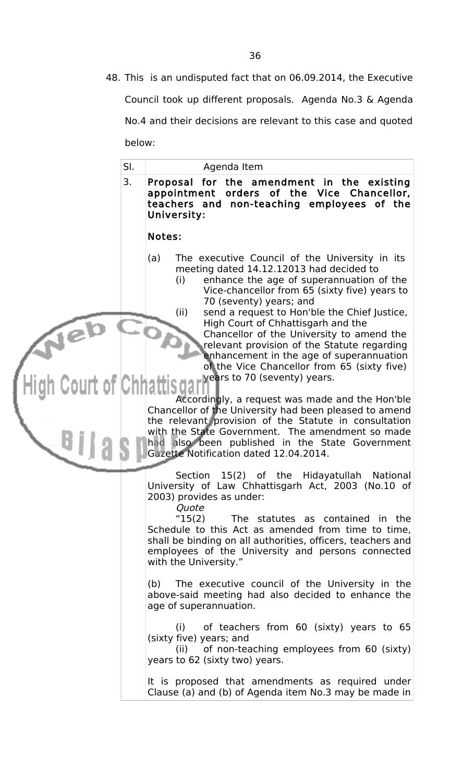48. This is an undisputed fact that on 06.09.2014, the Executive Council took up different proposals. Agenda No.3 & Agenda No.4 and their decisions are relevant to this case and quoted below:

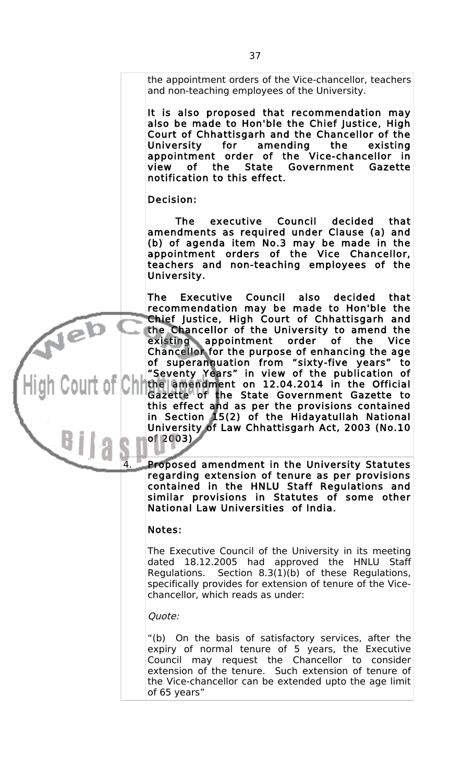the appointment orders of the Vice-chancellor, teachers and non-teaching employees of the University.

It is also proposed that recommendation may also be made to Hon'ble the Chief Justice, High Court of Chhattisgarh and the Chancellor of the University for amending the existing appointment order of the Vice-chancellor in view of the State Government Gazette notification to this effect.

Decision:

jeb

The executive Council decided that amendments as required under Clause (a) and (b) of agenda item No.3 may be made in the appointment orders of the Vice Chancellor, teachers and non-teaching employees of the University.

The Executive Council also decided that recommendation may be made to Hon'ble the Chief Justice, High Court of Chhattisgarh and the Chancellor of the University to amend the existing appointment order of the Vice Chancellor for the purpose of enhancing the age of superannuation from "sixty-five years" to "Seventy Years" in view of the publication of the amendment on 12.04.2014 in the Official Gazette of the State Government Gazette to this effect and as per the provisions contained in Section 15(2) of the Hidayatullah National University of Law Chhattisgarh Act, 2003 (No.10 of 2003)

4. Proposed amendment in the University Statutes regarding extension of tenure as per provisions contained in the HNLU Staff Regulations and similar provisions in Statutes of some other National Law Universities of India.

# Notes:

The Executive Council of the University in its meeting dated 18.12.2005 had approved the HNLU Staff Regulations. Section 8.3(1)(b) of these Regulations, specifically provides for extension of tenure of the Vicechancellor, which reads as under:

#### Quote:

"(b) On the basis of satisfactory services, after the expiry of normal tenure of 5 years, the Executive Council may request the Chancellor to consider extension of the tenure. Such extension of tenure of the Vice-chancellor can be extended upto the age limit of 65 years"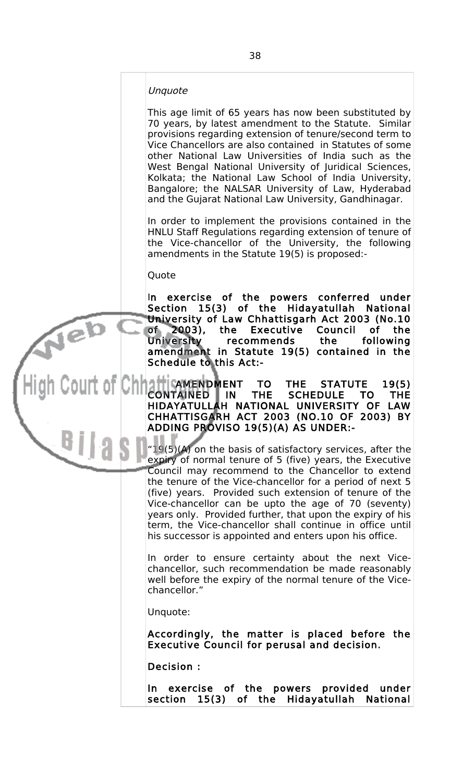#### Unquote

This age limit of 65 years has now been substituted by 70 years, by latest amendment to the Statute. Similar provisions regarding extension of tenure/second term to Vice Chancellors are also contained in Statutes of some other National Law Universities of India such as the West Bengal National University of Juridical Sciences, Kolkata; the National Law School of India University, Bangalore; the NALSAR University of Law, Hyderabad and the Gujarat National Law University, Gandhinagar.

In order to implement the provisions contained in the HNLU Staff Regulations regarding extension of tenure of the Vice-chancellor of the University, the following amendments in the Statute 19(5) is proposed:-

Quote

Jeb

In exercise of the powers conferred under Section 15(3) of the Hidayatullah National University of Law Chhattisgarh Act 2003 (No.10 of 2003), the Executive Council of the University recommends the following amendment in Statute 19(5) contained in the Schedule to this Act:-

| CAMENDMENT TO THE STATUTE 19(5)<br>| TAINED IN THE SCHEDULE TO THE CONTAINED IN THE SCHEDULE TO THE HIDAYATULLAH NATIONAL UNIVERSITY OF LAW CHHATTISGARH ACT 2003 (NO.10 OF 2003) BY ADDING PROVISO 19(5)(A) AS UNDER:-

> $19(5)(A)$  on the basis of satisfactory services, after the expiry of normal tenure of 5 (five) years, the Executive Council may recommend to the Chancellor to extend the tenure of the Vice-chancellor for a period of next 5 (five) years. Provided such extension of tenure of the Vice-chancellor can be upto the age of 70 (seventy) years only. Provided further, that upon the expiry of his term, the Vice-chancellor shall continue in office until his successor is appointed and enters upon his office.

> In order to ensure certainty about the next Vicechancellor, such recommendation be made reasonably well before the expiry of the normal tenure of the Vicechancellor."

Unquote:

Accordingly, the matter is placed before the Executive Council for perusal and decision.

Decision :

In exercise of the powers provided under section 15(3) of the Hidayatullah National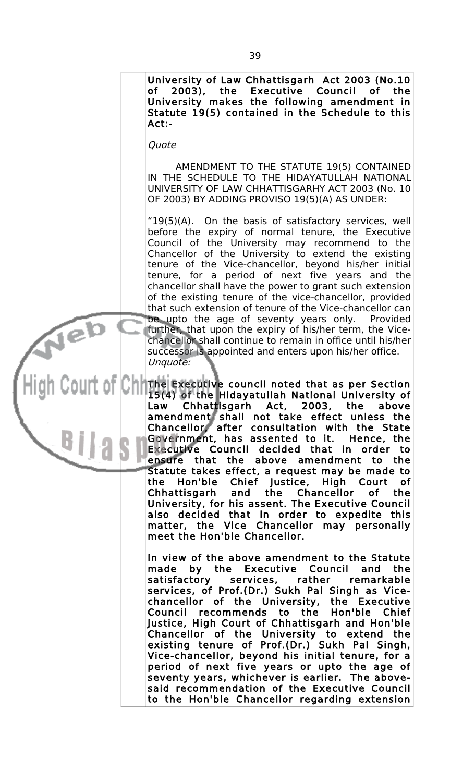University of Law Chhattisgarh Act 2003 (No.10 of 2003), the Executive Council of the University makes the following amendment in Statute 19(5) contained in the Schedule to this Act:-

Quote

Neb

AMENDMENT TO THE STATUTE 19(5) CONTAINED IN THE SCHEDULE TO THE HIDAYATULLAH NATIONAL UNIVERSITY OF LAW CHHATTISGARHY ACT 2003 (No. 10 OF 2003) BY ADDING PROVISO 19(5)(A) AS UNDER:

"19(5) $(A)$ . On the basis of satisfactory services, well before the expiry of normal tenure, the Executive Council of the University may recommend to the Chancellor of the University to extend the existing tenure of the Vice-chancellor, beyond his/her initial tenure, for a period of next five years and the chancellor shall have the power to grant such extension of the existing tenure of the vice-chancellor, provided that such extension of tenure of the Vice-chancellor can be upto the age of seventy years only. Provided further, that upon the expiry of his/her term, the Vicechancellor shall continue to remain in office until his/her successor is appointed and enters upon his/her office. Unquote:

The Executive council noted that as per Section 15(4) of the Hidayatullah National University of Law Chhattisgarh Act, 2003, the above amendment shall not take effect unless the Chancellor, after consultation with the State Government, has assented to it. Hence, the Executive Council decided that in order to ensure that the above amendment to the Statute takes effect, a request may be made to the Hon'ble Chief Justice, High Court of Chhattisgarh and the Chancellor of the University, for his assent. The Executive Council also decided that in order to expedite this matter, the Vice Chancellor may personally meet the Hon'ble Chancellor.

> In view of the above amendment to the Statute made by the Executive Council and the satisfactory services, rather remarkable services, of Prof.(Dr.) Sukh Pal Singh as Vicechancellor of the University, the Executive Council recommends to the Hon'ble Chief Justice, High Court of Chhattisgarh and Hon'ble Chancellor of the University to extend the existing tenure of Prof.(Dr.) Sukh Pal Singh, Vice-chancellor, beyond his initial tenure, for a period of next five years or upto the age of seventy years, whichever is earlier. The abovesaid recommendation of the Executive Council to the Hon'ble Chancellor regarding extension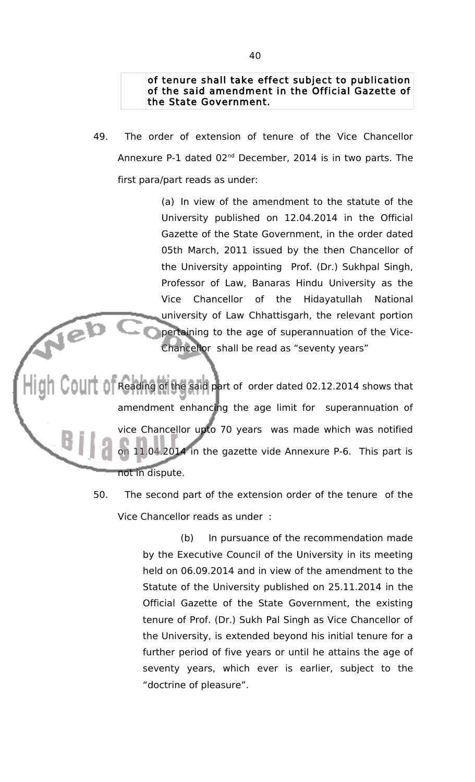## of tenure shall take effect subject to publication of the said amendment in the Official Gazette of the State Government.

49. The order of extension of tenure of the Vice Chancellor Annexure P-1 dated 02nd December, 2014 is in two parts. The first para/part reads as under:

> (a) In view of the amendment to the statute of the University published on 12.04.2014 in the Official Gazette of the State Government, in the order dated 05th March, 2011 issued by the then Chancellor of the University appointing Prof. (Dr.) Sukhpal Singh, Professor of Law, Banaras Hindu University as the Vice Chancellor of the Hidayatullah National university of Law Chhattisgarh, the relevant portion pertaining to the age of superannuation of the Vice-Chancellor shall be read as "seventy years"

Reading of the said part of order dated 02.12.2014 shows that amendment enhancing the age limit for superannuation of vice Chancellor upto 70 years was made which was notified on 11.04.2014 in the gazette vide Annexure P-6. This part is not in dispute.

> 50. The second part of the extension order of the tenure of the Vice Chancellor reads as under :

> > (b) In pursuance of the recommendation made by the Executive Council of the University in its meeting held on 06.09.2014 and in view of the amendment to the Statute of the University published on 25.11.2014 in the Official Gazette of the State Government, the existing tenure of Prof. (Dr.) Sukh Pal Singh as Vice Chancellor of the University, is extended beyond his initial tenure for a further period of five years or until he attains the age of seventy years, which ever is earlier, subject to the "doctrine of pleasure".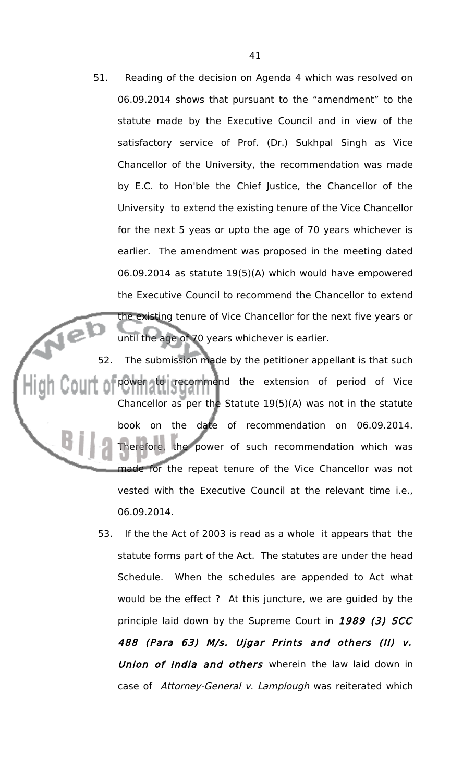51. Reading of the decision on Agenda 4 which was resolved on 06.09.2014 shows that pursuant to the "amendment" to the statute made by the Executive Council and in view of the satisfactory service of Prof. (Dr.) Sukhpal Singh as Vice Chancellor of the University, the recommendation was made by E.C. to Hon'ble the Chief Justice, the Chancellor of the University to extend the existing tenure of the Vice Chancellor for the next 5 yeas or upto the age of 70 years whichever is earlier. The amendment was proposed in the meeting dated 06.09.2014 as statute 19(5)(A) which would have empowered the Executive Council to recommend the Chancellor to extend the existing tenure of Vice Chancellor for the next five years or until the age of 70 years whichever is earlier.

52. The submission made by the petitioner appellant is that such power to recommend the extension of period of Vice Chancellor as per the Statute 19(5)(A) was not in the statute book on the date of recommendation on 06.09.2014. Therefore, the power of such recommendation which was made for the repeat tenure of the Vice Chancellor was not vested with the Executive Council at the relevant time i.e., 06.09.2014.

> 53. If the the Act of 2003 is read as a whole it appears that the statute forms part of the Act. The statutes are under the head Schedule. When the schedules are appended to Act what would be the effect ? At this juncture, we are guided by the principle laid down by the Supreme Court in 1989 (3) SCC 488 (Para 63) M/s. Ujgar Prints and others (II) v. Union of India and others wherein the law laid down in case of Attorney-General v. Lamplough was reiterated which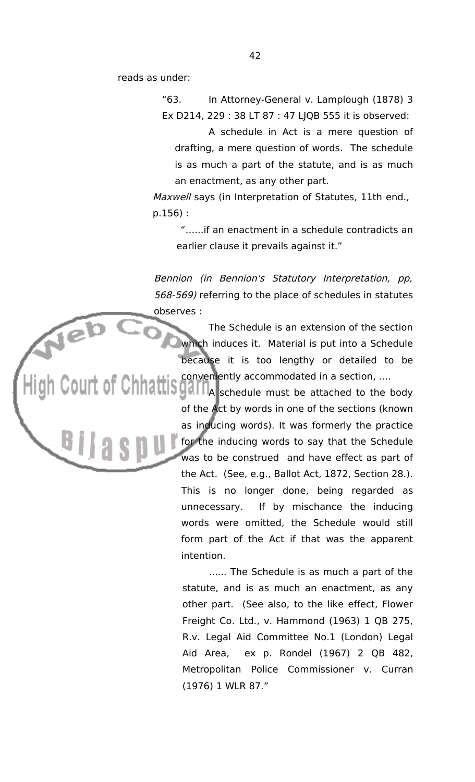reads as under:

"63. In Attorney-General v. Lamplough (1878) 3 Ex D214, 229 : 38 LT 87 : 47 LJQB 555 it is observed:

A schedule in Act is a mere question of drafting, a mere question of words. The schedule is as much a part of the statute, and is as much an enactment, as any other part.

Maxwell says (in Interpretation of Statutes, 11th end., p.156) :

"…...if an enactment in a schedule contradicts an earlier clause it prevails against it."

Bennion (in Bennion's Statutory Interpretation, pp, 568-569) referring to the place of schedules in statutes observes :

> The Schedule is an extension of the section which induces it. Material is put into a Schedule because it is too lengthy or detailed to be conveniently accommodated in a section, ….

OUIT OF Chhattisgallia schedule must be attached to the body of the Act by words in one of the sections (known as inducing words). It was formerly the practice for the inducing words to say that the Schedule was to be construed and have effect as part of the Act. (See, e.g., Ballot Act, 1872, Section 28.). This is no longer done, being regarded as unnecessary. If by mischance the inducing words were omitted, the Schedule would still form part of the Act if that was the apparent intention.

> …... The Schedule is as much a part of the statute, and is as much an enactment, as any other part. (See also, to the like effect, Flower Freight Co. Ltd., v. Hammond (1963) 1 QB 275, R.v. Legal Aid Committee No.1 (London) Legal Aid Area, ex p. Rondel (1967) 2 QB 482, Metropolitan Police Commissioner v. Curran (1976) 1 WLR 87."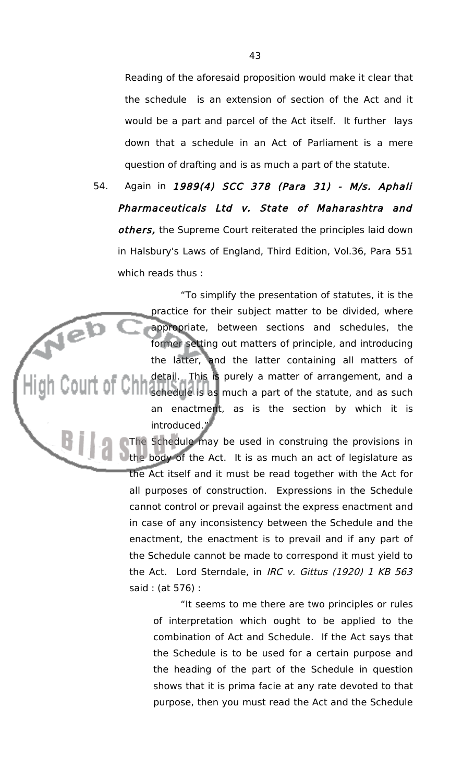Reading of the aforesaid proposition would make it clear that the schedule is an extension of section of the Act and it would be a part and parcel of the Act itself. It further lays down that a schedule in an Act of Parliament is a mere question of drafting and is as much a part of the statute.

54. Again in 1989(4) SCC 378 (Para 31) - M/s. Aphali Pharmaceuticals Ltd v. State of Maharashtra and others, the Supreme Court reiterated the principles laid down in Halsbury's Laws of England, Third Edition, Vol.36, Para 551 which reads thus :

"To simplify the presentation of statutes, it is the practice for their subject matter to be divided, where Neb appropriate, between sections and schedules, the former setting out matters of principle, and introducing the latter, and the latter containing all matters of detail. This is purely a matter of arrangement, and a schedule is as much a part of the statute, and as such an enactment, as is the section by which it is introduced."

The Schedule may be used in construing the provisions in the body of the Act. It is as much an act of legislature as the Act itself and it must be read together with the Act for all purposes of construction. Expressions in the Schedule cannot control or prevail against the express enactment and in case of any inconsistency between the Schedule and the enactment, the enactment is to prevail and if any part of the Schedule cannot be made to correspond it must yield to the Act. Lord Sterndale, in IRC v. Gittus (1920) 1 KB 563 said : (at 576) :

> "It seems to me there are two principles or rules of interpretation which ought to be applied to the combination of Act and Schedule. If the Act says that the Schedule is to be used for a certain purpose and the heading of the part of the Schedule in question shows that it is prima facie at any rate devoted to that purpose, then you must read the Act and the Schedule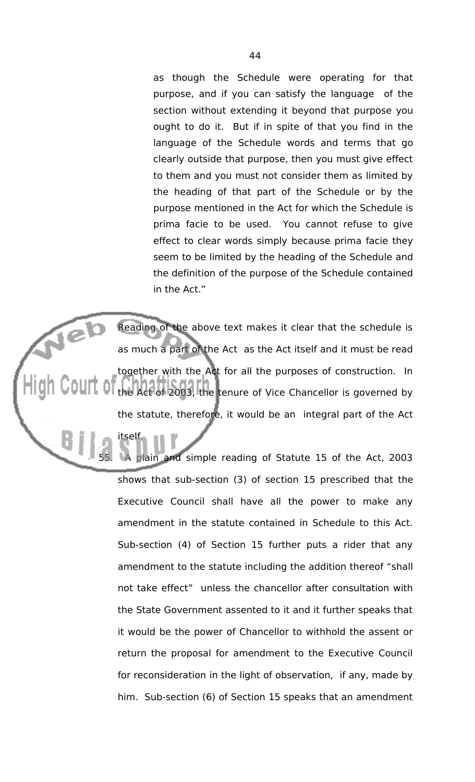as though the Schedule were operating for that purpose, and if you can satisfy the language of the section without extending it beyond that purpose you ought to do it. But if in spite of that you find in the language of the Schedule words and terms that go clearly outside that purpose, then you must give effect to them and you must not consider them as limited by the heading of that part of the Schedule or by the purpose mentioned in the Act for which the Schedule is prima facie to be used. You cannot refuse to give effect to clear words simply because prima facie they seem to be limited by the heading of the Schedule and the definition of the purpose of the Schedule contained in the Act."

Jeb Reading of the above text makes it clear that the schedule is as much a part of the Act as the Act itself and it must be read together with the Act for all the purposes of construction. In the Act of 2003, the tenure of Vice Chancellor is governed by the statute, therefore, it would be an integral part of the Act

itself.

LA plain and simple reading of Statute 15 of the Act, 2003 shows that sub-section (3) of section 15 prescribed that the Executive Council shall have all the power to make any amendment in the statute contained in Schedule to this Act. Sub-section (4) of Section 15 further puts a rider that any amendment to the statute including the addition thereof "shall not take effect" unless the chancellor after consultation with the State Government assented to it and it further speaks that it would be the power of Chancellor to withhold the assent or return the proposal for amendment to the Executive Council for reconsideration in the light of observation, if any, made by him. Sub-section (6) of Section 15 speaks that an amendment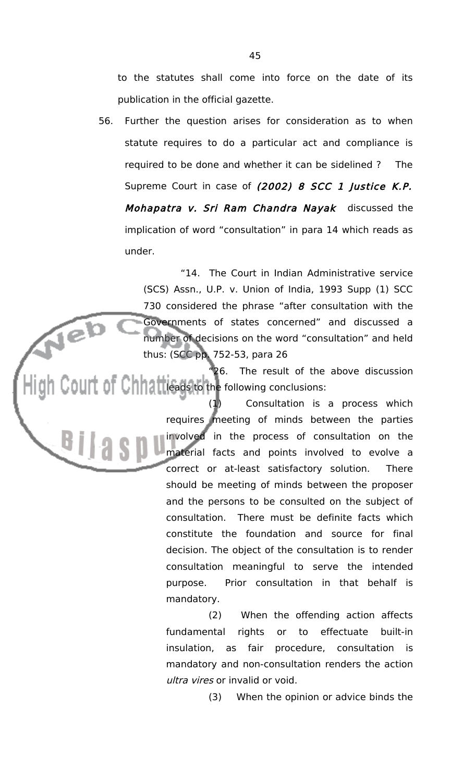to the statutes shall come into force on the date of its publication in the official gazette.

56. Further the question arises for consideration as to when statute requires to do a particular act and compliance is required to be done and whether it can be sidelined ? The Supreme Court in case of (2002) 8 SCC 1 Justice K.P. Mohapatra v. Sri Ram Chandra Nayak discussed the implication of word "consultation" in para 14 which reads as under.

> "14. The Court in Indian Administrative service (SCS) Assn., U.P. v. Union of India, 1993 Supp (1) SCC 730 considered the phrase "after consultation with the Governments of states concerned" and discussed a number of decisions on the word "consultation" and held thus: (SCC pp. 752-53, para 26

"26. The result of the above discussion  $\text{Coul}$  of  $\text{Chl}$  at leads to the following conclusions:

Neb

(1) Consultation is a process which requires meeting of minds between the parties involved in the process of consultation on the **THE SALE CONSUMER AND MATERIAL FRAME CONSUMER AND MATERIAL MATERIAL CONSUMER AND THE CONSUMER OF THE CONSUMER OF THE CONSUMER OF THE CONSUMER OF THE CONSUMER OF THE CONSUMER OF THE CONSUMER OF THE CONSUMER OF THE CONSUMER** correct or at-least satisfactory solution. There should be meeting of minds between the proposer and the persons to be consulted on the subject of consultation. There must be definite facts which constitute the foundation and source for final decision. The object of the consultation is to render consultation meaningful to serve the intended purpose. Prior consultation in that behalf is mandatory.

> (2) When the offending action affects fundamental rights or to effectuate built-in insulation, as fair procedure, consultation is mandatory and non-consultation renders the action ultra vires or invalid or void.

> > (3) When the opinion or advice binds the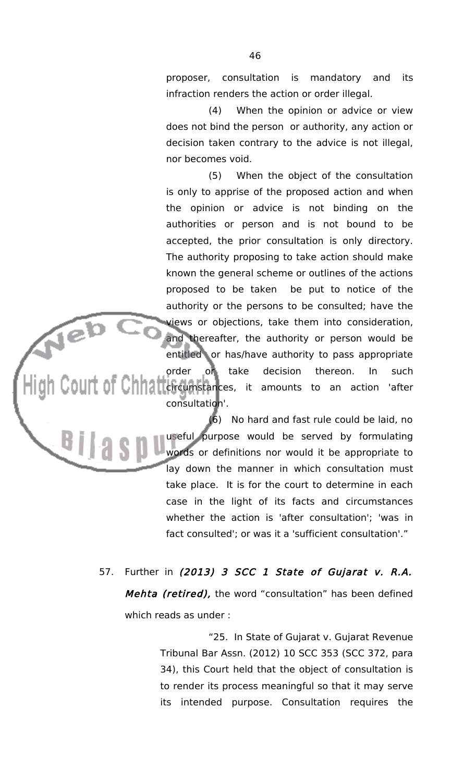proposer, consultation is mandatory and its infraction renders the action or order illegal.

(4) When the opinion or advice or view does not bind the person or authority, any action or decision taken contrary to the advice is not illegal, nor becomes void.

(5) When the object of the consultation is only to apprise of the proposed action and when the opinion or advice is not binding on the authorities or person and is not bound to be accepted, the prior consultation is only directory. The authority proposing to take action should make known the general scheme or outlines of the actions proposed to be taken be put to notice of the authority or the persons to be consulted; have the views or objections, take them into consideration, and thereafter, the authority or person would be entitled or has/have authority to pass appropriate order or take decision thereon. In such OUIT OF Child Ticircumstances, it amounts to an action 'after consultation'.

Neb<br>Men

<u>Ullas</u>

(6) No hard and fast rule could be laid, no useful purpose would be served by formulating words or definitions nor would it be appropriate to lay down the manner in which consultation must take place. It is for the court to determine in each case in the light of its facts and circumstances whether the action is 'after consultation'; 'was in fact consulted'; or was it a 'sufficient consultation'."

57. Further in (2013) 3 SCC 1 State of Gujarat v. R.A. Mehta (retired), the word "consultation" has been defined which reads as under :

> "25. In State of Gujarat v. Gujarat Revenue Tribunal Bar Assn. (2012) 10 SCC 353 (SCC 372, para 34), this Court held that the object of consultation is to render its process meaningful so that it may serve its intended purpose. Consultation requires the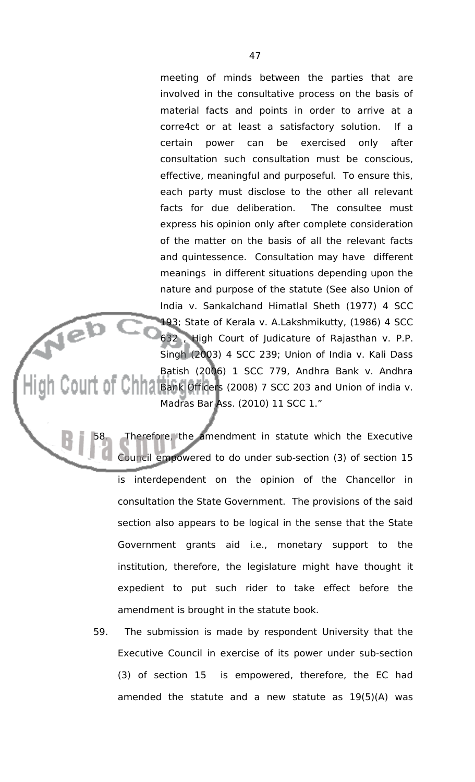meeting of minds between the parties that are involved in the consultative process on the basis of material facts and points in order to arrive at a corre4ct or at least a satisfactory solution. If a certain power can be exercised only after consultation such consultation must be conscious, effective, meaningful and purposeful. To ensure this, each party must disclose to the other all relevant facts for due deliberation. The consultee must express his opinion only after complete consideration of the matter on the basis of all the relevant facts and quintessence. Consultation may have different meanings in different situations depending upon the nature and purpose of the statute (See also Union of India v. Sankalchand Himatlal Sheth (1977) 4 SCC 193; State of Kerala v. A.Lakshmikutty, (1986) 4 SCC 632 , High Court of Judicature of Rajasthan v. P.P. Singh (2003) 4 SCC 239; Union of India v. Kali Dass Batish (2006) 1 SCC 779, Andhra Bank v. Andhra  $\text{Coul}$  of  $\text{Chha}_\text{Bank}$  Officers (2008) 7 SCC 203 and Union of india v. Madras Bar Ass. (2010) 11 SCC 1."

Therefore, the amendment in statute which the Executive Council empowered to do under sub-section (3) of section 15 is interdependent on the opinion of the Chancellor in consultation the State Government. The provisions of the said section also appears to be logical in the sense that the State Government grants aid i.e., monetary support to the institution, therefore, the legislature might have thought it expedient to put such rider to take effect before the amendment is brought in the statute book.

Neb<br>Nebu

59. The submission is made by respondent University that the Executive Council in exercise of its power under sub-section (3) of section 15 is empowered, therefore, the EC had amended the statute and a new statute as 19(5)(A) was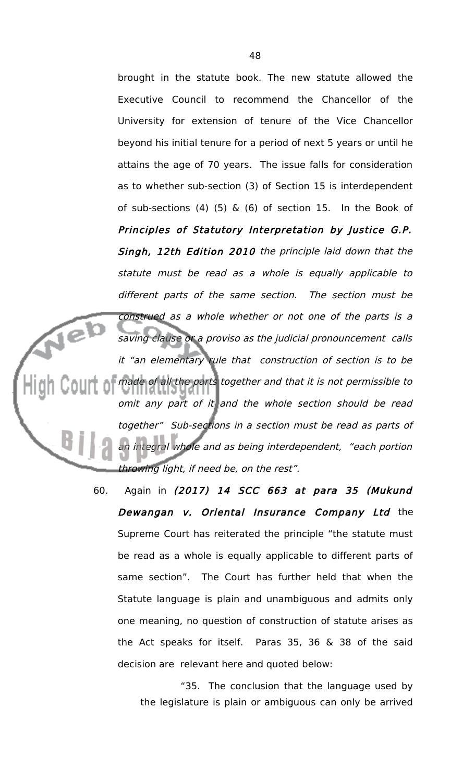brought in the statute book. The new statute allowed the Executive Council to recommend the Chancellor of the University for extension of tenure of the Vice Chancellor beyond his initial tenure for a period of next 5 years or until he attains the age of 70 years. The issue falls for consideration as to whether sub-section (3) of Section 15 is interdependent of sub-sections (4) (5)  $\&$  (6) of section 15. In the Book of Principles of Statutory Interpretation by Justice G.P. Singh, 12th Edition 2010 the principle laid down that the statute must be read as <sup>a</sup> whole is equally applicable to different parts of the same section. The section must be construed as a whole whether or not one of the parts is a Jeb saving clause or a proviso as the judicial pronouncement calls it "an elementary rule that construction of section is to be made of all the parts together and that it is not permissible to omit any part of it and the whole section should be read together" Sub-sections in a section must be read as parts of an integral whole and as being interdependent, "each portion throwing light, if need be, on the rest".

> 60. Again in (2017) 14 SCC 663 at para 35 (Mukund Dewangan v. Oriental Insurance Company Ltd the Supreme Court has reiterated the principle "the statute must be read as a whole is equally applicable to different parts of same section". The Court has further held that when the Statute language is plain and unambiguous and admits only one meaning, no question of construction of statute arises as the Act speaks for itself. Paras 35, 36 & 38 of the said decision are relevant here and quoted below:

> > "35. The conclusion that the language used by the legislature is plain or ambiguous can only be arrived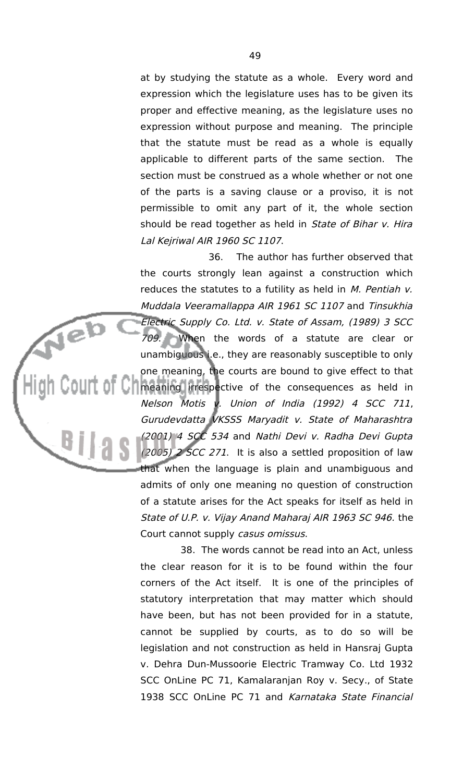at by studying the statute as a whole. Every word and expression which the legislature uses has to be given its proper and effective meaning, as the legislature uses no expression without purpose and meaning. The principle that the statute must be read as a whole is equally applicable to different parts of the same section. The section must be construed as a whole whether or not one of the parts is a saving clause or a proviso, it is not permissible to omit any part of it, the whole section should be read together as held in State of Bihar v. Hira Lal Kejriwal AIR 1960 SC 1107.

36. The author has further observed that the courts strongly lean against a construction which reduces the statutes to a futility as held in  $M$ . Pentiah  $V$ . Muddala Veeramallappa AIR 1961 SC 1107 and Tinsukhia Electric Supply Co. Ltd. v. State of Assam, (1989) 3 SCC 709. When the words of a statute are clear or unambiguous i.e., they are reasonably susceptible to only one meaning, the courts are bound to give effect to that **M** meaning irrespective of the consequences as held in Nelson Motis v. Union of India (1992) 4 SCC 711, Gurudevdatta VKSSS Maryadit v. State of Maharashtra (2001) 4 SCC 534 and Nathi Devi v. Radha Devi Gupta (2005) 2 SCC 271. It is also a settled proposition of law that when the language is plain and unambiguous and admits of only one meaning no question of construction of a statute arises for the Act speaks for itself as held in State of U.P. v. Vijay Anand Maharaj AIR 1963 SC 946. the Court cannot supply casus omissus.

Neb

38. The words cannot be read into an Act, unless the clear reason for it is to be found within the four corners of the Act itself. It is one of the principles of statutory interpretation that may matter which should have been, but has not been provided for in a statute, cannot be supplied by courts, as to do so will be legislation and not construction as held in Hansraj Gupta v. Dehra Dun-Mussoorie Electric Tramway Co. Ltd 1932 SCC OnLine PC 71, Kamalaranjan Roy v. Secy., of State 1938 SCC OnLine PC 71 and Karnataka State Financial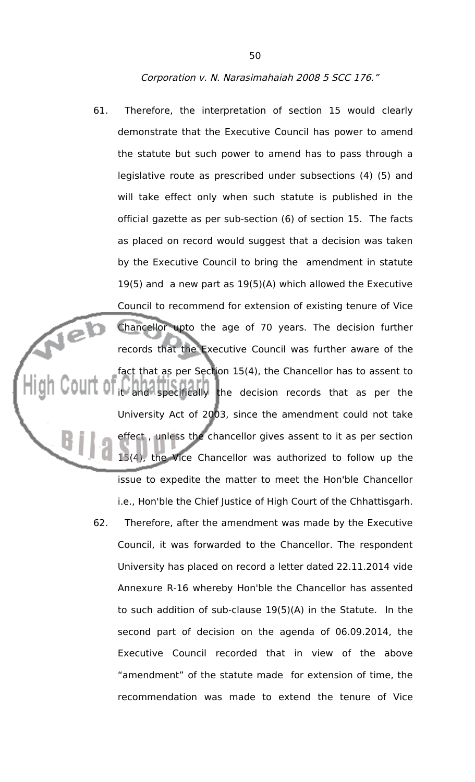### Corporation v. N. Narasimahaiah 2008 5 SCC 176."

- 61. Therefore, the interpretation of section 15 would clearly demonstrate that the Executive Council has power to amend the statute but such power to amend has to pass through a legislative route as prescribed under subsections (4) (5) and will take effect only when such statute is published in the official gazette as per sub-section (6) of section 15. The facts as placed on record would suggest that a decision was taken by the Executive Council to bring the amendment in statute 19(5) and a new part as 19(5)(A) which allowed the Executive Council to recommend for extension of existing tenure of Vice Veb Chancellor upto the age of 70 years. The decision further records that the Executive Council was further aware of the fact that as per Section 15(4), the Chancellor has to assent to it and specifically the decision records that as per the University Act of 2003, since the amendment could not take effect , unless the chancellor gives assent to it as per section 15(4), the Vice Chancellor was authorized to follow up the issue to expedite the matter to meet the Hon'ble Chancellor i.e., Hon'ble the Chief Justice of High Court of the Chhattisgarh. 62. Therefore, after the amendment was made by the Executive
	- Council, it was forwarded to the Chancellor. The respondent University has placed on record a letter dated 22.11.2014 vide Annexure R-16 whereby Hon'ble the Chancellor has assented to such addition of sub-clause 19(5)(A) in the Statute. In the second part of decision on the agenda of 06.09.2014, the Executive Council recorded that in view of the above "amendment" of the statute made for extension of time, the recommendation was made to extend the tenure of Vice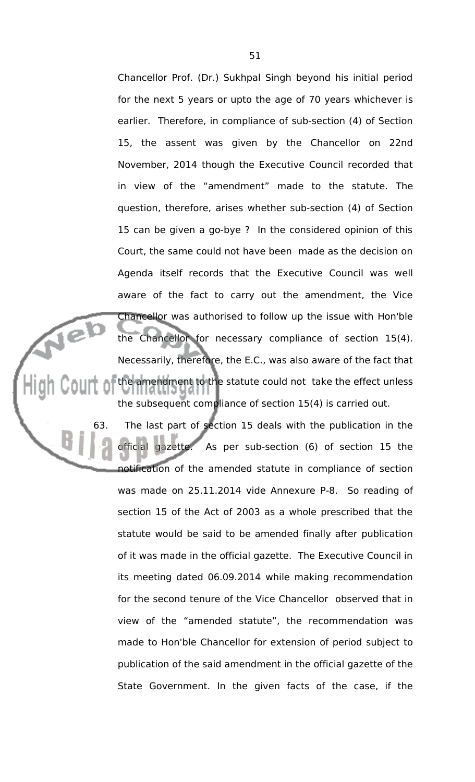Chancellor Prof. (Dr.) Sukhpal Singh beyond his initial period for the next 5 years or upto the age of 70 years whichever is earlier. Therefore, in compliance of sub-section (4) of Section 15, the assent was given by the Chancellor on 22nd November, 2014 though the Executive Council recorded that in view of the "amendment" made to the statute. The question, therefore, arises whether sub-section (4) of Section 15 can be given a go-bye ? In the considered opinion of this Court, the same could not have been made as the decision on Agenda itself records that the Executive Council was well aware of the fact to carry out the amendment, the Vice Chancellor was authorised to follow up the issue with Hon'ble the Chancellor for necessary compliance of section 15(4). Necessarily, therefore, the E.C., was also aware of the fact that the amendment to the statute could not take the effect unless the subsequent compliance of section 15(4) is carried out.

 $\sqrt{e}$ 

63. The last part of section 15 deals with the publication in the official gazette. As per sub-section (6) of section 15 the notification of the amended statute in compliance of section was made on 25.11.2014 vide Annexure P-8. So reading of section 15 of the Act of 2003 as a whole prescribed that the statute would be said to be amended finally after publication of it was made in the official gazette. The Executive Council in its meeting dated 06.09.2014 while making recommendation for the second tenure of the Vice Chancellor observed that in view of the "amended statute", the recommendation was made to Hon'ble Chancellor for extension of period subject to publication of the said amendment in the official gazette of the State Government. In the given facts of the case, if the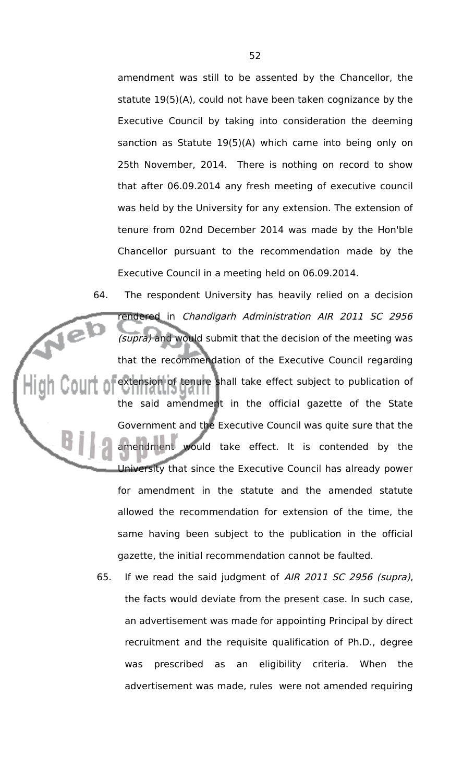amendment was still to be assented by the Chancellor, the statute 19(5)(A), could not have been taken cognizance by the Executive Council by taking into consideration the deeming sanction as Statute 19(5)(A) which came into being only on 25th November, 2014. There is nothing on record to show that after 06.09.2014 any fresh meeting of executive council was held by the University for any extension. The extension of tenure from 02nd December 2014 was made by the Hon'ble Chancellor pursuant to the recommendation made by the Executive Council in a meeting held on 06.09.2014.

64. The respondent University has heavily relied on a decision rendered in Chandigarh Administration AIR 2011 SC 2956 (supra) and would submit that the decision of the meeting was that the recommendation of the Executive Council regarding extension of tenure shall take effect subject to publication of the said amendment in the official gazette of the State Government and the Executive Council was quite sure that the amendment would take effect. It is contended by the University that since the Executive Council has already power for amendment in the statute and the amended statute allowed the recommendation for extension of the time, the same having been subject to the publication in the official gazette, the initial recommendation cannot be faulted.

> 65. If we read the said judgment of AIR 2011 SC 2956 (supra), the facts would deviate from the present case. In such case, an advertisement was made for appointing Principal by direct recruitment and the requisite qualification of Ph.D., degree was prescribed as an eligibility criteria. When the advertisement was made, rules were not amended requiring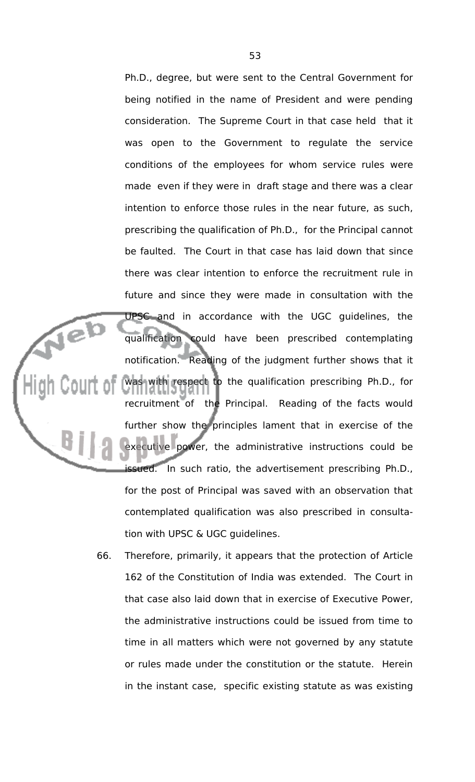Ph.D., degree, but were sent to the Central Government for being notified in the name of President and were pending consideration. The Supreme Court in that case held that it was open to the Government to regulate the service conditions of the employees for whom service rules were made even if they were in draft stage and there was a clear intention to enforce those rules in the near future, as such, prescribing the qualification of Ph.D., for the Principal cannot be faulted. The Court in that case has laid down that since there was clear intention to enforce the recruitment rule in future and since they were made in consultation with the UPSC and in accordance with the UGC guidelines, the qualification could have been prescribed contemplating notification. Reading of the judgment further shows that it was with respect to the qualification prescribing Ph.D., for recruitment of the Principal. Reading of the facts would further show the principles lament that in exercise of the executive power, the administrative instructions could be issued. In such ratio, the advertisement prescribing Ph.D., for the post of Principal was saved with an observation that contemplated qualification was also prescribed in consultation with UPSC & UGC guidelines.

Neb

66. Therefore, primarily, it appears that the protection of Article 162 of the Constitution of India was extended. The Court in that case also laid down that in exercise of Executive Power, the administrative instructions could be issued from time to time in all matters which were not governed by any statute or rules made under the constitution or the statute. Herein in the instant case, specific existing statute as was existing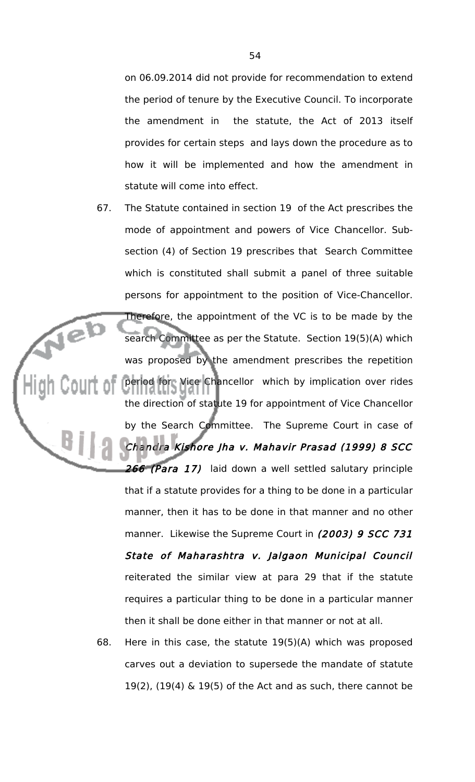on 06.09.2014 did not provide for recommendation to extend the period of tenure by the Executive Council. To incorporate the amendment in the statute, the Act of 2013 itself provides for certain steps and lays down the procedure as to how it will be implemented and how the amendment in statute will come into effect.

- 67. The Statute contained in section 19 of the Act prescribes the mode of appointment and powers of Vice Chancellor. Subsection (4) of Section 19 prescribes that Search Committee which is constituted shall submit a panel of three suitable persons for appointment to the position of Vice-Chancellor. Therefore, the appointment of the VC is to be made by the search Committee as per the Statute. Section 19(5)(A) which was proposed by the amendment prescribes the repetition period for Vice Chancellor which by implication over rides the direction of statute 19 for appointment of Vice Chancellor by the Search Committee. The Supreme Court in case of Chandra Kishore Jha v. Mahavir Prasad (1999) 8 SCC 266 (Para 17) laid down a well settled salutary principle that if a statute provides for a thing to be done in a particular manner, then it has to be done in that manner and no other manner. Likewise the Supreme Court in (2003) 9 SCC 731 State of Maharashtra v. Jalgaon Municipal Council reiterated the similar view at para 29 that if the statute requires a particular thing to be done in a particular manner then it shall be done either in that manner or not at all.
	- 68. Here in this case, the statute 19(5)(A) which was proposed carves out a deviation to supersede the mandate of statute 19(2),  $(19(4)$  & 19(5) of the Act and as such, there cannot be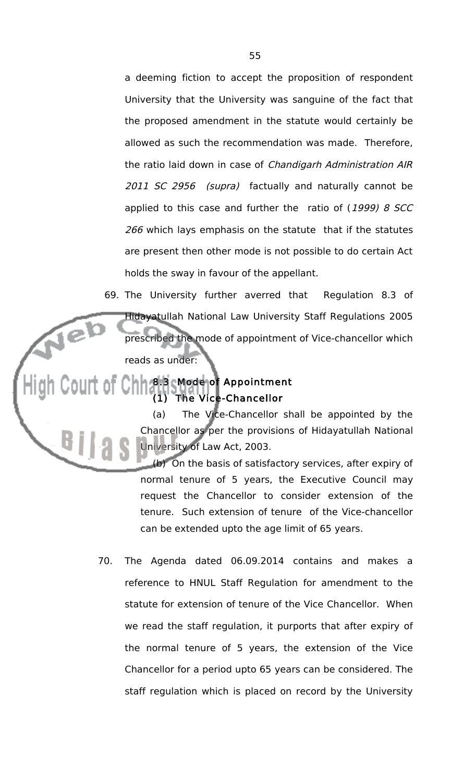a deeming fiction to accept the proposition of respondent University that the University was sanguine of the fact that the proposed amendment in the statute would certainly be allowed as such the recommendation was made. Therefore, the ratio laid down in case of Chandigarh Administration AIR 2011 SC 2956 (supra) factually and naturally cannot be applied to this case and further the ratio of  $(1999)$  8 SCC 266 which lays emphasis on the statute that if the statutes are present then other mode is not possible to do certain Act holds the sway in favour of the appellant.

69. The University further averred that Regulation 8.3 of Hidayatullah National Law University Staff Regulations 2005 prescribed the mode of appointment of Vice-chancellor which reads as under:

# 8.3 Mode of Appointment (1) The Vice-Chancellor

Jel

(a) The Vice-Chancellor shall be appointed by the Chancellor as per the provisions of Hidayatullah National University of Law Act, 2003.

(b) On the basis of satisfactory services, after expiry of normal tenure of 5 years, the Executive Council may request the Chancellor to consider extension of the tenure. Such extension of tenure of the Vice-chancellor can be extended upto the age limit of 65 years.

70. The Agenda dated 06.09.2014 contains and makes a reference to HNUL Staff Regulation for amendment to the statute for extension of tenure of the Vice Chancellor. When we read the staff regulation, it purports that after expiry of the normal tenure of 5 years, the extension of the Vice Chancellor for a period upto 65 years can be considered. The staff regulation which is placed on record by the University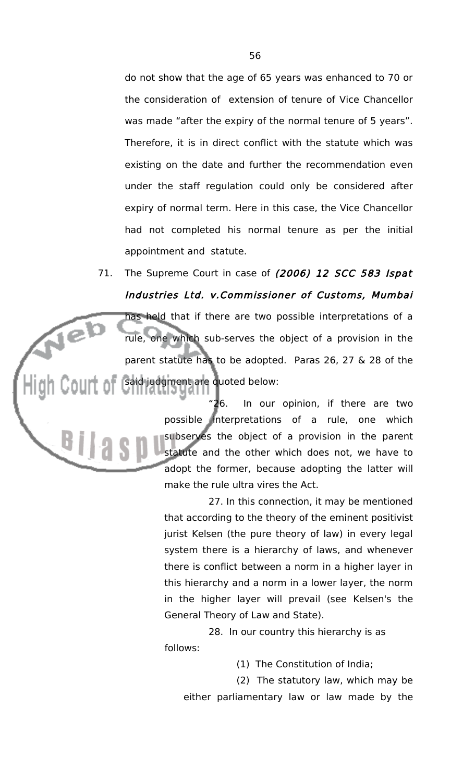do not show that the age of 65 years was enhanced to 70 or the consideration of extension of tenure of Vice Chancellor was made "after the expiry of the normal tenure of 5 years". Therefore, it is in direct conflict with the statute which was existing on the date and further the recommendation even under the staff regulation could only be considered after expiry of normal term. Here in this case, the Vice Chancellor had not completed his normal tenure as per the initial appointment and statute.

71. The Supreme Court in case of (2006) 12 SCC 583 Ispat Industries Ltd. v.Commissioner of Customs, Mumbai has held that if there are two possible interpretations of a Neb rule, one which sub-serves the object of a provision in the parent statute has to be adopted. Paras 26, 27 & 28 of the said judgment are quoted below:

 $B||a$ 

"26. In our opinion, if there are two possible interpretations of a rule, one which subserves the object of a provision in the parent statute and the other which does not, we have to adopt the former, because adopting the latter will make the rule ultra vires the Act.

27. In this connection, it may be mentioned that according to the theory of the eminent positivist jurist Kelsen (the pure theory of law) in every legal system there is a hierarchy of laws, and whenever there is conflict between a norm in a higher layer in this hierarchy and a norm in a lower layer, the norm in the higher layer will prevail (see Kelsen's the General Theory of Law and State).

28. In our country this hierarchy is as follows:

(1) The Constitution of India;

(2) The statutory law, which may be either parliamentary law or law made by the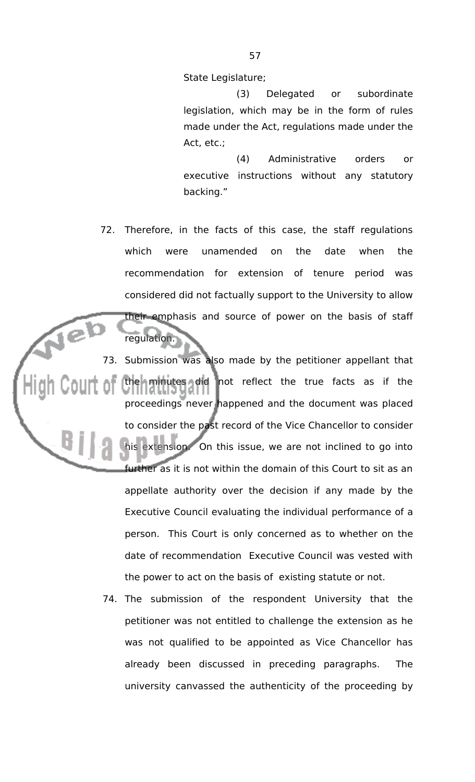State Legislature;

(3) Delegated or subordinate legislation, which may be in the form of rules made under the Act, regulations made under the Act, etc.;

(4) Administrative orders or executive instructions without any statutory backing."

72. Therefore, in the facts of this case, the staff regulations which were unamended on the date when the recommendation for extension of tenure period was considered did not factually support to the University to allow their emphasis and source of power on the basis of staff

regulation.

73. Submission was also made by the petitioner appellant that the minutes did not reflect the true facts as if the proceedings never happened and the document was placed to consider the past record of the Vice Chancellor to consider his extension. On this issue, we are not inclined to go into further as it is not within the domain of this Court to sit as an appellate authority over the decision if any made by the Executive Council evaluating the individual performance of a person. This Court is only concerned as to whether on the date of recommendation Executive Council was vested with the power to act on the basis of existing statute or not.

74. The submission of the respondent University that the petitioner was not entitled to challenge the extension as he was not qualified to be appointed as Vice Chancellor has already been discussed in preceding paragraphs. The university canvassed the authenticity of the proceeding by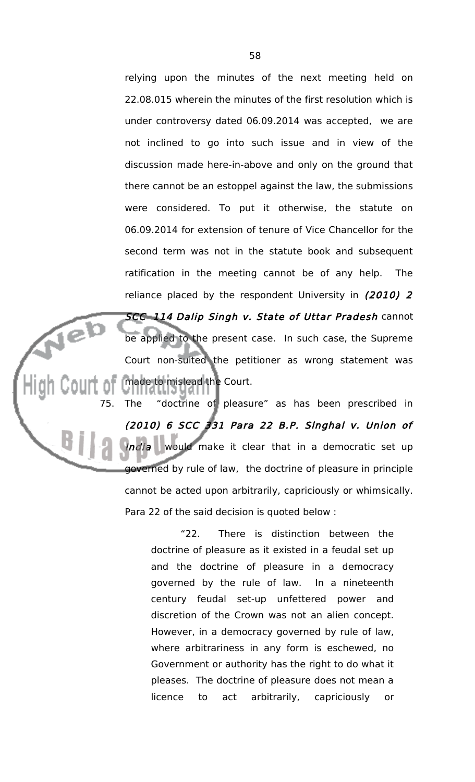relying upon the minutes of the next meeting held on 22.08.015 wherein the minutes of the first resolution which is under controversy dated 06.09.2014 was accepted, we are not inclined to go into such issue and in view of the discussion made here-in-above and only on the ground that there cannot be an estoppel against the law, the submissions were considered. To put it otherwise, the statute on 06.09.2014 for extension of tenure of Vice Chancellor for the second term was not in the statute book and subsequent ratification in the meeting cannot be of any help. The reliance placed by the respondent University in (2010) 2 SCC 114 Dalip Singh v. State of Uttar Pradesh cannot be applied to the present case. In such case, the Supreme Court non-suited the petitioner as wrong statement was made to mislead the Court.

75. The "doctrine of pleasure" as has been prescribed in (2010) 6 SCC 331 Para 22 B.P. Singhal v. Union of India would make it clear that in a democratic set up governed by rule of law, the doctrine of pleasure in principle cannot be acted upon arbitrarily, capriciously or whimsically. Para 22 of the said decision is quoted below :

> "22. There is distinction between the doctrine of pleasure as it existed in a feudal set up and the doctrine of pleasure in a democracy governed by the rule of law. In a nineteenth century feudal set-up unfettered power and discretion of the Crown was not an alien concept. However, in a democracy governed by rule of law, where arbitrariness in any form is eschewed, no Government or authority has the right to do what it pleases. The doctrine of pleasure does not mean a licence to act arbitrarily, capriciously or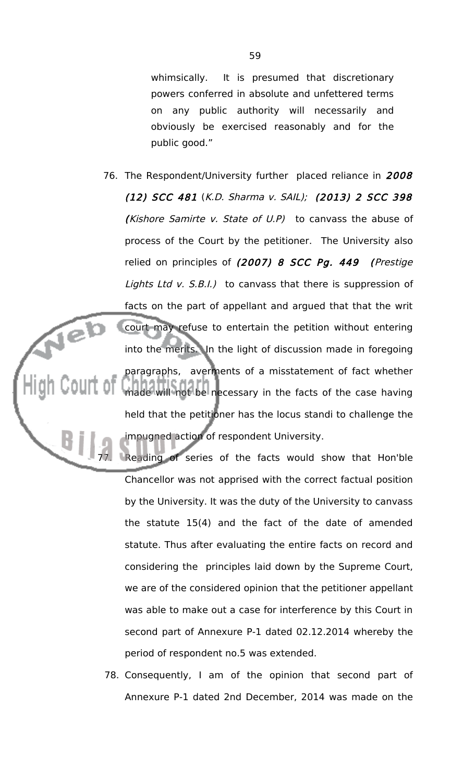whimsically. It is presumed that discretionary powers conferred in absolute and unfettered terms on any public authority will necessarily and obviously be exercised reasonably and for the public good."

76. The Respondent/University further placed reliance in 2008 (12) SCC 481 (K.D. Sharma v. SAIL); (2013) 2 SCC 398 (Kishore Samirte v. State of U.P) to canvass the abuse of process of the Court by the petitioner. The University also relied on principles of (2007) 8 SCC Pg. 449 (Prestige Lights Ltd v.  $S.B.I.$ ) to canvass that there is suppression of facts on the part of appellant and argued that that the writ Neb court may refuse to entertain the petition without entering into the merits. In the light of discussion made in foregoing paragraphs, averments of a misstatement of fact whether made will not be necessary in the facts of the case having held that the petitioner has the locus standi to challenge the impugned action of respondent University.

> Reading of series of the facts would show that Hon'ble Chancellor was not apprised with the correct factual position by the University. It was the duty of the University to canvass the statute 15(4) and the fact of the date of amended statute. Thus after evaluating the entire facts on record and considering the principles laid down by the Supreme Court, we are of the considered opinion that the petitioner appellant was able to make out a case for interference by this Court in second part of Annexure P-1 dated 02.12.2014 whereby the period of respondent no.5 was extended.

78. Consequently, I am of the opinion that second part of Annexure P-1 dated 2nd December, 2014 was made on the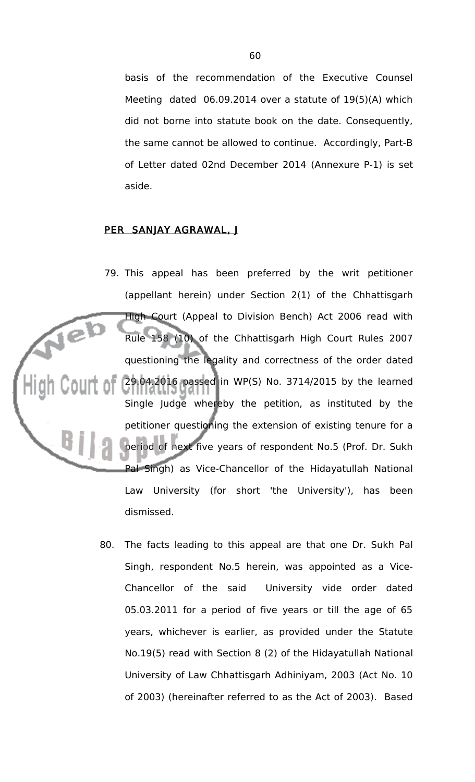basis of the recommendation of the Executive Counsel Meeting dated 06.09.2014 over a statute of 19(5)(A) which did not borne into statute book on the date. Consequently, the same cannot be allowed to continue. Accordingly, Part-B of Letter dated 02nd December 2014 (Annexure P-1) is set aside.

# PER SANJAY AGRAWAL, J

- 79. This appeal has been preferred by the writ petitioner (appellant herein) under Section 2(1) of the Chhattisgarh High Court (Appeal to Division Bench) Act 2006 read with Rule 158 (10) of the Chhattisgarh High Court Rules 2007 questioning the legality and correctness of the order dated 29.04.2016 passed in WP(S) No. 3714/2015 by the learned Single Judge whereby the petition, as instituted by the petitioner questioning the extension of existing tenure for a period of next five years of respondent No.5 (Prof. Dr. Sukh Pal Singh) as Vice-Chancellor of the Hidayatullah National Law University (for short 'the University'), has been dismissed.
	- 80. The facts leading to this appeal are that one Dr. Sukh Pal Singh, respondent No.5 herein, was appointed as a Vice-Chancellor of the said University vide order dated 05.03.2011 for a period of five years or till the age of 65 years, whichever is earlier, as provided under the Statute No.19(5) read with Section 8 (2) of the Hidayatullah National University of Law Chhattisgarh Adhiniyam, 2003 (Act No. 10 of 2003) (hereinafter referred to as the Act of 2003). Based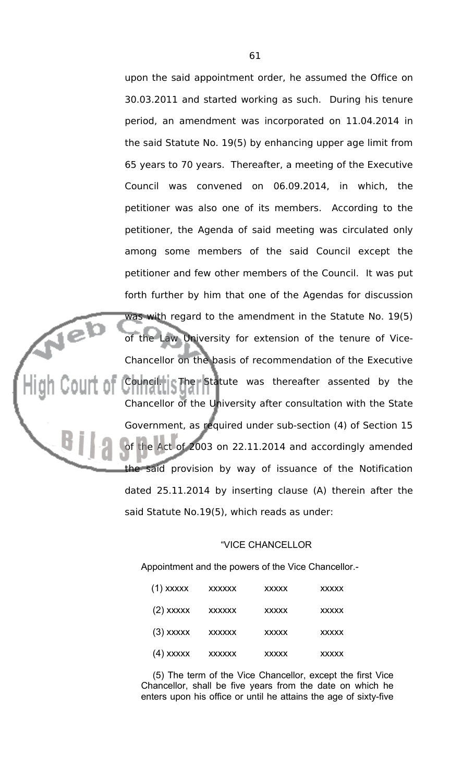upon the said appointment order, he assumed the Office on 30.03.2011 and started working as such. During his tenure period, an amendment was incorporated on 11.04.2014 in the said Statute No. 19(5) by enhancing upper age limit from 65 years to 70 years. Thereafter, a meeting of the Executive Council was convened on 06.09.2014, in which, the petitioner was also one of its members. According to the petitioner, the Agenda of said meeting was circulated only among some members of the said Council except the petitioner and few other members of the Council. It was put forth further by him that one of the Agendas for discussion was with regard to the amendment in the Statute No. 19(5) of the Law University for extension of the tenure of Vice-Chancellor on the basis of recommendation of the Executive Council. The Statute was thereafter assented by the Chancellor of the University after consultation with the State Government, as required under sub-section (4) of Section 15 of the Act of 2003 on 22.11.2014 and accordingly amended the said provision by way of issuance of the Notification dated 25.11.2014 by inserting clause (A) therein after the said Statute No.19(5), which reads as under:

#### "VICE CHANCELLOR

Appointment and the powers of the Vice Chancellor.-

| $(1)$ xxxxx | <b>XXXXXX</b> | <b>XXXXX</b> | <b>XXXXX</b> |
|-------------|---------------|--------------|--------------|
| $(2)$ xxxxx | <b>XXXXXX</b> | <b>XXXXX</b> | <b>XXXXX</b> |
| $(3)$ xxxxx | <b>XXXXXX</b> | <b>XXXXX</b> | <b>XXXXX</b> |
| (4) xxxxx   | <b>XXXXXX</b> | <b>XXXXX</b> | <b>XXXXX</b> |

(5) The term of the Vice Chancellor, except the first Vice Chancellor, shall be five years from the date on which he enters upon his office or until he attains the age of sixty-five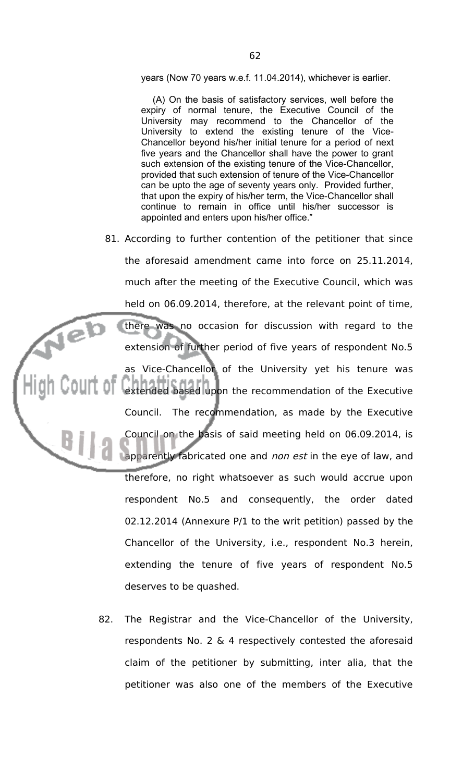years (Now 70 years w.e.f. 11.04.2014), whichever is earlier.

(A) On the basis of satisfactory services, well before the expiry of normal tenure, the Executive Council of the University may recommend to the Chancellor of the University to extend the existing tenure of the Vice-Chancellor beyond his/her initial tenure for a period of next five years and the Chancellor shall have the power to grant such extension of the existing tenure of the Vice-Chancellor, provided that such extension of tenure of the Vice-Chancellor can be upto the age of seventy years only. Provided further, that upon the expiry of his/her term, the Vice-Chancellor shall continue to remain in office until his/her successor is appointed and enters upon his/her office."

- 81. According to further contention of the petitioner that since the aforesaid amendment came into force on 25.11.2014, much after the meeting of the Executive Council, which was held on 06.09.2014, therefore, at the relevant point of time, there was no occasion for discussion with regard to the extension of further period of five years of respondent No.5 as Vice-Chancellor of the University yet his tenure was extended based upon the recommendation of the Executive Council. The recommendation, as made by the Executive Council on the basis of said meeting held on 06.09.2014, is apparently fabricated one and *non est* in the eye of law, and therefore, no right whatsoever as such would accrue upon respondent No.5 and consequently, the order dated 02.12.2014 (Annexure P/1 to the writ petition) passed by the Chancellor of the University, i.e., respondent No.3 herein, extending the tenure of five years of respondent No.5 deserves to be quashed.
	- 82. The Registrar and the Vice-Chancellor of the University, respondents No. 2 & 4 respectively contested the aforesaid claim of the petitioner by submitting, inter alia, that the petitioner was also one of the members of the Executive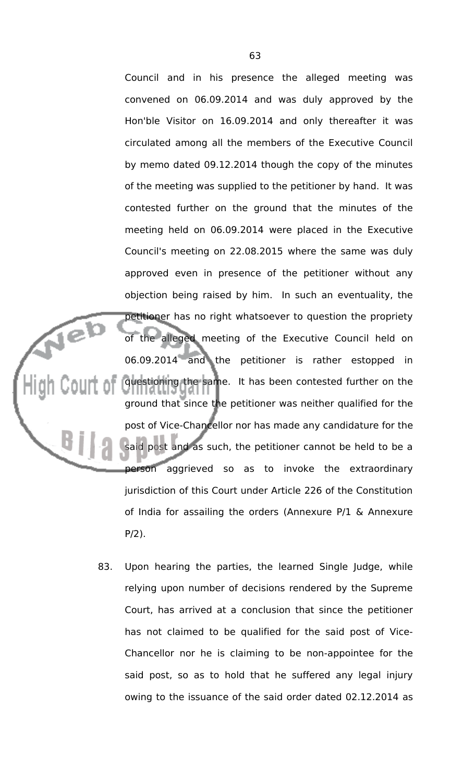Council and in his presence the alleged meeting was convened on 06.09.2014 and was duly approved by the Hon'ble Visitor on 16.09.2014 and only thereafter it was circulated among all the members of the Executive Council by memo dated 09.12.2014 though the copy of the minutes of the meeting was supplied to the petitioner by hand. It was contested further on the ground that the minutes of the meeting held on 06.09.2014 were placed in the Executive Council's meeting on 22.08.2015 where the same was duly approved even in presence of the petitioner without any objection being raised by him. In such an eventuality, the petitioner has no right whatsoever to question the propriety of the alleged meeting of the Executive Council held on 06.09.2014 and the petitioner is rather estopped in questioning the same. It has been contested further on the ground that since the petitioner was neither qualified for the post of Vice-Chancellor nor has made any candidature for the said post and as such, the petitioner cannot be held to be a person aggrieved so as to invoke the extraordinary jurisdiction of this Court under Article 226 of the Constitution of India for assailing the orders (Annexure P/1 & Annexure P/2).

jeb

83. Upon hearing the parties, the learned Single Judge, while relying upon number of decisions rendered by the Supreme Court, has arrived at a conclusion that since the petitioner has not claimed to be qualified for the said post of Vice-Chancellor nor he is claiming to be non-appointee for the said post, so as to hold that he suffered any legal injury owing to the issuance of the said order dated 02.12.2014 as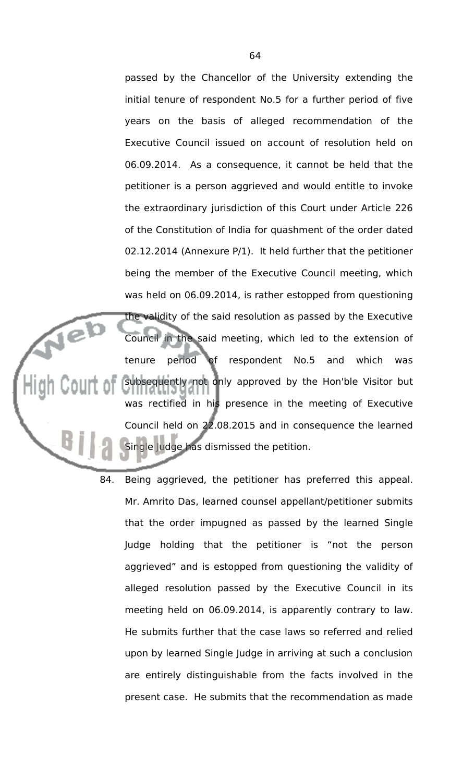passed by the Chancellor of the University extending the initial tenure of respondent No.5 for a further period of five years on the basis of alleged recommendation of the Executive Council issued on account of resolution held on 06.09.2014. As a consequence, it cannot be held that the petitioner is a person aggrieved and would entitle to invoke the extraordinary jurisdiction of this Court under Article 226 of the Constitution of India for quashment of the order dated 02.12.2014 (Annexure P/1). It held further that the petitioner being the member of the Executive Council meeting, which was held on 06.09.2014, is rather estopped from questioning the validity of the said resolution as passed by the Executive Council in the said meeting, which led to the extension of tenure period of respondent No.5 and which was subsequently not only approved by the Hon'ble Visitor but was rectified in his presence in the meeting of Executive Council held on 22.08.2015 and in consequence the learned Single Judge has dismissed the petition.

Nel

84. Being aggrieved, the petitioner has preferred this appeal. Mr. Amrito Das, learned counsel appellant/petitioner submits that the order impugned as passed by the learned Single Judge holding that the petitioner is "not the person aggrieved" and is estopped from questioning the validity of alleged resolution passed by the Executive Council in its meeting held on 06.09.2014, is apparently contrary to law. He submits further that the case laws so referred and relied upon by learned Single Judge in arriving at such a conclusion are entirely distinguishable from the facts involved in the present case. He submits that the recommendation as made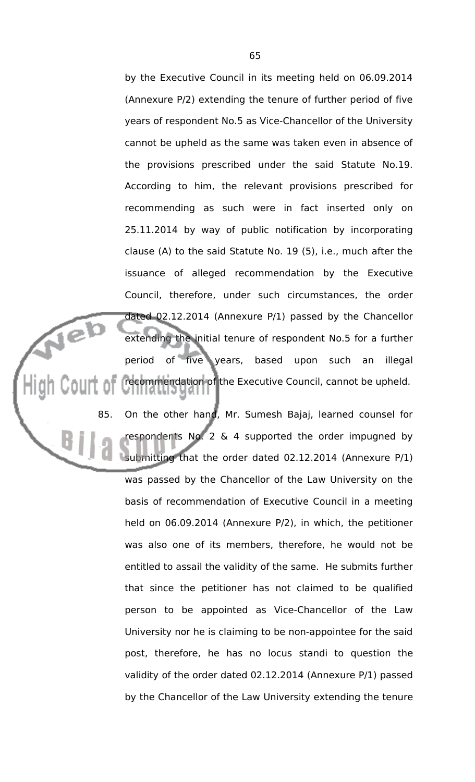by the Executive Council in its meeting held on 06.09.2014 (Annexure P/2) extending the tenure of further period of five years of respondent No.5 as Vice-Chancellor of the University cannot be upheld as the same was taken even in absence of the provisions prescribed under the said Statute No.19. According to him, the relevant provisions prescribed for recommending as such were in fact inserted only on 25.11.2014 by way of public notification by incorporating clause (A) to the said Statute No. 19 (5), i.e., much after the issuance of alleged recommendation by the Executive Council, therefore, under such circumstances, the order dated 02.12.2014 (Annexure P/1) passed by the Chancellor extending the initial tenure of respondent No.5 for a further period of five years, based upon such an illegal recommendation of the Executive Council, cannot be upheld.

 $\sqrt{e}$ 

85. On the other hand, Mr. Sumesh Bajaj, learned counsel for respondents No. 2 & 4 supported the order impugned by submitting that the order dated 02.12.2014 (Annexure P/1) was passed by the Chancellor of the Law University on the basis of recommendation of Executive Council in a meeting held on 06.09.2014 (Annexure P/2), in which, the petitioner was also one of its members, therefore, he would not be entitled to assail the validity of the same. He submits further that since the petitioner has not claimed to be qualified person to be appointed as Vice-Chancellor of the Law University nor he is claiming to be non-appointee for the said post, therefore, he has no locus standi to question the validity of the order dated 02.12.2014 (Annexure P/1) passed by the Chancellor of the Law University extending the tenure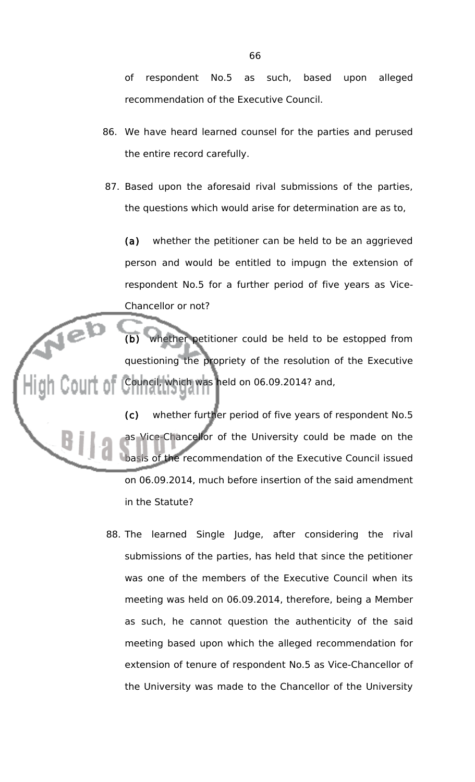of respondent No.5 as such, based upon alleged recommendation of the Executive Council.

- 86. We have heard learned counsel for the parties and perused the entire record carefully.
- 87. Based upon the aforesaid rival submissions of the parties, the questions which would arise for determination are as to,

(a) whether the petitioner can be held to be an aggrieved person and would be entitled to impugn the extension of respondent No.5 for a further period of five years as Vice-Chancellor or not?

whether petitioner could be held to be estopped from questioning the propriety of the resolution of the Executive Council, which was held on 06.09.2014? and,

(c) whether further period of five years of respondent No.5 as Vice-Chancellor of the University could be made on the basis of the recommendation of the Executive Council issued on 06.09.2014, much before insertion of the said amendment in the Statute?

88. The learned Single Judge, after considering the rival submissions of the parties, has held that since the petitioner was one of the members of the Executive Council when its meeting was held on 06.09.2014, therefore, being a Member as such, he cannot question the authenticity of the said meeting based upon which the alleged recommendation for extension of tenure of respondent No.5 as Vice-Chancellor of the University was made to the Chancellor of the University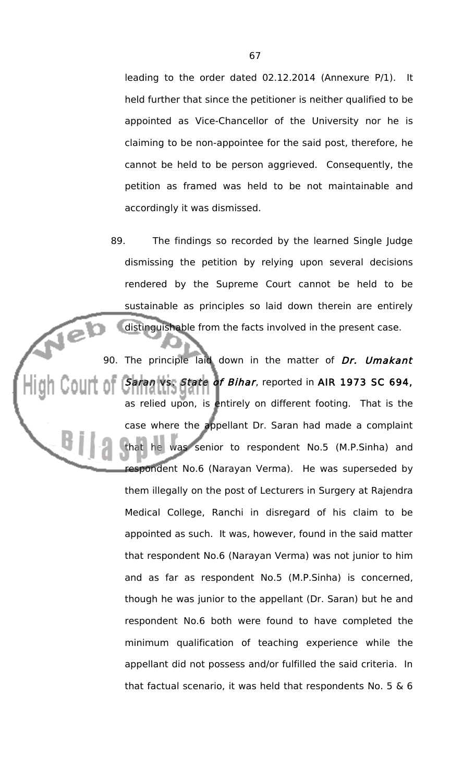leading to the order dated 02.12.2014 (Annexure P/1). It held further that since the petitioner is neither qualified to be appointed as Vice-Chancellor of the University nor he is claiming to be non-appointee for the said post, therefore, he cannot be held to be person aggrieved. Consequently, the petition as framed was held to be not maintainable and accordingly it was dismissed.

89. The findings so recorded by the learned Single Judge dismissing the petition by relying upon several decisions rendered by the Supreme Court cannot be held to be sustainable as principles so laid down therein are entirely distinguishable from the facts involved in the present case.

Jeb

90. The principle laid down in the matter of Dr. Umakant Saran vs. State of Bihar, reported in AIR 1973 SC 694, as relied upon, is entirely on different footing. That is the case where the appellant Dr. Saran had made a complaint that he was senior to respondent No.5 (M.P.Sinha) and respondent No.6 (Narayan Verma). He was superseded by them illegally on the post of Lecturers in Surgery at Rajendra Medical College, Ranchi in disregard of his claim to be appointed as such. It was, however, found in the said matter that respondent No.6 (Narayan Verma) was not junior to him and as far as respondent No.5 (M.P.Sinha) is concerned, though he was junior to the appellant (Dr. Saran) but he and respondent No.6 both were found to have completed the minimum qualification of teaching experience while the appellant did not possess and/or fulfilled the said criteria. In that factual scenario, it was held that respondents No. 5  $\&$  6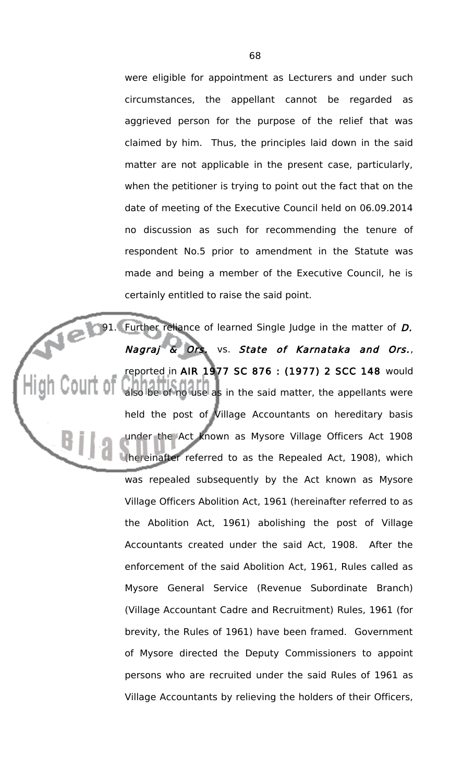were eligible for appointment as Lecturers and under such circumstances, the appellant cannot be regarded as aggrieved person for the purpose of the relief that was claimed by him. Thus, the principles laid down in the said matter are not applicable in the present case, particularly, when the petitioner is trying to point out the fact that on the date of meeting of the Executive Council held on 06.09.2014 no discussion as such for recommending the tenure of respondent No.5 prior to amendment in the Statute was made and being a member of the Executive Council, he is certainly entitled to raise the said point.

91. Further reliance of learned Single Judge in the matter of D. Nagraj & Ors. vs. State of Karnataka and Ors., reported in AIR 1977 SC 876 : (1977) 2 SCC 148 would also be of no use as in the said matter, the appellants were held the post of Village Accountants on hereditary basis under the Act known as Mysore Village Officers Act 1908 (hereinafter referred to as the Repealed Act, 1908), which was repealed subsequently by the Act known as Mysore Village Officers Abolition Act, 1961 (hereinafter referred to as the Abolition Act, 1961) abolishing the post of Village Accountants created under the said Act, 1908. After the enforcement of the said Abolition Act, 1961, Rules called as Mysore General Service (Revenue Subordinate Branch) (Village Accountant Cadre and Recruitment) Rules, 1961 (for brevity, the Rules of 1961) have been framed. Government of Mysore directed the Deputy Commissioners to appoint persons who are recruited under the said Rules of 1961 as Village Accountants by relieving the holders of their Officers,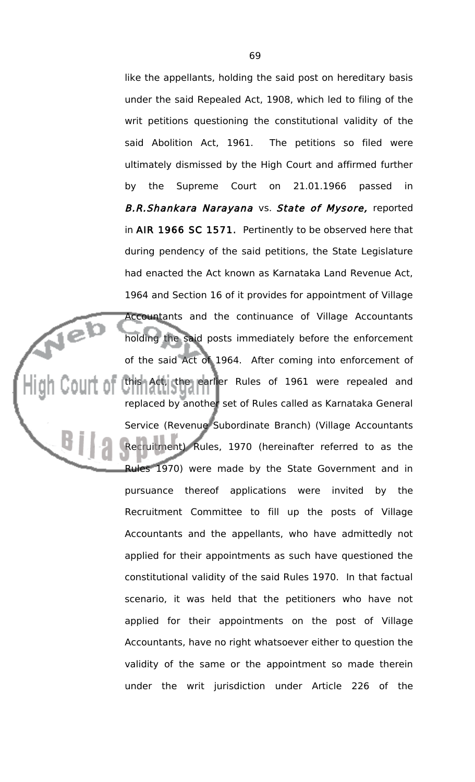like the appellants, holding the said post on hereditary basis under the said Repealed Act, 1908, which led to filing of the writ petitions questioning the constitutional validity of the said Abolition Act, 1961. The petitions so filed were ultimately dismissed by the High Court and affirmed further by the Supreme Court on 21.01.1966 passed in B.R.Shankara Narayana vs. State of Mysore, reported in AIR 1966 SC 1571. Pertinently to be observed here that during pendency of the said petitions, the State Legislature had enacted the Act known as Karnataka Land Revenue Act, 1964 and Section 16 of it provides for appointment of Village Accountants and the continuance of Village Accountants holding the said posts immediately before the enforcement of the said Act of 1964. After coming into enforcement of this Act, the earlier Rules of 1961 were repealed and replaced by another set of Rules called as Karnataka General Service (Revenue Subordinate Branch) (Village Accountants Recruitment) Rules, 1970 (hereinafter referred to as the Rules 1970) were made by the State Government and in pursuance thereof applications were invited by the Recruitment Committee to fill up the posts of Village Accountants and the appellants, who have admittedly not applied for their appointments as such have questioned the constitutional validity of the said Rules 1970. In that factual scenario, it was held that the petitioners who have not applied for their appointments on the post of Village Accountants, have no right whatsoever either to question the validity of the same or the appointment so made therein under the writ jurisdiction under Article 226 of the

Neb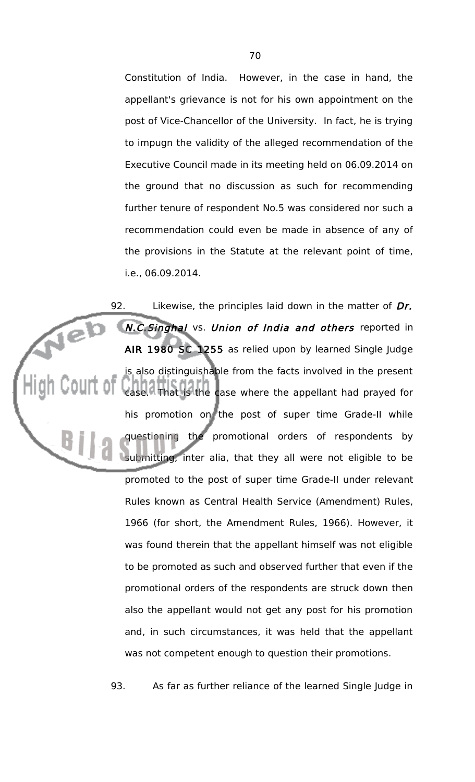Constitution of India. However, in the case in hand, the appellant's grievance is not for his own appointment on the post of Vice-Chancellor of the University. In fact, he is trying to impugn the validity of the alleged recommendation of the Executive Council made in its meeting held on 06.09.2014 on the ground that no discussion as such for recommending further tenure of respondent No.5 was considered nor such a recommendation could even be made in absence of any of the provisions in the Statute at the relevant point of time, i.e., 06.09.2014.

92. Likewise, the principles laid down in the matter of Dr. **Jeb** N.C.Singhal vs. Union of India and others reported in AIR 1980 SC 1255 as relied upon by learned Single Judge is also distinguishable from the facts involved in the present case. That is the case where the appellant had prayed for his promotion on the post of super time Grade-II while questioning the promotional orders of respondents by submitting, inter alia, that they all were not eligible to be promoted to the post of super time Grade-II under relevant Rules known as Central Health Service (Amendment) Rules, 1966 (for short, the Amendment Rules, 1966). However, it was found therein that the appellant himself was not eligible to be promoted as such and observed further that even if the promotional orders of the respondents are struck down then also the appellant would not get any post for his promotion and, in such circumstances, it was held that the appellant was not competent enough to question their promotions.

93. As far as further reliance of the learned Single Judge in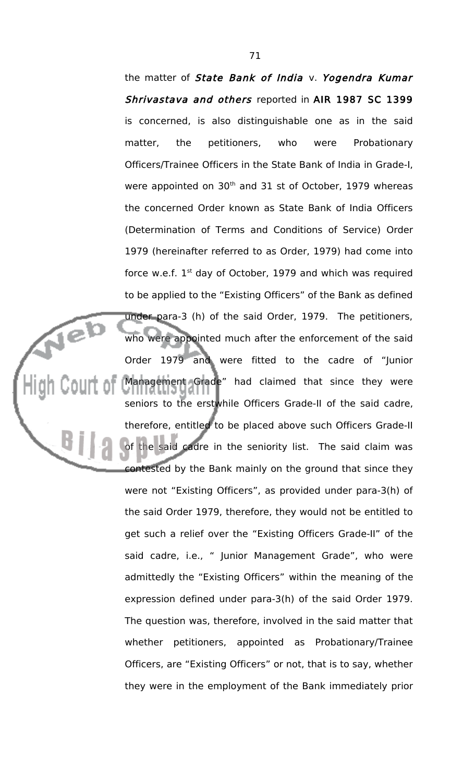the matter of State Bank of India v. Yogendra Kumar Shrivastava and others reported in AIR 1987 SC 1399 is concerned, is also distinguishable one as in the said matter, the petitioners, who were Probationary Officers/Trainee Officers in the State Bank of India in Grade-I, were appointed on 30<sup>th</sup> and 31 st of October, 1979 whereas the concerned Order known as State Bank of India Officers (Determination of Terms and Conditions of Service) Order 1979 (hereinafter referred to as Order, 1979) had come into force w.e.f.  $1<sup>st</sup>$  day of October, 1979 and which was required to be applied to the "Existing Officers" of the Bank as defined under para-3 (h) of the said Order, 1979. The petitioners, who were appointed much after the enforcement of the said Order 1979 and were fitted to the cadre of "Junior Management Grade" had claimed that since they were seniors to the erstwhile Officers Grade-II of the said cadre, therefore, entitled to be placed above such Officers Grade-II of the said cadre in the seniority list. The said claim was contested by the Bank mainly on the ground that since they were not "Existing Officers", as provided under para-3(h) of the said Order 1979, therefore, they would not be entitled to get such a relief over the "Existing Officers Grade-II" of the said cadre, i.e., " Junior Management Grade", who were admittedly the "Existing Officers" within the meaning of the expression defined under para-3(h) of the said Order 1979. The question was, therefore, involved in the said matter that whether petitioners, appointed as Probationary/Trainee Officers, are "Existing Officers" or not, that is to say, whether they were in the employment of the Bank immediately prior

Jeb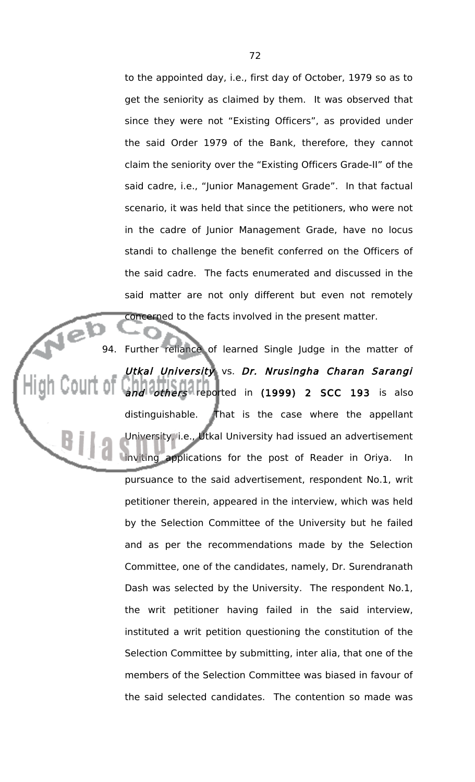to the appointed day, i.e., first day of October, 1979 so as to get the seniority as claimed by them. It was observed that since they were not "Existing Officers", as provided under the said Order 1979 of the Bank, therefore, they cannot claim the seniority over the "Existing Officers Grade-II" of the said cadre, i.e., "Junior Management Grade". In that factual scenario, it was held that since the petitioners, who were not in the cadre of Junior Management Grade, have no locus standi to challenge the benefit conferred on the Officers of the said cadre. The facts enumerated and discussed in the said matter are not only different but even not remotely concerned to the facts involved in the present matter.

94. Further reliance of learned Single Judge in the matter of Utkal University vs. Dr. Nrusingha Charan Sarangi and others reported in (1999) 2 SCC 193 is also distinguishable. That is the case where the appellant University, i.e., Utkal University had issued an advertisement inviting applications for the post of Reader in Oriya. In pursuance to the said advertisement, respondent No.1, writ petitioner therein, appeared in the interview, which was held by the Selection Committee of the University but he failed and as per the recommendations made by the Selection Committee, one of the candidates, namely, Dr. Surendranath Dash was selected by the University. The respondent No.1, the writ petitioner having failed in the said interview, instituted a writ petition questioning the constitution of the Selection Committee by submitting, inter alia, that one of the members of the Selection Committee was biased in favour of the said selected candidates. The contention so made was

íe)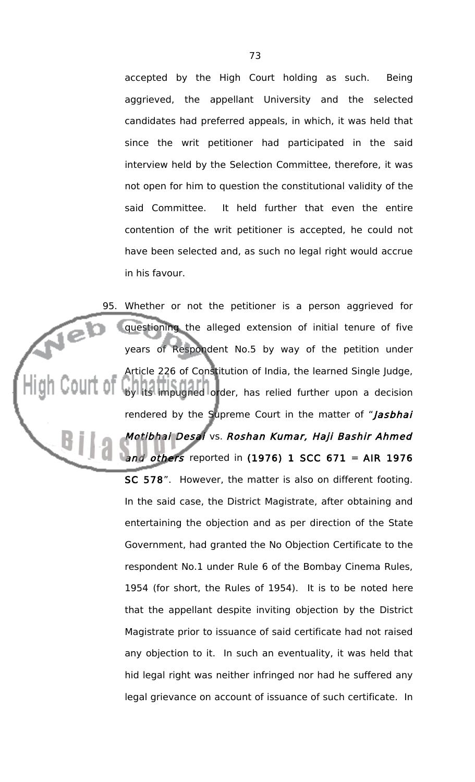accepted by the High Court holding as such. Being aggrieved, the appellant University and the selected candidates had preferred appeals, in which, it was held that since the writ petitioner had participated in the said interview held by the Selection Committee, therefore, it was not open for him to question the constitutional validity of the said Committee. It held further that even the entire contention of the writ petitioner is accepted, he could not have been selected and, as such no legal right would accrue in his favour.

95. Whether or not the petitioner is a person aggrieved for Jel questioning the alleged extension of initial tenure of five years of Respondent No.5 by way of the petition under Article 226 of Constitution of India, the learned Single Judge, by its impugned order, has relied further upon a decision rendered by the Supreme Court in the matter of "Jasbhai Motibhai Desai vs. Roshan Kumar, Haji Bashir Ahmed and others reported in  $(1976)$  1 SCC 671 = AIR 1976 SC 578". However, the matter is also on different footing. In the said case, the District Magistrate, after obtaining and entertaining the objection and as per direction of the State Government, had granted the No Objection Certificate to the respondent No.1 under Rule 6 of the Bombay Cinema Rules, 1954 (for short, the Rules of 1954). It is to be noted here that the appellant despite inviting objection by the District Magistrate prior to issuance of said certificate had not raised any objection to it. In such an eventuality, it was held that hid legal right was neither infringed nor had he suffered any legal grievance on account of issuance of such certificate. In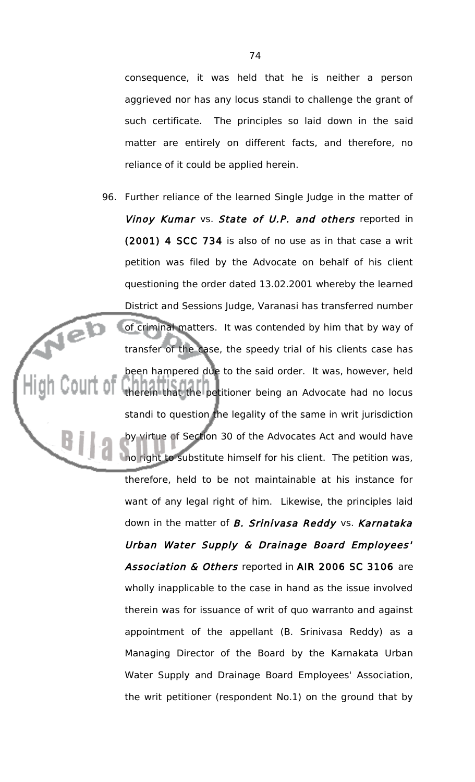consequence, it was held that he is neither a person aggrieved nor has any locus standi to challenge the grant of such certificate. The principles so laid down in the said matter are entirely on different facts, and therefore, no reliance of it could be applied herein.

96. Further reliance of the learned Single Judge in the matter of Vinoy Kumar vs. State of U.P. and others reported in (2001) 4 SCC 734 is also of no use as in that case a writ petition was filed by the Advocate on behalf of his client questioning the order dated 13.02.2001 whereby the learned District and Sessions Judge, Varanasi has transferred number Jeb of criminal matters. It was contended by him that by way of transfer of the case, the speedy trial of his clients case has been hampered due to the said order. It was, however, held therein that the petitioner being an Advocate had no locus standi to question the legality of the same in writ jurisdiction by virtue of Section 30 of the Advocates Act and would have no right to substitute himself for his client. The petition was, therefore, held to be not maintainable at his instance for want of any legal right of him. Likewise, the principles laid down in the matter of B. Srinivasa Reddy vs. Karnataka Urban Water Supply & Drainage Board Employees' Association & Others reported in AIR 2006 SC 3106 are wholly inapplicable to the case in hand as the issue involved therein was for issuance of writ of quo warranto and against appointment of the appellant (B. Srinivasa Reddy) as a Managing Director of the Board by the Karnakata Urban Water Supply and Drainage Board Employees' Association, the writ petitioner (respondent No.1) on the ground that by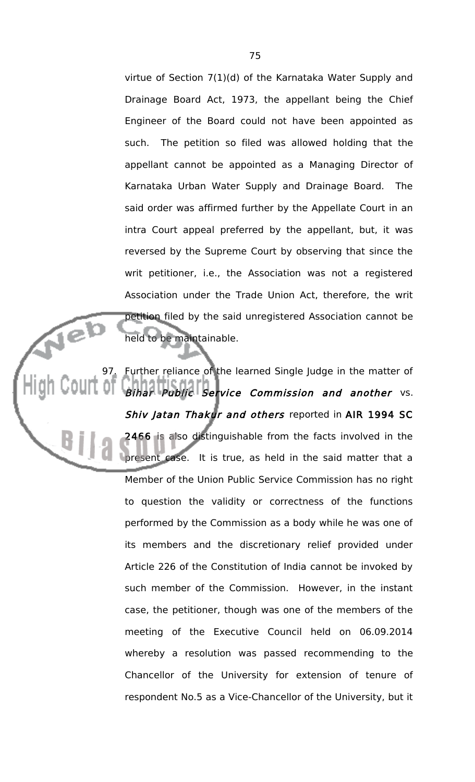virtue of Section 7(1)(d) of the Karnataka Water Supply and Drainage Board Act, 1973, the appellant being the Chief Engineer of the Board could not have been appointed as such. The petition so filed was allowed holding that the appellant cannot be appointed as a Managing Director of Karnataka Urban Water Supply and Drainage Board. The said order was affirmed further by the Appellate Court in an intra Court appeal preferred by the appellant, but, it was reversed by the Supreme Court by observing that since the writ petitioner, i.e., the Association was not a registered Association under the Trade Union Act, therefore, the writ petition filed by the said unregistered Association cannot be held to be maintainable.

97. Further reliance of the learned Single Judge in the matter of Bihar Public Service Commission and another vs. Shiv Jatan Thakur and others reported in AIR 1994 SC 2466 is also distinguishable from the facts involved in the present case. It is true, as held in the said matter that a Member of the Union Public Service Commission has no right to question the validity or correctness of the functions performed by the Commission as a body while he was one of its members and the discretionary relief provided under Article 226 of the Constitution of India cannot be invoked by such member of the Commission. However, in the instant case, the petitioner, though was one of the members of the meeting of the Executive Council held on 06.09.2014 whereby a resolution was passed recommending to the Chancellor of the University for extension of tenure of respondent No.5 as a Vice-Chancellor of the University, but it

Jeb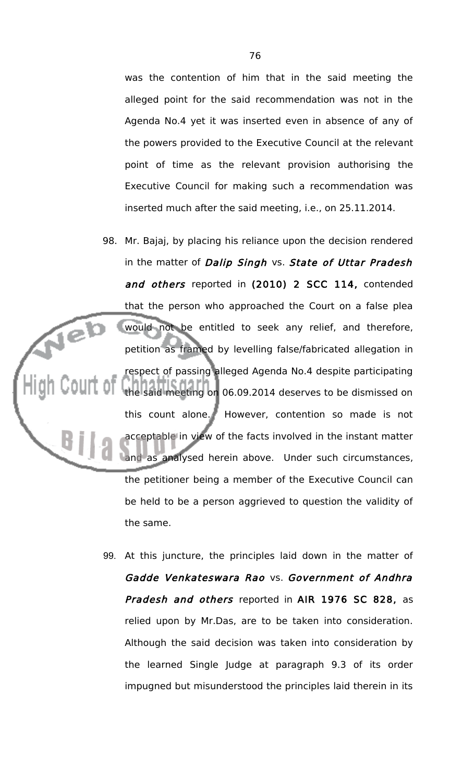was the contention of him that in the said meeting the alleged point for the said recommendation was not in the Agenda No.4 yet it was inserted even in absence of any of the powers provided to the Executive Council at the relevant point of time as the relevant provision authorising the Executive Council for making such a recommendation was inserted much after the said meeting, i.e., on 25.11.2014.

- 98. Mr. Bajaj, by placing his reliance upon the decision rendered in the matter of Dalip Singh vs. State of Uttar Pradesh and others reported in (2010) 2 SCC 114, contended that the person who approached the Court on a false plea Jeb would not be entitled to seek any relief, and therefore, petition as framed by levelling false/fabricated allegation in respect of passing alleged Agenda No.4 despite participating the said meeting on 06.09.2014 deserves to be dismissed on this count alone. However, contention so made is not acceptable in view of the facts involved in the instant matter as analysed herein above. Under such circumstances, the petitioner being a member of the Executive Council can be held to be a person aggrieved to question the validity of the same.
	- 99. At this juncture, the principles laid down in the matter of Gadde Venkateswara Rao vs. Government of Andhra Pradesh and others reported in AIR 1976 SC 828, as relied upon by Mr.Das, are to be taken into consideration. Although the said decision was taken into consideration by the learned Single Judge at paragraph 9.3 of its order impugned but misunderstood the principles laid therein in its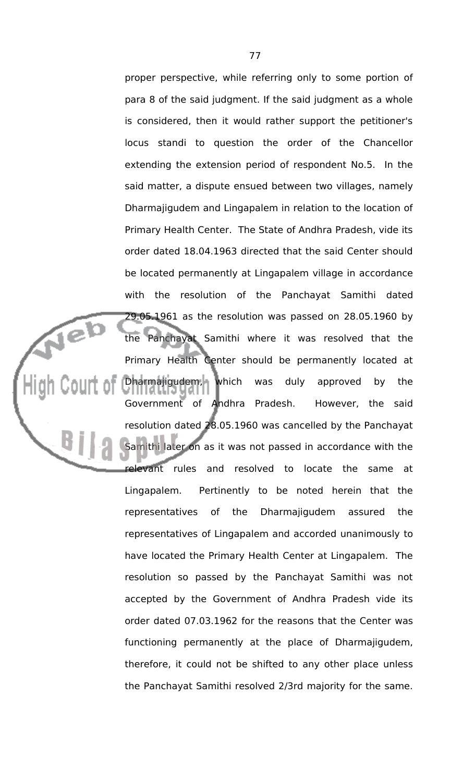proper perspective, while referring only to some portion of para 8 of the said judgment. If the said judgment as a whole is considered, then it would rather support the petitioner's locus standi to question the order of the Chancellor extending the extension period of respondent No.5. In the said matter, a dispute ensued between two villages, namely Dharmajigudem and Lingapalem in relation to the location of Primary Health Center. The State of Andhra Pradesh, vide its order dated 18.04.1963 directed that the said Center should be located permanently at Lingapalem village in accordance with the resolution of the Panchayat Samithi dated 29.05.1961 as the resolution was passed on 28.05.1960 by the Panchayat Samithi where it was resolved that the Primary Health Center should be permanently located at Dharmajigudem, which was duly approved by the Government of Andhra Pradesh. However, the said resolution dated 28.05.1960 was cancelled by the Panchayat Samithi later on as it was not passed in accordance with the relevant rules and resolved to locate the same at Lingapalem. Pertinently to be noted herein that the representatives of the Dharmajigudem assured the representatives of Lingapalem and accorded unanimously to have located the Primary Health Center at Lingapalem. The resolution so passed by the Panchayat Samithi was not accepted by the Government of Andhra Pradesh vide its order dated 07.03.1962 for the reasons that the Center was functioning permanently at the place of Dharmajigudem, therefore, it could not be shifted to any other place unless the Panchayat Samithi resolved 2/3rd majority for the same.

**Tel**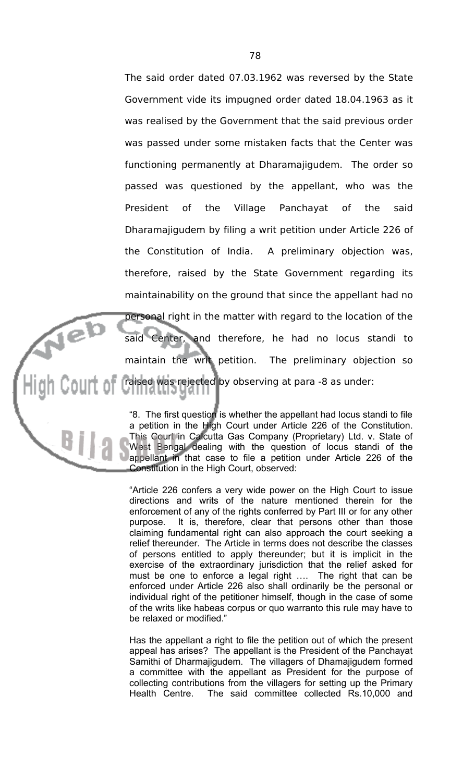The said order dated 07.03.1962 was reversed by the State Government vide its impugned order dated 18.04.1963 as it was realised by the Government that the said previous order was passed under some mistaken facts that the Center was functioning permanently at Dharamajigudem. The order so passed was questioned by the appellant, who was the President of the Village Panchayat of the said Dharamajigudem by filing a writ petition under Article 226 of the Constitution of India. A preliminary objection was, therefore, raised by the State Government regarding its maintainability on the ground that since the appellant had no personal right in the matter with regard to the location of the said Center, and therefore, he had no locus standi to maintain the writ petition. The preliminary objection so raised was rejected by observing at para -8 as under:

Nel

"8. The first question is whether the appellant had locus standi to file a petition in the High Court under Article 226 of the Constitution. This Court in Calcutta Gas Company (Proprietary) Ltd. v. State of West Bengal dealing with the question of locus standi of the appellant in that case to file a petition under Article 226 of the Constitution in the High Court, observed:

"Article 226 confers a very wide power on the High Court to issue directions and writs of the nature mentioned therein for the enforcement of any of the rights conferred by Part III or for any other purpose. It is, therefore, clear that persons other than those claiming fundamental right can also approach the court seeking a relief thereunder. The Article in terms does not describe the classes of persons entitled to apply thereunder; but it is implicit in the exercise of the extraordinary jurisdiction that the relief asked for must be one to enforce a legal right …. The right that can be enforced under Article 226 also shall ordinarily be the personal or individual right of the petitioner himself, though in the case of some of the writs like habeas corpus or quo warranto this rule may have to be relaxed or modified."

Has the appellant a right to file the petition out of which the present appeal has arises? The appellant is the President of the Panchayat Samithi of Dharmajigudem. The villagers of Dhamajigudem formed a committee with the appellant as President for the purpose of collecting contributions from the villagers for setting up the Primary Health Centre. The said committee collected Rs.10,000 and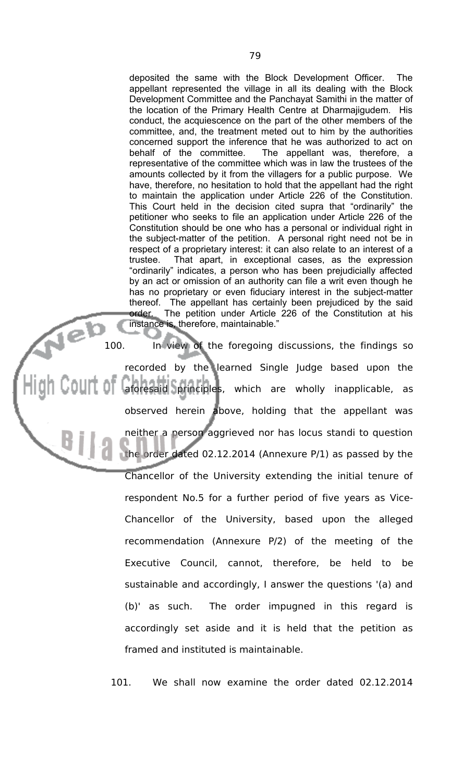deposited the same with the Block Development Officer. The appellant represented the village in all its dealing with the Block Development Committee and the Panchayat Samithi in the matter of the location of the Primary Health Centre at Dharmajigudem. His conduct, the acquiescence on the part of the other members of the committee, and, the treatment meted out to him by the authorities concerned support the inference that he was authorized to act on behalf of the committee. The appellant was, therefore, a representative of the committee which was in law the trustees of the amounts collected by it from the villagers for a public purpose. We have, therefore, no hesitation to hold that the appellant had the right to maintain the application under Article 226 of the Constitution. This Court held in the decision cited supra that "ordinarily" the petitioner who seeks to file an application under Article 226 of the Constitution should be one who has a personal or individual right in the subject-matter of the petition. A personal right need not be in respect of a proprietary interest: it can also relate to an interest of a trustee. That apart, in exceptional cases, as the expression "ordinarily" indicates, a person who has been prejudicially affected by an act or omission of an authority can file a writ even though he has no proprietary or even fiduciary interest in the subject-matter thereof. The appellant has certainly been prejudiced by the said order. The petition under Article 226 of the Constitution at his instance is, therefore, maintainable."

Jeb 100. In view of the foregoing discussions, the findings so recorded by the learned Single Judge based upon the aforesaid principles, which are wholly inapplicable, as observed herein above, holding that the appellant was neither a person aggrieved nor has locus standi to question the order dated 02.12.2014 (Annexure P/1) as passed by the

Chancellor of the University extending the initial tenure of respondent No.5 for a further period of five years as Vice-Chancellor of the University, based upon the alleged recommendation (Annexure P/2) of the meeting of the Executive Council, cannot, therefore, be held to be sustainable and accordingly, I answer the questions '(a) and (b)' as such. The order impugned in this regard is accordingly set aside and it is held that the petition as framed and instituted is maintainable.

101. We shall now examine the order dated 02.12.2014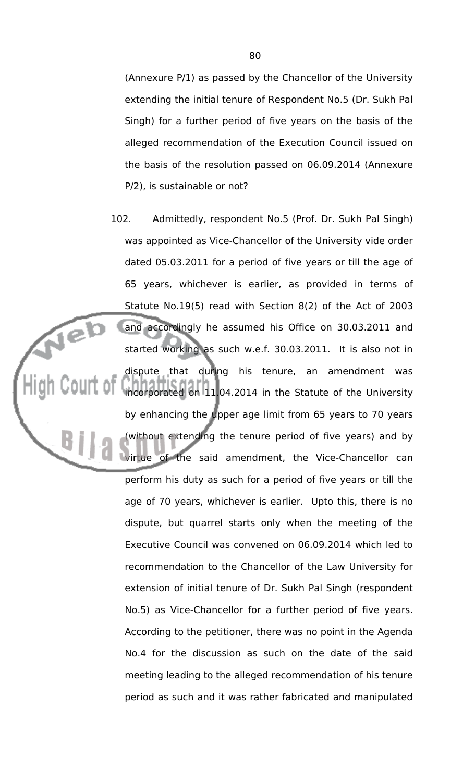(Annexure P/1) as passed by the Chancellor of the University extending the initial tenure of Respondent No.5 (Dr. Sukh Pal Singh) for a further period of five years on the basis of the alleged recommendation of the Execution Council issued on the basis of the resolution passed on 06.09.2014 (Annexure P/2), is sustainable or not?

102. Admittedly, respondent No.5 (Prof. Dr. Sukh Pal Singh) was appointed as Vice-Chancellor of the University vide order dated 05.03.2011 for a period of five years or till the age of 65 years, whichever is earlier, as provided in terms of Statute No.19(5) read with Section 8(2) of the Act of 2003 and accordingly he assumed his Office on 30.03.2011 and started working as such w.e.f. 30.03.2011. It is also not in dispute that during his tenure, an amendment was incorporated on 11.04.2014 in the Statute of the University by enhancing the upper age limit from 65 years to 70 years (without extending the tenure period of five years) and by virtue of the said amendment, the Vice-Chancellor can perform his duty as such for a period of five years or till the age of 70 years, whichever is earlier. Upto this, there is no dispute, but quarrel starts only when the meeting of the Executive Council was convened on 06.09.2014 which led to recommendation to the Chancellor of the Law University for extension of initial tenure of Dr. Sukh Pal Singh (respondent No.5) as Vice-Chancellor for a further period of five years. According to the petitioner, there was no point in the Agenda No.4 for the discussion as such on the date of the said meeting leading to the alleged recommendation of his tenure period as such and it was rather fabricated and manipulated

Neb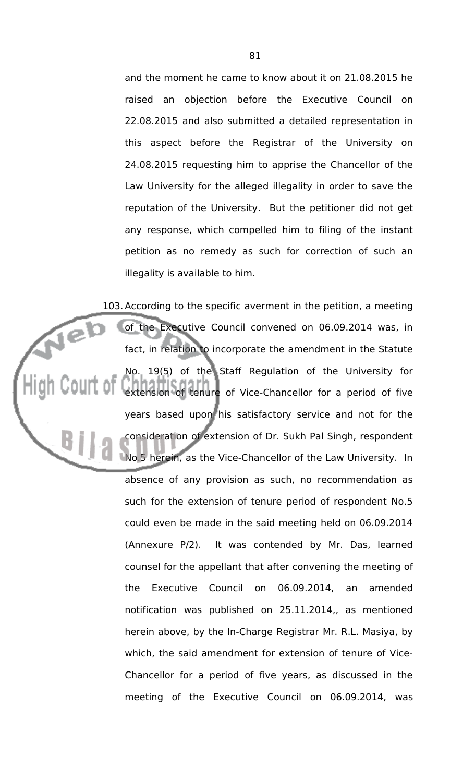and the moment he came to know about it on 21.08.2015 he raised an objection before the Executive Council on 22.08.2015 and also submitted a detailed representation in this aspect before the Registrar of the University on 24.08.2015 requesting him to apprise the Chancellor of the Law University for the alleged illegality in order to save the reputation of the University. But the petitioner did not get any response, which compelled him to filing of the instant petition as no remedy as such for correction of such an illegality is available to him.

103.According to the specific averment in the petition, a meeting Veb of the Executive Council convened on 06.09.2014 was, in fact, in relation to incorporate the amendment in the Statute No. 19(5) of the Staff Regulation of the University for extension of tenure of Vice-Chancellor for a period of five years based upon his satisfactory service and not for the consideration of extension of Dr. Sukh Pal Singh, respondent No.5 herein, as the Vice-Chancellor of the Law University. In absence of any provision as such, no recommendation as such for the extension of tenure period of respondent No.5 could even be made in the said meeting held on 06.09.2014 (Annexure P/2). It was contended by Mr. Das, learned counsel for the appellant that after convening the meeting of the Executive Council on 06.09.2014, an amended notification was published on 25.11.2014,, as mentioned herein above, by the In-Charge Registrar Mr. R.L. Masiya, by which, the said amendment for extension of tenure of Vice-Chancellor for a period of five years, as discussed in the meeting of the Executive Council on 06.09.2014, was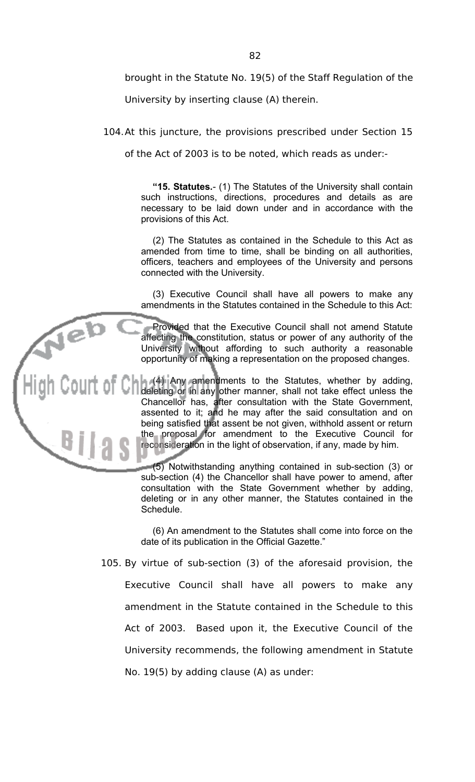brought in the Statute No. 19(5) of the Staff Regulation of the

University by inserting clause (A) therein.

104.At this juncture, the provisions prescribed under Section 15

of the Act of 2003 is to be noted, which reads as under:-

**"15. Statutes.**- (1) The Statutes of the University shall contain such instructions, directions, procedures and details as are necessary to be laid down under and in accordance with the provisions of this Act.

(2) The Statutes as contained in the Schedule to this Act as amended from time to time, shall be binding on all authorities, officers, teachers and employees of the University and persons connected with the University.

(3) Executive Council shall have all powers to make any amendments in the Statutes contained in the Schedule to this Act:

Provided that the Executive Council shall not amend Statute affecting the constitution, status or power of any authority of the University without affording to such authority a reasonable opportunity of making a representation on the proposed changes.

(4) Any amendments to the Statutes, whether by adding, deleting or in any other manner, shall not take effect unless the Chancellor has, after consultation with the State Government, assented to it; and he may after the said consultation and on being satisfied that assent be not given, withhold assent or return the proposal for amendment to the Executive Council for reconsideration in the light of observation, if any, made by him.

> (5) Notwithstanding anything contained in sub-section (3) or sub-section (4) the Chancellor shall have power to amend, after consultation with the State Government whether by adding, deleting or in any other manner, the Statutes contained in the Schedule.

> (6) An amendment to the Statutes shall come into force on the date of its publication in the Official Gazette."

105. By virtue of sub-section (3) of the aforesaid provision, the Executive Council shall have all powers to make any amendment in the Statute contained in the Schedule to this Act of 2003. Based upon it, the Executive Council of the University recommends, the following amendment in Statute No. 19(5) by adding clause (A) as under: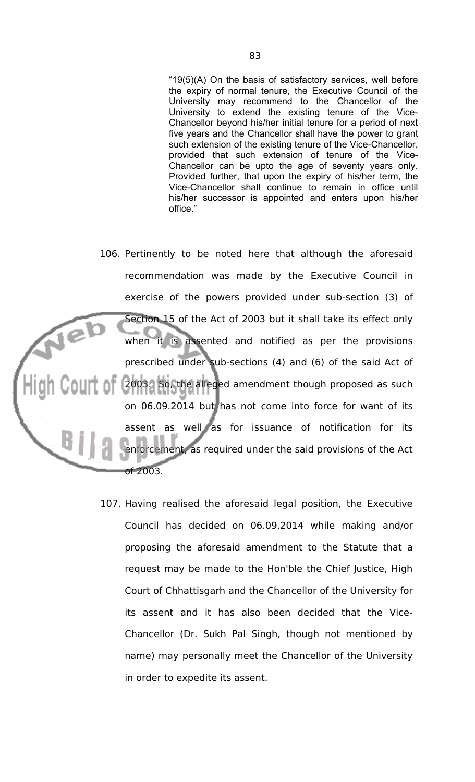"19(5)(A) On the basis of satisfactory services, well before the expiry of normal tenure, the Executive Council of the University may recommend to the Chancellor of the University to extend the existing tenure of the Vice-Chancellor beyond his/her initial tenure for a period of next five years and the Chancellor shall have the power to grant such extension of the existing tenure of the Vice-Chancellor, provided that such extension of tenure of the Vice-Chancellor can be upto the age of seventy years only. Provided further, that upon the expiry of his/her term, the Vice-Chancellor shall continue to remain in office until his/her successor is appointed and enters upon his/her office."

106. Pertinently to be noted here that although the aforesaid recommendation was made by the Executive Council in exercise of the powers provided under sub-section (3) of Section 15 of the Act of 2003 but it shall take its effect only when it is assented and notified as per the provisions prescribed under sub-sections (4) and (6) of the said Act of 2003. So, the alleged amendment though proposed as such on 06.09.2014 but has not come into force for want of its assent as well as for issuance of notification for its enforcement, as required under the said provisions of the Act of 2003.

> 107. Having realised the aforesaid legal position, the Executive Council has decided on 06.09.2014 while making and/or proposing the aforesaid amendment to the Statute that a request may be made to the Hon'ble the Chief Justice, High Court of Chhattisgarh and the Chancellor of the University for its assent and it has also been decided that the Vice-Chancellor (Dr. Sukh Pal Singh, though not mentioned by name) may personally meet the Chancellor of the University in order to expedite its assent.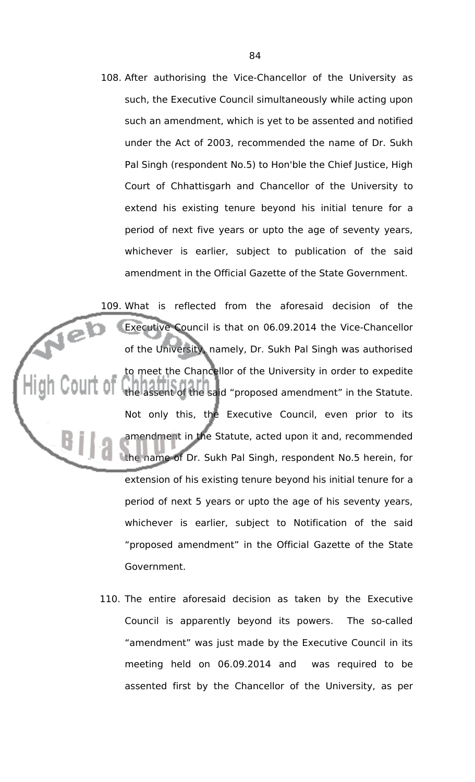108. After authorising the Vice-Chancellor of the University as such, the Executive Council simultaneously while acting upon such an amendment, which is yet to be assented and notified under the Act of 2003, recommended the name of Dr. Sukh Pal Singh (respondent No.5) to Hon'ble the Chief Justice, High Court of Chhattisgarh and Chancellor of the University to extend his existing tenure beyond his initial tenure for a period of next five years or upto the age of seventy years, whichever is earlier, subject to publication of the said amendment in the Official Gazette of the State Government.

109. What is reflected from the aforesaid decision of the Jeb Executive Council is that on 06.09.2014 the Vice-Chancellor of the University, namely, Dr. Sukh Pal Singh was authorised to meet the Chancellor of the University in order to expedite the assent of the said "proposed amendment" in the Statute. Not only this, the Executive Council, even prior to its amendment in the Statute, acted upon it and, recommended the name of Dr. Sukh Pal Singh, respondent No.5 herein, for extension of his existing tenure beyond his initial tenure for a period of next 5 years or upto the age of his seventy years, whichever is earlier, subject to Notification of the said "proposed amendment" in the Official Gazette of the State Government.

> 110. The entire aforesaid decision as taken by the Executive Council is apparently beyond its powers. The so-called "amendment" was just made by the Executive Council in its meeting held on 06.09.2014 and was required to be assented first by the Chancellor of the University, as per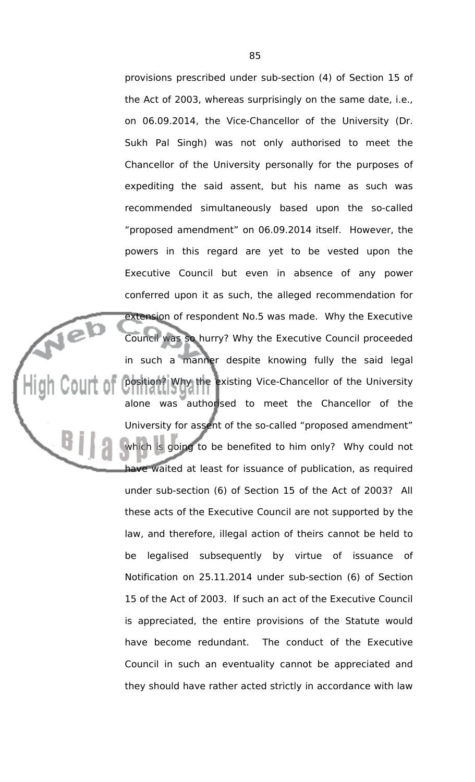provisions prescribed under sub-section (4) of Section 15 of the Act of 2003, whereas surprisingly on the same date, i.e., on 06.09.2014, the Vice-Chancellor of the University (Dr. Sukh Pal Singh) was not only authorised to meet the Chancellor of the University personally for the purposes of expediting the said assent, but his name as such was recommended simultaneously based upon the so-called "proposed amendment" on 06.09.2014 itself. However, the powers in this regard are yet to be vested upon the Executive Council but even in absence of any power conferred upon it as such, the alleged recommendation for extension of respondent No.5 was made. Why the Executive Council was so hurry? Why the Executive Council proceeded in such a manner despite knowing fully the said legal position? Why the existing Vice-Chancellor of the University alone was authorised to meet the Chancellor of the University for assent of the so-called "proposed amendment" which is going to be benefited to him only? Why could not have waited at least for issuance of publication, as required under sub-section (6) of Section 15 of the Act of 2003? All these acts of the Executive Council are not supported by the law, and therefore, illegal action of theirs cannot be held to be legalised subsequently by virtue of issuance of Notification on 25.11.2014 under sub-section (6) of Section 15 of the Act of 2003. If such an act of the Executive Council is appreciated, the entire provisions of the Statute would have become redundant. The conduct of the Executive Council in such an eventuality cannot be appreciated and they should have rather acted strictly in accordance with law

Neb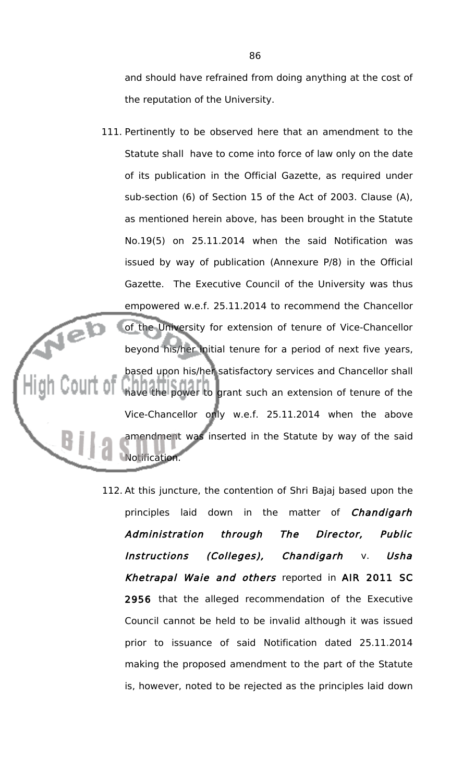and should have refrained from doing anything at the cost of the reputation of the University.

- 111. Pertinently to be observed here that an amendment to the Statute shall have to come into force of law only on the date of its publication in the Official Gazette, as required under sub-section (6) of Section 15 of the Act of 2003. Clause (A), as mentioned herein above, has been brought in the Statute No.19(5) on 25.11.2014 when the said Notification was issued by way of publication (Annexure P/8) in the Official Gazette. The Executive Council of the University was thus empowered w.e.f. 25.11.2014 to recommend the Chancellor Jeb of the University for extension of tenure of Vice-Chancellor beyond his/her initial tenure for a period of next five years, based upon his/her satisfactory services and Chancellor shall have the power to grant such an extension of tenure of the Vice-Chancellor only w.e.f. 25.11.2014 when the above amendment was inserted in the Statute by way of the said Notification.
	- 112. At this juncture, the contention of Shri Bajaj based upon the principles laid down in the matter of *Chandigarh* Administration through The Director, Public Instructions (Colleges), Chandigarh v. Usha Khetrapal Waie and others reported in AIR 2011 SC 2956 that the alleged recommendation of the Executive Council cannot be held to be invalid although it was issued prior to issuance of said Notification dated 25.11.2014 making the proposed amendment to the part of the Statute is, however, noted to be rejected as the principles laid down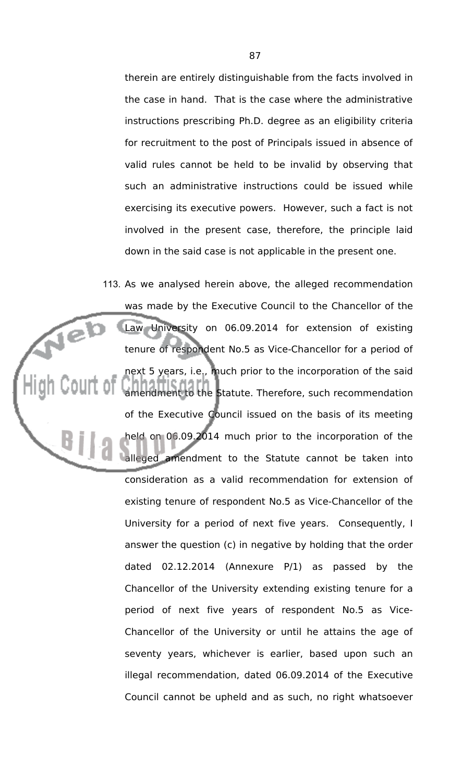therein are entirely distinguishable from the facts involved in the case in hand. That is the case where the administrative instructions prescribing Ph.D. degree as an eligibility criteria for recruitment to the post of Principals issued in absence of valid rules cannot be held to be invalid by observing that such an administrative instructions could be issued while exercising its executive powers. However, such a fact is not involved in the present case, therefore, the principle laid down in the said case is not applicable in the present one.

113. As we analysed herein above, the alleged recommendation was made by the Executive Council to the Chancellor of the Neb Law University on 06.09.2014 for extension of existing tenure of respondent No.5 as Vice-Chancellor for a period of next 5 years, i.e., much prior to the incorporation of the said amendment to the Statute. Therefore, such recommendation of the Executive Council issued on the basis of its meeting held on 06.09.2014 much prior to the incorporation of the alleged amendment to the Statute cannot be taken into consideration as a valid recommendation for extension of existing tenure of respondent No.5 as Vice-Chancellor of the University for a period of next five years. Consequently, I answer the question (c) in negative by holding that the order dated 02.12.2014 (Annexure P/1) as passed by the Chancellor of the University extending existing tenure for a period of next five years of respondent No.5 as Vice-Chancellor of the University or until he attains the age of seventy years, whichever is earlier, based upon such an illegal recommendation, dated 06.09.2014 of the Executive Council cannot be upheld and as such, no right whatsoever